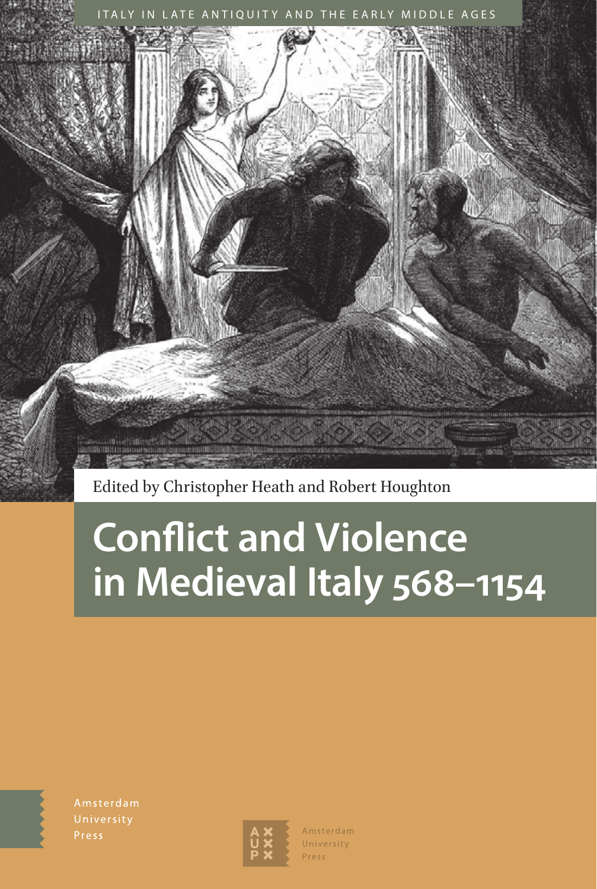

Edited by Christopher Heath and Robert Houghton

# **Conflict and Violence in Medieval Italy 568–1154**

Amsterdam

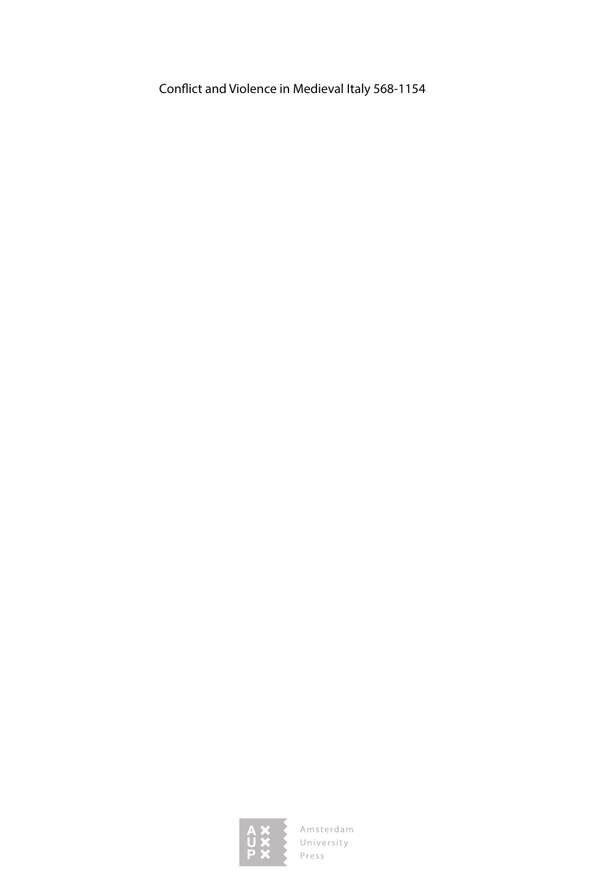Conflict and Violence in Medieval Italy 568-1154



Amsterdam<br>University<br>Press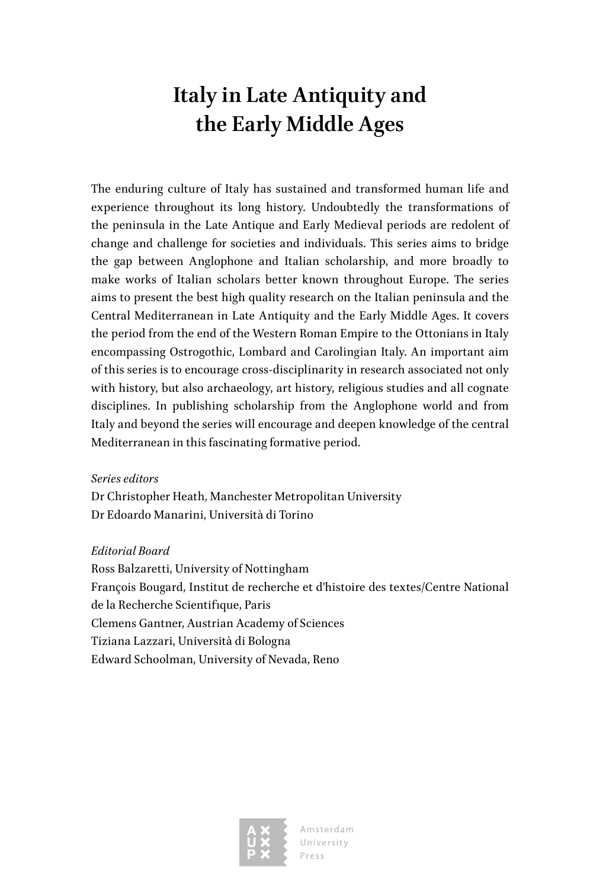# **Italy in Late Antiquity and the Early Middle Ages**

The enduring culture of Italy has sustained and transformed human life and experience throughout its long history. Undoubtedly the transformations of the peninsula in the Late Antique and Early Medieval periods are redolent of change and challenge for societies and individuals. This series aims to bridge the gap between Anglophone and Italian scholarship, and more broadly to make works of Italian scholars better known throughout Europe. The series aims to present the best high quality research on the Italian peninsula and the Central Mediterranean in Late Antiquity and the Early Middle Ages. It covers the period from the end of the Western Roman Empire to the Ottonians in Italy encompassing Ostrogothic, Lombard and Carolingian Italy. An important aim of this series is to encourage cross-disciplinarity in research associated not only with history, but also archaeology, art history, religious studies and all cognate disciplines. In publishing scholarship from the Anglophone world and from Italy and beyond the series will encourage and deepen knowledge of the central Mediterranean in this fascinating formative period.

#### *Series editors*

Dr Christopher Heath, Manchester Metropolitan University Dr Edoardo Manarini, Università di Torino

### *Editorial Board*

Ross Balzaretti, University of Nottingham François Bougard, Institut de recherche et d'histoire des textes/Centre National de la Recherche Scientifique, Paris Clemens Gantner, Austrian Academy of Sciences Tiziana Lazzari, Università di Bologna Edward Schoolman, University of Nevada, Reno



Amsterdam University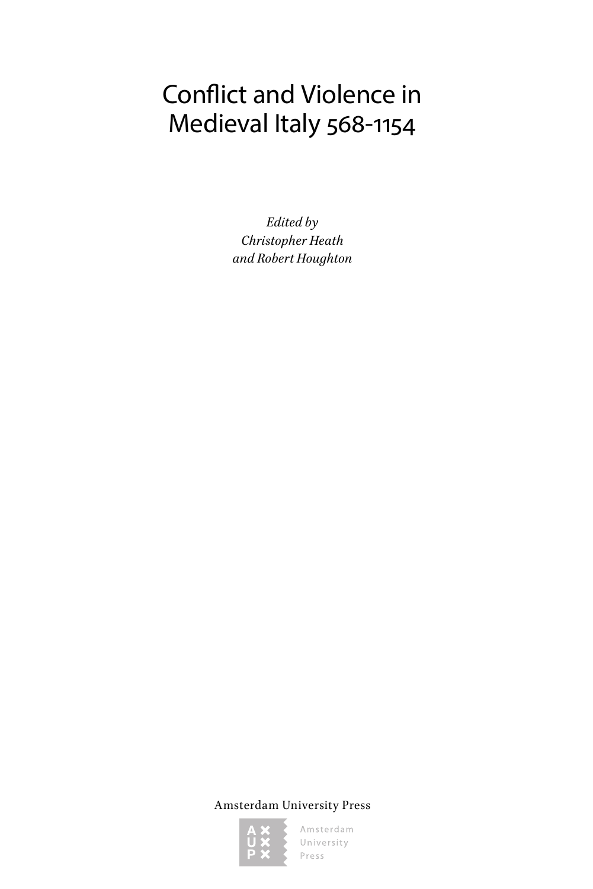# Conflict and Violence in Medieval Italy 568-1154

*Edited by Christopher Heath and Robert Houghton*

Amsterdam University Press

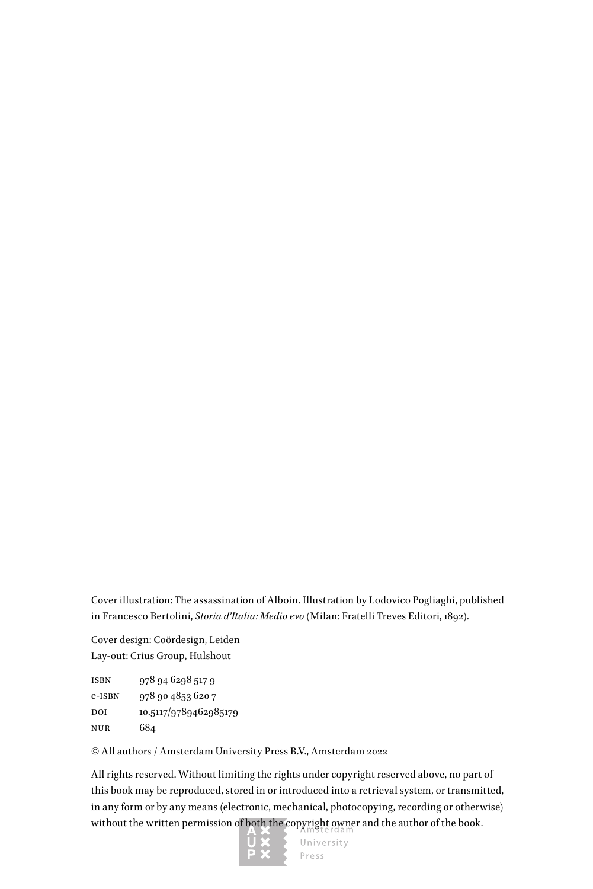Cover illustration: The assassination of Alboin. Illustration by Lodovico Pogliaghi, published in Francesco Bertolini, *Storia d'Italia: Medio evo* (Milan: Fratelli Treves Editori, 1892).

Cover design: Coördesign, Leiden Lay-out: Crius Group, Hulshout

isbn 978 94 6298 517 9 e-isbn 978 90 4853 620 7 DOI 10.5117/9789462985179 nur 684

© All authors / Amsterdam University Press B.V., Amsterdam 2022

All rights reserved. Without limiting the rights under copyright reserved above, no part of this book may be reproduced, stored in or introduced into a retrieval system, or transmitted, in any form or by any means (electronic, mechanical, photocopying, recording or otherwise) without the written permission of both the copyright owner and the author of the book.

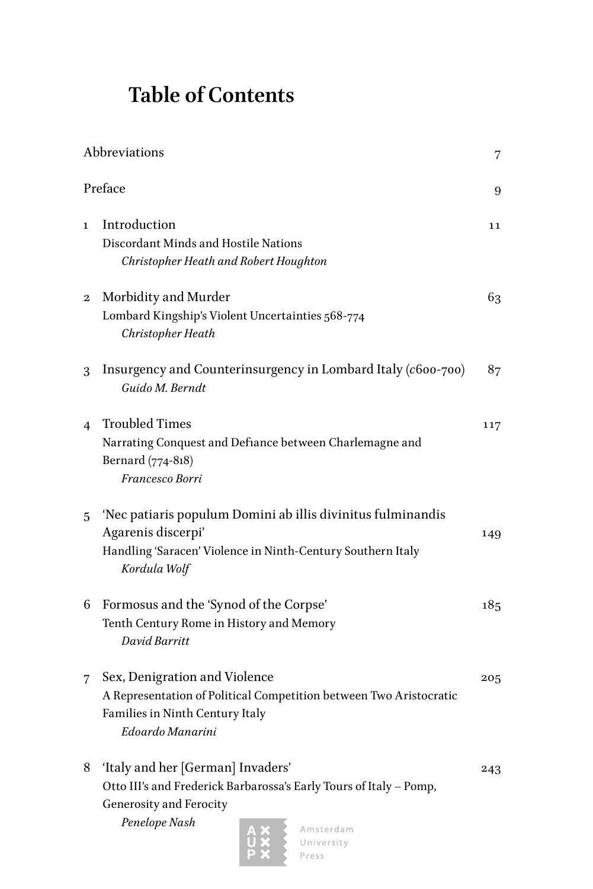# **Table of Contents**

| Abbreviations  |                                                                                                                                                                  |     |
|----------------|------------------------------------------------------------------------------------------------------------------------------------------------------------------|-----|
| Preface<br>9   |                                                                                                                                                                  |     |
| $\mathbf{I}$   | Introduction<br>Discordant Minds and Hostile Nations<br>Christopher Heath and Robert Houghton                                                                    | 11  |
| 2              | Morbidity and Murder<br>Lombard Kingship's Violent Uncertainties 568-774<br>Christopher Heath                                                                    | 63  |
| 3              | Insurgency and Counterinsurgency in Lombard Italy (c600-700)<br>Guido M. Berndt                                                                                  | 87  |
| $\overline{4}$ | <b>Troubled Times</b><br>Narrating Conquest and Defiance between Charlemagne and<br>Bernard (774-818)<br>Francesco Borri                                         | 117 |
| 5              | 'Nec patiaris populum Domini ab illis divinitus fulminandis<br>Agarenis discerpi'<br>Handling 'Saracen' Violence in Ninth-Century Southern Italy<br>Kordula Wolf | 149 |
| 6              | Formosus and the 'Synod of the Corpse'<br>Tenth Century Rome in History and Memory<br>David Barritt                                                              | 185 |
| 7              | Sex, Denigration and Violence<br>A Representation of Political Competition between Two Aristocratic<br>Families in Ninth Century Italy<br>Edoardo Manarini       | 205 |
| 8              | 'Italy and her [German] Invaders'<br>Otto III's and Frederick Barbarossa's Early Tours of Italy - Pomp,<br>Generosity and Ferocity<br>Penelope Nash<br>Amsterdam | 243 |

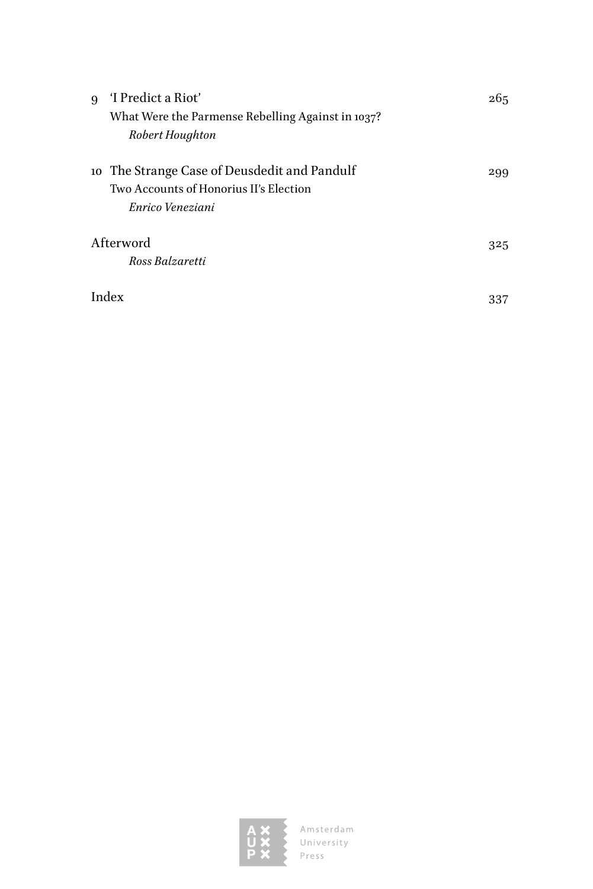| $\mathbf{Q}$ | 'I Predict a Riot'                                | 265 |
|--------------|---------------------------------------------------|-----|
|              | What Were the Parmense Rebelling Against in 1037? |     |
|              | Robert Houghton                                   |     |
|              | 10 The Strange Case of Deusdedit and Pandulf      | 299 |
|              | Two Accounts of Honorius II's Election            |     |
|              | Enrico Veneziani                                  |     |
| Afterword    |                                                   |     |
|              | Ross Balzaretti                                   |     |
|              | Index                                             | 337 |

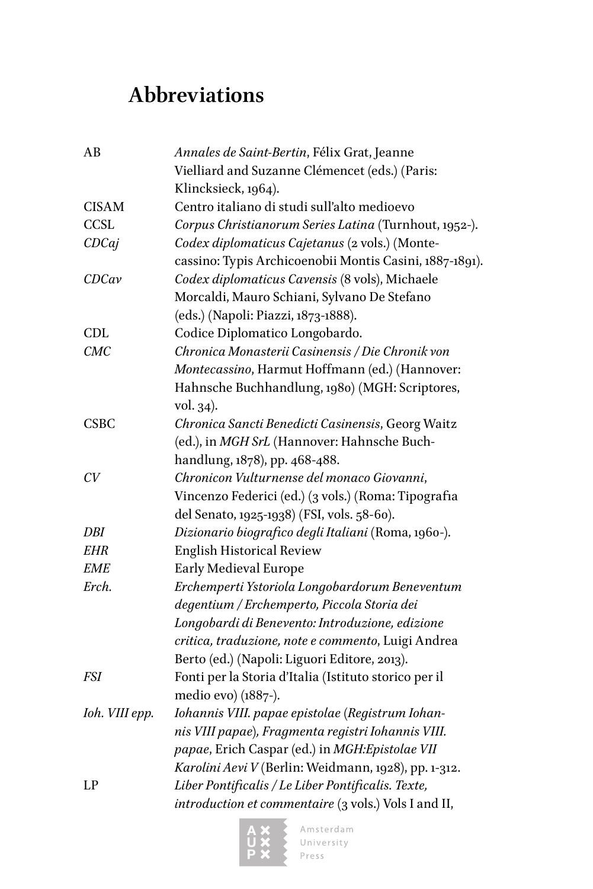# <span id="page-7-0"></span>**Abbreviations**

| AB             | Annales de Saint-Bertin, Félix Grat, Jeanne             |
|----------------|---------------------------------------------------------|
|                | Vielliard and Suzanne Clémencet (eds.) (Paris:          |
|                | Klincksieck, 1964).                                     |
| <b>CISAM</b>   | Centro italiano di studi sull'alto medioevo             |
| CCSL           | Corpus Christianorum Series Latina (Turnhout, 1952-).   |
| CDCaj          | Codex diplomaticus Cajetanus (2 vols.) (Monte-          |
|                | cassino: Typis Archicoenobii Montis Casini, 1887-1891). |
| CDCav          | Codex diplomaticus Cavensis (8 vols), Michaele          |
|                | Morcaldi, Mauro Schiani, Sylvano De Stefano             |
|                | (eds.) (Napoli: Piazzi, 1873-1888).                     |
| CDL            | Codice Diplomatico Longobardo.                          |
| CMC            | Chronica Monasterii Casinensis / Die Chronik von        |
|                | Montecassino, Harmut Hoffmann (ed.) (Hannover:          |
|                | Hahnsche Buchhandlung, 1980) (MGH: Scriptores,          |
|                | vol. 34).                                               |
| <b>CSBC</b>    | Chronica Sancti Benedicti Casinensis, Georg Waitz       |
|                | (ed.), in MGH SrL (Hannover: Hahnsche Buch-             |
|                | handlung, 1878), pp. 468-488.                           |
| CV             | Chronicon Vulturnense del monaco Giovanni,              |
|                | Vincenzo Federici (ed.) (3 vols.) (Roma: Tipografia     |
|                | del Senato, 1925-1938) (FSI, vols. 58-60).              |
| DBI            | Dizionario biografico degli Italiani (Roma, 1960-).     |
| <b>EHR</b>     | <b>English Historical Review</b>                        |
| <b>EME</b>     | Early Medieval Europe                                   |
| Erch.          | Erchemperti Ystoriola Longobardorum Beneventum          |
|                | degentium / Erchemperto, Piccola Storia dei             |
|                | Longobardi di Benevento: Introduzione, edizione         |
|                | critica, traduzione, note e commento, Luigi Andrea      |
|                | Berto (ed.) (Napoli: Liguori Editore, 2013).            |
| FSI            | Fonti per la Storia d'Italia (Istituto storico per il   |
|                | medio evo) (1887-).                                     |
| Ioh. VIII epp. | Iohannis VIII. papae epistolae (Registrum Iohan-        |
|                | nis VIII papae), Fragmenta registri Iohannis VIII.      |
|                | papae, Erich Caspar (ed.) in MGH:Epistolae VII          |
|                | Karolini Aevi V (Berlin: Weidmann, 1928), pp. 1-312.    |
| LP             | Liber Pontificalis / Le Liber Pontificalis. Texte,      |
|                | introduction et commentaire (3 vols.) Vols I and II,    |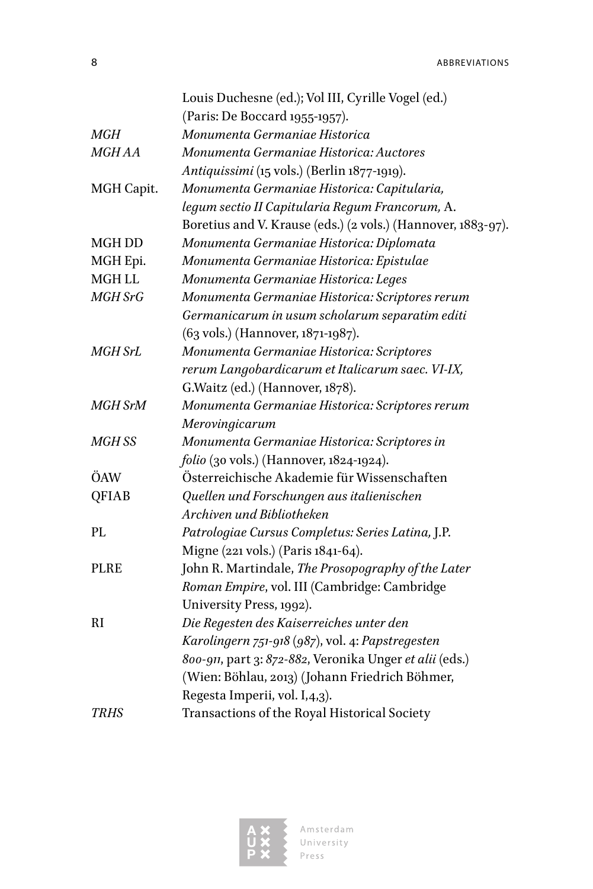8 ABBREVIATIONS

|               | Louis Duchesne (ed.); Vol III, Cyrille Vogel (ed.)           |
|---------------|--------------------------------------------------------------|
|               | (Paris: De Boccard 1955-1957).                               |
| MGH           | Monumenta Germaniae Historica                                |
| <b>MGHAA</b>  | Monumenta Germaniae Historica: Auctores                      |
|               | Antiquissimi (15 vols.) (Berlin 1877-1919).                  |
| MGH Capit.    | Monumenta Germaniae Historica: Capitularia,                  |
|               | legum sectio II Capitularia Regum Francorum, A.              |
|               | Boretius and V. Krause (eds.) (2 vols.) (Hannover, 1883-97). |
| <b>MGH DD</b> | Monumenta Germaniae Historica: Diplomata                     |
| MGH Epi.      | Monumenta Germaniae Historica: Epistulae                     |
| <b>MGH LL</b> | Monumenta Germaniae Historica: Leges                         |
| MGH SrG       | Monumenta Germaniae Historica: Scriptores rerum              |
|               | Germanicarum in usum scholarum separatim editi               |
|               | (63 vols.) (Hannover, 1871-1987).                            |
| MGH SrL       | Monumenta Germaniae Historica: Scriptores                    |
|               | rerum Langobardicarum et Italicarum saec. VI-IX,             |
|               | G. Waitz (ed.) (Hannover, 1878).                             |
| MGH SrM       | Monumenta Germaniae Historica: Scriptores rerum              |
|               | Merovingicarum                                               |
| MGH SS        | Monumenta Germaniae Historica: Scriptores in                 |
|               | folio (30 vols.) (Hannover, 1824-1924).                      |
| ÖAW           | Österreichische Akademie für Wissenschaften                  |
| QFIAB         | Quellen und Forschungen aus italienischen                    |
|               | Archiven und Bibliotheken                                    |
| PL            | Patrologiae Cursus Completus: Series Latina, J.P.            |
|               | Migne (221 vols.) (Paris 1841-64).                           |
| <b>PLRE</b>   | John R. Martindale, The Prosopography of the Later           |
|               | Roman Empire, vol. III (Cambridge: Cambridge                 |
|               | University Press, 1992).                                     |
| RI            | Die Regesten des Kaiserreiches unter den                     |
|               | Karolingern 751-918 (987), vol. 4: Papstregesten             |
|               | 800-911, part 3: 872-882, Veronika Unger et alii (eds.)      |
|               | (Wien: Böhlau, 2013) (Johann Friedrich Böhmer,               |
|               | Regesta Imperii, vol. I,4,3).                                |
| TRHS          | Transactions of the Royal Historical Society                 |
|               |                                                              |

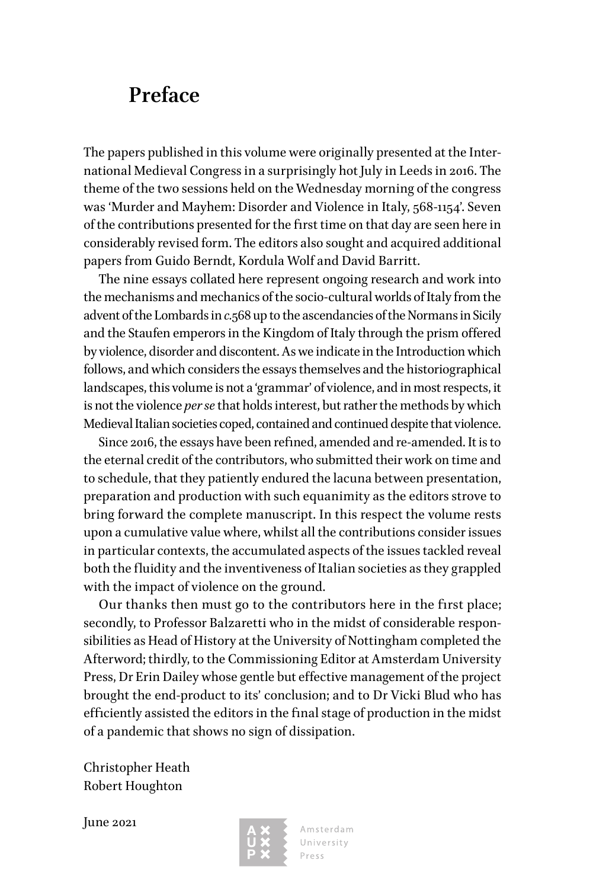### <span id="page-9-0"></span>**Preface**

The papers published in this volume were originally presented at the International Medieval Congress in a surprisingly hot July in Leeds in 2016. The theme of the two sessions held on the Wednesday morning of the congress was 'Murder and Mayhem: Disorder and Violence in Italy, 568-1154'. Seven of the contributions presented for the first time on that day are seen here in considerably revised form. The editors also sought and acquired additional papers from Guido Berndt, Kordula Wolf and David Barritt.

The nine essays collated here represent ongoing research and work into the mechanisms and mechanics of the socio-cultural worlds of Italy from the advent of the Lombards in *c.*568 up to the ascendancies of the Normans in Sicily and the Staufen emperors in the Kingdom of Italy through the prism offered by violence, disorder and discontent. As we indicate in the Introduction which follows, and which considers the essays themselves and the historiographical landscapes, this volume is not a 'grammar' of violence, and in most respects, it is not the violence *per se* that holds interest, but rather the methods by which Medieval Italian societies coped, contained and continued despite that violence.

Since 2016, the essays have been refined, amended and re-amended. It is to the eternal credit of the contributors, who submitted their work on time and to schedule, that they patiently endured the lacuna between presentation, preparation and production with such equanimity as the editors strove to bring forward the complete manuscript. In this respect the volume rests upon a cumulative value where, whilst all the contributions consider issues in particular contexts, the accumulated aspects of the issues tackled reveal both the fluidity and the inventiveness of Italian societies as they grappled with the impact of violence on the ground.

Our thanks then must go to the contributors here in the first place; secondly, to Professor Balzaretti who in the midst of considerable responsibilities as Head of History at the University of Nottingham completed the Afterword; thirdly, to the Commissioning Editor at Amsterdam University Press, Dr Erin Dailey whose gentle but effective management of the project brought the end-product to its' conclusion; and to Dr Vicki Blud who has efficiently assisted the editors in the final stage of production in the midst of a pandemic that shows no sign of dissipation.

Christopher Heath Robert Houghton

June 2021



Amsterdam University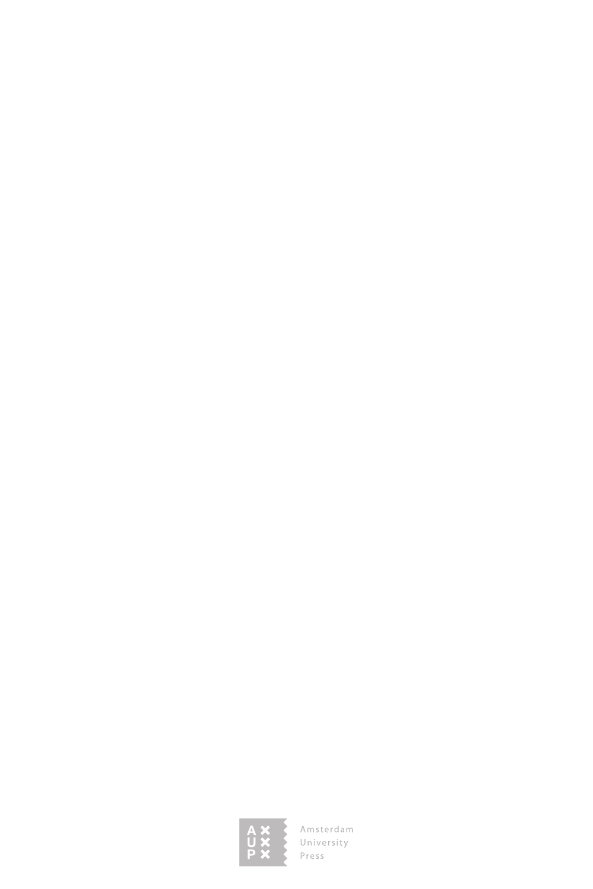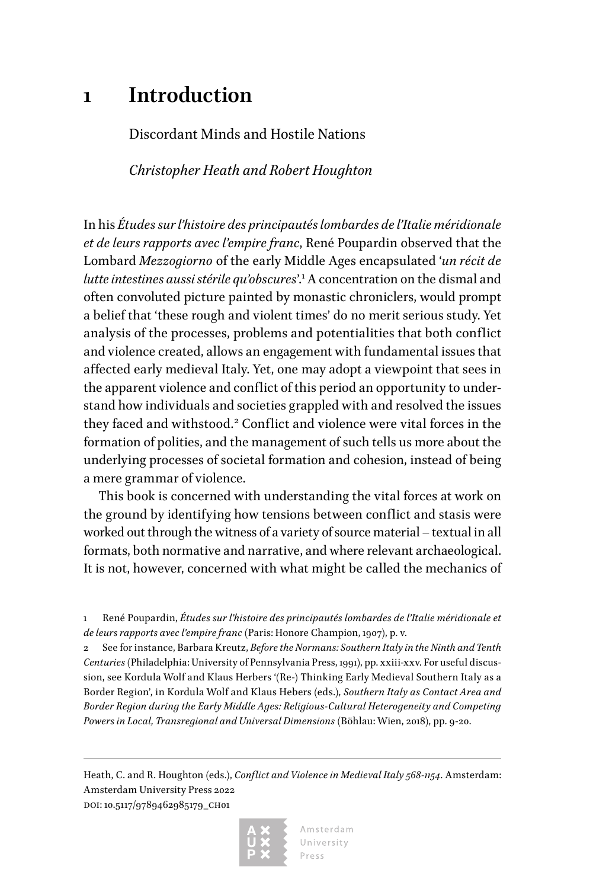### <span id="page-11-0"></span>**1 Introduction**

Discordant Minds and Hostile Nations

*Christopher Heath and Robert Houghton*

In his *Études sur l'histoire des principautés lombardes de l'Italie méridionale et de leurs rapports avec l'empire franc*, René Poupardin observed that the Lombard *Mezzogiorno* of the early Middle Ages encapsulated '*un récit de lutte intestines aussi stérile qu'obscures*'.<sup>1</sup> A concentration on the dismal and often convoluted picture painted by monastic chroniclers, would prompt a belief that 'these rough and violent times' do no merit serious study. Yet analysis of the processes, problems and potentialities that both conflict and violence created, allows an engagement with fundamental issues that affected early medieval Italy. Yet, one may adopt a viewpoint that sees in the apparent violence and conflict of this period an opportunity to understand how individuals and societies grappled with and resolved the issues they faced and withstood.<sup>2</sup> Conflict and violence were vital forces in the formation of polities, and the management of such tells us more about the underlying processes of societal formation and cohesion, instead of being a mere grammar of violence.

This book is concerned with understanding the vital forces at work on the ground by identifying how tensions between conflict and stasis were worked out through the witness of a variety of source material – textual in all formats, both normative and narrative, and where relevant archaeological. It is not, however, concerned with what might be called the mechanics of

1 René Poupardin, *Études sur l'histoire des principautés lombardes de l'Italie méridionale et de leurs rapports avec l'empire franc* (Paris: Honore Champion, 1907), p. v.

2 See for instance, Barbara Kreutz, *Before the Normans: Southern Italy in the Ninth and Tenth Centuries* (Philadelphia: University of Pennsylvania Press, 1991), pp. xxiii-xxv. For useful discussion, see Kordula Wolf and Klaus Herbers '(Re-) Thinking Early Medieval Southern Italy as a Border Region', in Kordula Wolf and Klaus Hebers (eds.), *Southern Italy as Contact Area and Border Region during the Early Middle Ages: Religious-Cultural Heterogeneity and Competing Powers in Local, Transregional and Universal Dimensions* (Böhlau: Wien, 2018), pp. 9-20.

Heath, C. and R. Houghton (eds.), *Conflict and Violence in Medieval Italy 568-1154*. Amsterdam: Amsterdam University Press 2022 DOI: 10.5117/9789462985179\_CH01

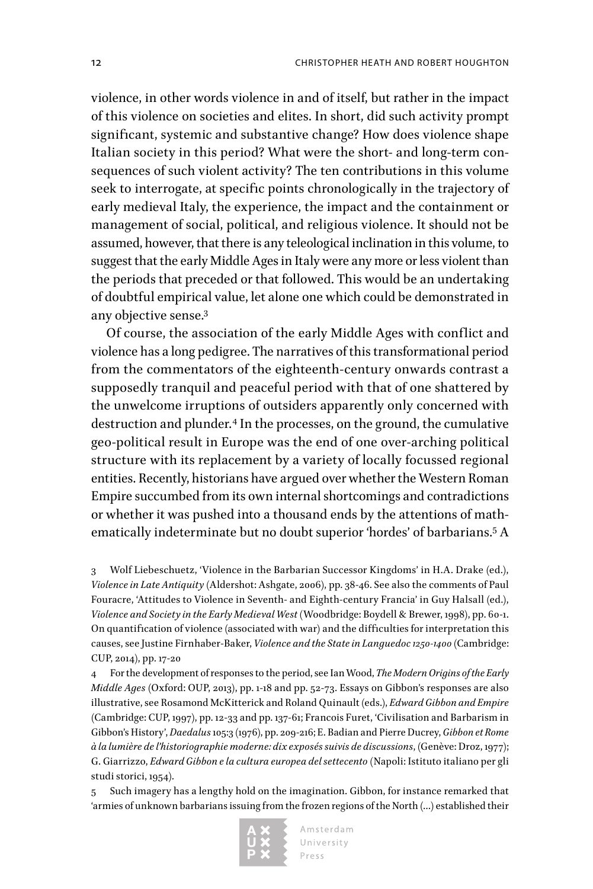violence, in other words violence in and of itself, but rather in the impact of this violence on societies and elites. In short, did such activity prompt significant, systemic and substantive change? How does violence shape Italian society in this period? What were the short- and long-term consequences of such violent activity? The ten contributions in this volume seek to interrogate, at specific points chronologically in the trajectory of early medieval Italy, the experience, the impact and the containment or management of social, political, and religious violence. It should not be assumed, however, that there is any teleological inclination in this volume, to suggest that the early Middle Ages in Italy were any more or less violent than the periods that preceded or that followed. This would be an undertaking of doubtful empirical value, let alone one which could be demonstrated in any objective sense.3

Of course, the association of the early Middle Ages with conflict and violence has a long pedigree. The narratives of this transformational period from the commentators of the eighteenth-century onwards contrast a supposedly tranquil and peaceful period with that of one shattered by the unwelcome irruptions of outsiders apparently only concerned with destruction and plunder.<sup>4</sup> In the processes, on the ground, the cumulative geo-political result in Europe was the end of one over-arching political structure with its replacement by a variety of locally focussed regional entities. Recently, historians have argued over whether the Western Roman Empire succumbed from its own internal shortcomings and contradictions or whether it was pushed into a thousand ends by the attentions of mathematically indeterminate but no doubt superior 'hordes' of barbarians.<sup>5</sup> A

3 Wolf Liebeschuetz, 'Violence in the Barbarian Successor Kingdoms' in H.A. Drake (ed.), *Violence in Late Antiquity* (Aldershot: Ashgate, 2006), pp. 38-46. See also the comments of Paul Fouracre, 'Attitudes to Violence in Seventh- and Eighth-century Francia' in Guy Halsall (ed.), *Violence and Society in the Early Medieval West* (Woodbridge: Boydell & Brewer, 1998), pp. 60-1. On quantification of violence (associated with war) and the difficulties for interpretation this causes, see Justine Firnhaber-Baker, *Violence and the State in Languedoc 1250-1400* (Cambridge: CUP, 2014), pp. 17-20

4 For the development of responses to the period, see Ian Wood, *The Modern Origins of the Early Middle Ages* (Oxford: OUP, 2013), pp. 1-18 and pp. 52-73. Essays on Gibbon's responses are also illustrative, see Rosamond McKitterick and Roland Quinault (eds.), *Edward Gibbon and Empire* (Cambridge: CUP, 1997), pp. 12-33 and pp. 137-61; Francois Furet, 'Civilisation and Barbarism in Gibbon's History', *Daedalus* 105:3 (1976), pp. 209-216; E. Badian and Pierre Ducrey, *Gibbon et Rome à la lumière de l'historiographie moderne: dix exposés suivis de discussions*, (Genève: Droz, 1977); G. Giarrizzo, *Edward Gibbon e la cultura europea del settecento* (Napoli: Istituto italiano per gli studi storici, 1954).

5 Such imagery has a lengthy hold on the imagination. Gibbon, for instance remarked that 'armies of unknown barbarians issuing from the frozen regions of the North (…) established their

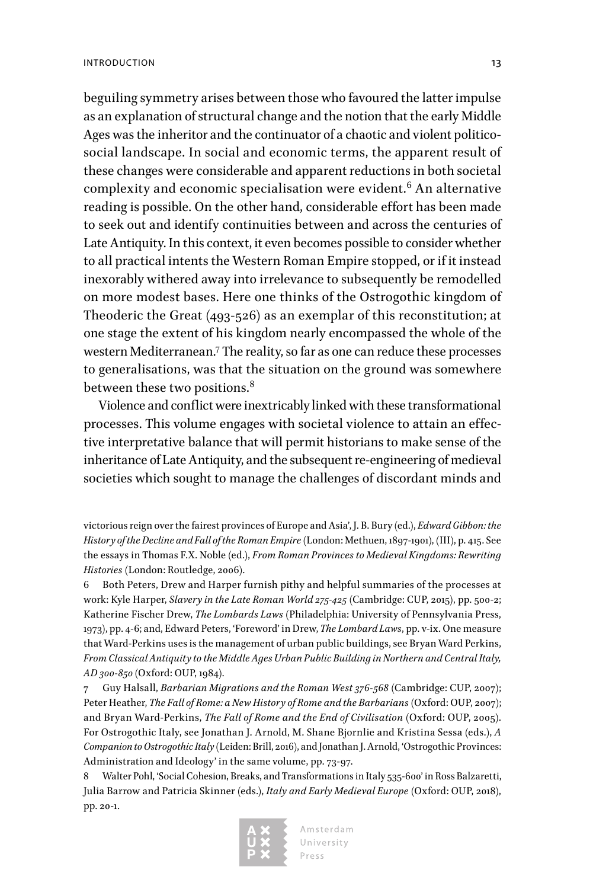beguiling symmetry arises between those who favoured the latter impulse as an explanation of structural change and the notion that the early Middle Ages was the inheritor and the continuator of a chaotic and violent politicosocial landscape. In social and economic terms, the apparent result of these changes were considerable and apparent reductions in both societal complexity and economic specialisation were evident.<sup>6</sup> An alternative reading is possible. On the other hand, considerable effort has been made to seek out and identify continuities between and across the centuries of Late Antiquity. In this context, it even becomes possible to consider whether to all practical intents the Western Roman Empire stopped, or if it instead inexorably withered away into irrelevance to subsequently be remodelled on more modest bases. Here one thinks of the Ostrogothic kingdom of Theoderic the Great (493-526) as an exemplar of this reconstitution; at one stage the extent of his kingdom nearly encompassed the whole of the western Mediterranean.7 The reality, so far as one can reduce these processes to generalisations, was that the situation on the ground was somewhere between these two positions.<sup>8</sup>

Violence and conflict were inextricably linked with these transformational processes. This volume engages with societal violence to attain an effective interpretative balance that will permit historians to make sense of the inheritance of Late Antiquity, and the subsequent re-engineering of medieval societies which sought to manage the challenges of discordant minds and

6 Both Peters, Drew and Harper furnish pithy and helpful summaries of the processes at work: Kyle Harper, *Slavery in the Late Roman World 275-425* (Cambridge: CUP, 2015), pp. 500-2; Katherine Fischer Drew, *The Lombards Laws* (Philadelphia: University of Pennsylvania Press, 1973), pp. 4-6; and, Edward Peters, 'Foreword' in Drew, *The Lombard Laws*, pp. v-ix. One measure that Ward-Perkins uses is the management of urban public buildings, see Bryan Ward Perkins, *From Classical Antiquity to the Middle Ages Urban Public Building in Northern and Central Italy, AD 300-850* (Oxford: OUP, 1984).

7 Guy Halsall, *Barbarian Migrations and the Roman West 376-568* (Cambridge: CUP, 2007); Peter Heather, *The Fall of Rome: a New History of Rome and the Barbarians* (Oxford: OUP, 2007); and Bryan Ward-Perkins, *The Fall of Rome and the End of Civilisation* (Oxford: OUP, 2005). For Ostrogothic Italy, see Jonathan J. Arnold, M. Shane Bjornlie and Kristina Sessa (eds.), *A Companion to Ostrogothic Italy* (Leiden: Brill, 2016), and Jonathan J. Arnold, 'Ostrogothic Provinces: Administration and Ideology' in the same volume, pp. 73-97.

8 Walter Pohl, 'Social Cohesion, Breaks, and Transformations in Italy 535-600' in Ross Balzaretti, Julia Barrow and Patricia Skinner (eds.), *Italy and Early Medieval Europe* (Oxford: OUP, 2018), pp. 20-1.



victorious reign over the fairest provinces of Europe and Asia', J. B. Bury (ed.), *Edward Gibbon: the History of the Decline and Fall of the Roman Empire* (London: Methuen, 1897-1901), (III), p. 415. See the essays in Thomas F.X. Noble (ed.), *From Roman Provinces to Medieval Kingdoms: Rewriting Histories* (London: Routledge, 2006).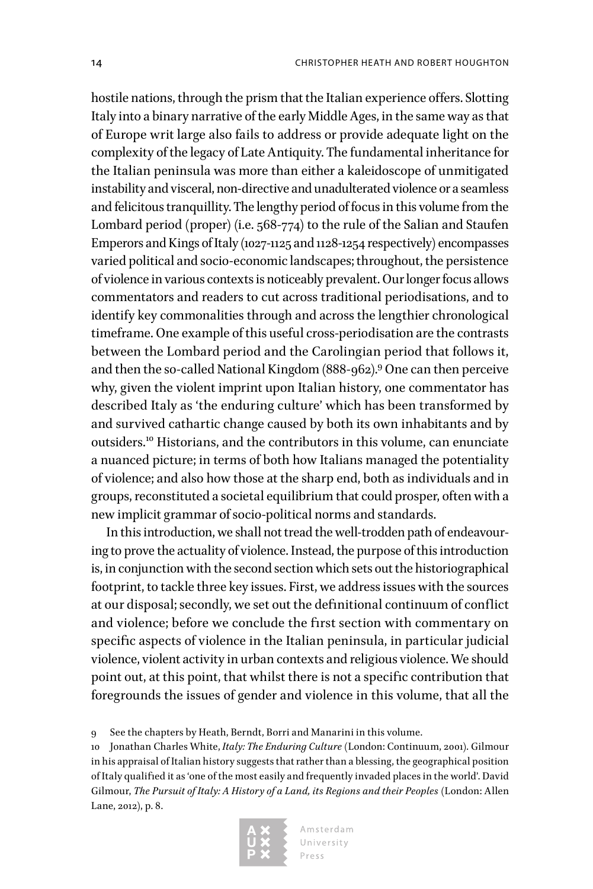hostile nations, through the prism that the Italian experience offers. Slotting Italy into a binary narrative of the early Middle Ages, in the same way as that of Europe writ large also fails to address or provide adequate light on the complexity of the legacy of Late Antiquity. The fundamental inheritance for the Italian peninsula was more than either a kaleidoscope of unmitigated instability and visceral, non-directive and unadulterated violence or a seamless and felicitous tranquillity. The lengthy period of focus in this volume from the Lombard period (proper) (i.e. 568-774) to the rule of the Salian and Staufen Emperors and Kings of Italy (1027-1125 and 1128-1254 respectively) encompasses varied political and socio-economic landscapes; throughout, the persistence of violence in various contexts is noticeably prevalent. Our longer focus allows commentators and readers to cut across traditional periodisations, and to identify key commonalities through and across the lengthier chronological timeframe. One example of this useful cross-periodisation are the contrasts between the Lombard period and the Carolingian period that follows it, and then the so-called National Kingdom (888-962).9 One can then perceive why, given the violent imprint upon Italian history, one commentator has described Italy as 'the enduring culture' which has been transformed by and survived cathartic change caused by both its own inhabitants and by outsiders.10 Historians, and the contributors in this volume, can enunciate a nuanced picture; in terms of both how Italians managed the potentiality of violence; and also how those at the sharp end, both as individuals and in groups, reconstituted a societal equilibrium that could prosper, often with a new implicit grammar of socio-political norms and standards.

In this introduction, we shall not tread the well-trodden path of endeavouring to prove the actuality of violence. Instead, the purpose of this introduction is, in conjunction with the second section which sets out the historiographical footprint, to tackle three key issues. First, we address issues with the sources at our disposal; secondly, we set out the definitional continuum of conflict and violence; before we conclude the first section with commentary on specific aspects of violence in the Italian peninsula, in particular judicial violence, violent activity in urban contexts and religious violence. We should point out, at this point, that whilst there is not a specific contribution that foregrounds the issues of gender and violence in this volume, that all the

9 See the chapters by Heath, Berndt, Borri and Manarini in this volume.

10 Jonathan Charles White, *Italy: The Enduring Culture* (London: Continuum, 2001). Gilmour in his appraisal of Italian history suggests that rather than a blessing, the geographical position of Italy qualified it as 'one of the most easily and frequently invaded places in the world'. David Gilmour, *The Pursuit of Italy: A History of a Land, its Regions and their Peoples* (London: Allen Lane, 2012), p. 8.

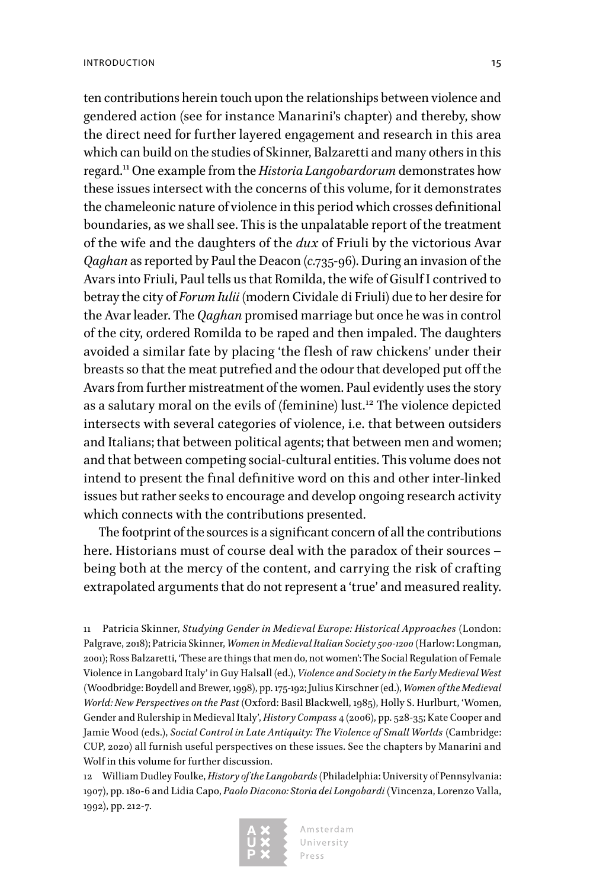ten contributions herein touch upon the relationships between violence and gendered action (see for instance Manarini's chapter) and thereby, show the direct need for further layered engagement and research in this area which can build on the studies of Skinner, Balzaretti and many others in this regard.11 One example from the *Historia Langobardorum* demonstrates how these issues intersect with the concerns of this volume, for it demonstrates the chameleonic nature of violence in this period which crosses definitional boundaries, as we shall see. This is the unpalatable report of the treatment of the wife and the daughters of the *dux* of Friuli by the victorious Avar *Qaghan* as reported by Paul the Deacon (*c.*735-96). During an invasion of the Avars into Friuli, Paul tells us that Romilda, the wife of Gisulf I contrived to betray the city of *Forum Iulii* (modern Cividale di Friuli) due to her desire for the Avar leader. The *Qaghan* promised marriage but once he was in control of the city, ordered Romilda to be raped and then impaled. The daughters avoided a similar fate by placing 'the flesh of raw chickens' under their breasts so that the meat putrefied and the odour that developed put off the Avars from further mistreatment of the women. Paul evidently uses the story as a salutary moral on the evils of (feminine) lust.<sup>12</sup> The violence depicted intersects with several categories of violence, i.e. that between outsiders and Italians; that between political agents; that between men and women; and that between competing social-cultural entities. This volume does not intend to present the final definitive word on this and other inter-linked issues but rather seeks to encourage and develop ongoing research activity which connects with the contributions presented.

The footprint of the sources is a significant concern of all the contributions here. Historians must of course deal with the paradox of their sources – being both at the mercy of the content, and carrying the risk of crafting extrapolated arguments that do not represent a 'true' and measured reality.

11 Patricia Skinner, *Studying Gender in Medieval Europe: Historical Approaches* (London: Palgrave, 2018); Patricia Skinner, *Women in Medieval Italian Society 500-1200* (Harlow: Longman, 2001); Ross Balzaretti, 'These are things that men do, not women': The Social Regulation of Female Violence in Langobard Italy' in Guy Halsall (ed.), *Violence and Society in the Early Medieval West* (Woodbridge: Boydell and Brewer, 1998), pp. 175-192; Julius Kirschner (ed.), *Women of the Medieval World: New Perspectives on the Past* (Oxford: Basil Blackwell, 1985), Holly S. Hurlburt, 'Women, Gender and Rulership in Medieval Italy', *History Compass* 4 (2006), pp. 528-35; Kate Cooper and Jamie Wood (eds.), *Social Control in Late Antiquity: The Violence of Small Worlds* (Cambridge: CUP, 2020) all furnish useful perspectives on these issues. See the chapters by Manarini and Wolf in this volume for further discussion.

12 William Dudley Foulke, *History of the Langobards* (Philadelphia: University of Pennsylvania: 1907), pp. 180-6 and Lidia Capo, *Paolo Diacono: Storia dei Longobardi* (Vincenza, Lorenzo Valla, 1992), pp. 212-7.

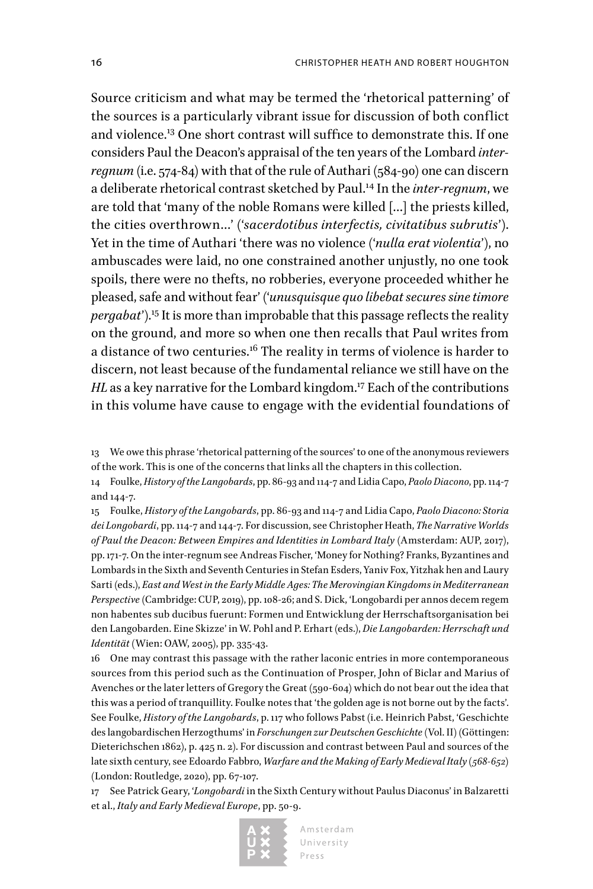Source criticism and what may be termed the 'rhetorical patterning' of the sources is a particularly vibrant issue for discussion of both conflict and violence.13 One short contrast will suffice to demonstrate this. If one considers Paul the Deacon's appraisal of the ten years of the Lombard *interregnum* (i.e. 574-84) with that of the rule of Authari (584-90) one can discern a deliberate rhetorical contrast sketched by Paul.14 In the *inter-regnum*, we are told that 'many of the noble Romans were killed […] the priests killed, the cities overthrown…' ('*sacerdotibus interfectis, civitatibus subrutis*'). Yet in the time of Authari 'there was no violence ('*nulla erat violentia*'), no ambuscades were laid, no one constrained another unjustly, no one took spoils, there were no thefts, no robberies, everyone proceeded whither he pleased, safe and without fear' ('*unusquisque quo libebat secures sine timore pergabat*').<sup>15</sup> It is more than improbable that this passage reflects the reality on the ground, and more so when one then recalls that Paul writes from a distance of two centuries.<sup>16</sup> The reality in terms of violence is harder to discern, not least because of the fundamental reliance we still have on the *HL* as a key narrative for the Lombard kingdom.<sup>17</sup> Each of the contributions in this volume have cause to engage with the evidential foundations of

13 We owe this phrase 'rhetorical patterning of the sources' to one of the anonymous reviewers of the work. This is one of the concerns that links all the chapters in this collection.

14 Foulke, *History of the Langobards*, pp. 86-93 and 114-7 and Lidia Capo, *Paolo Diacono*, pp. 114-7 and 144-7.

15 Foulke, *History of the Langobards*, pp. 86-93 and 114-7 and Lidia Capo, *Paolo Diacono: Storia dei Longobardi*, pp. 114-7 and 144-7. For discussion, see Christopher Heath, *The Narrative Worlds of Paul the Deacon: Between Empires and Identities in Lombard Italy* (Amsterdam: AUP, 2017), pp. 171-7. On the inter-regnum see Andreas Fischer, 'Money for Nothing? Franks, Byzantines and Lombards in the Sixth and Seventh Centuries in Stefan Esders, Yaniv Fox, Yitzhak hen and Laury Sarti (eds.), *East and West in the Early Middle Ages: The Merovingian Kingdoms in Mediterranean Perspective* (Cambridge: CUP, 2019), pp. 108-26; and S. Dick, 'Longobardi per annos decem regem non habentes sub ducibus fuerunt: Formen und Entwicklung der Herrschaftsorganisation bei den Langobarden. Eine Skizze' in W. Pohl and P. Erhart (eds.), *Die Langobarden: Herrschaft und Identität* (Wien: OAW, 2005), pp. 335-43.

16 One may contrast this passage with the rather laconic entries in more contemporaneous sources from this period such as the Continuation of Prosper, John of Biclar and Marius of Avenches or the later letters of Gregory the Great (590-604) which do not bear out the idea that this was a period of tranquillity. Foulke notes that 'the golden age is not borne out by the facts'. See Foulke, *History of the Langobards*, p. 117 who follows Pabst (i.e. Heinrich Pabst, 'Geschichte des langobardischen Herzogthums' in *Forschungen zur Deutschen Geschichte* (Vol. II) (Göttingen: Dieterichschen 1862), p. 425 n. 2). For discussion and contrast between Paul and sources of the late sixth century, see Edoardo Fabbro, *Warfare and the Making of Early Medieval Italy (568-652)* (London: Routledge, 2020), pp. 67-107.

17 See Patrick Geary, '*Longobardi* in the Sixth Century without Paulus Diaconus' in Balzaretti et al., *Italy and Early Medieval Europe*, pp. 50-9.

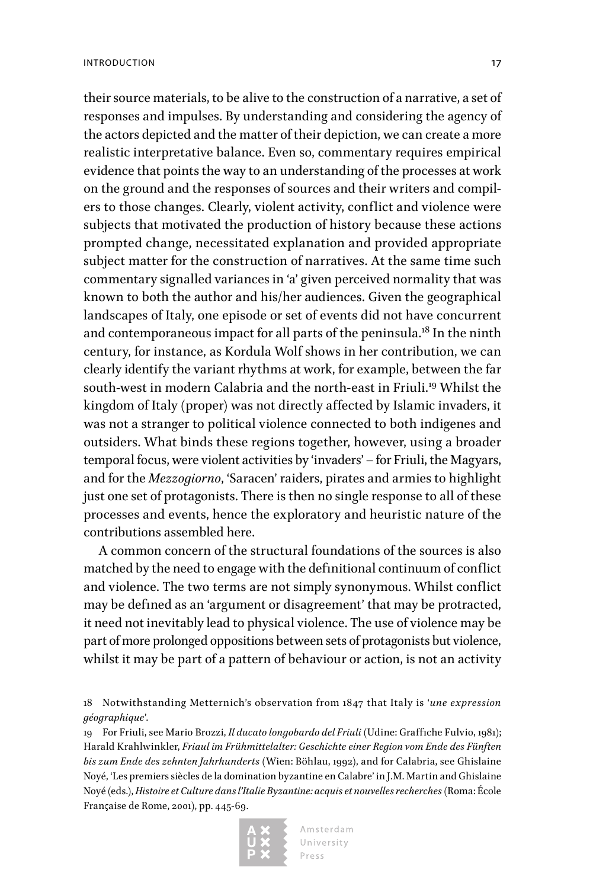their source materials, to be alive to the construction of a narrative, a set of responses and impulses. By understanding and considering the agency of the actors depicted and the matter of their depiction, we can create a more realistic interpretative balance. Even so, commentary requires empirical evidence that points the way to an understanding of the processes at work on the ground and the responses of sources and their writers and compilers to those changes. Clearly, violent activity, conflict and violence were subjects that motivated the production of history because these actions prompted change, necessitated explanation and provided appropriate subject matter for the construction of narratives. At the same time such commentary signalled variances in 'a' given perceived normality that was known to both the author and his/her audiences. Given the geographical landscapes of Italy, one episode or set of events did not have concurrent and contemporaneous impact for all parts of the peninsula.<sup>18</sup> In the ninth century, for instance, as Kordula Wolf shows in her contribution, we can clearly identify the variant rhythms at work, for example, between the far south-west in modern Calabria and the north-east in Friuli.<sup>19</sup> Whilst the kingdom of Italy (proper) was not directly affected by Islamic invaders, it was not a stranger to political violence connected to both indigenes and outsiders. What binds these regions together, however, using a broader temporal focus, were violent activities by 'invaders' – for Friuli, the Magyars, and for the *Mezzogiorno*, 'Saracen' raiders, pirates and armies to highlight just one set of protagonists. There is then no single response to all of these processes and events, hence the exploratory and heuristic nature of the contributions assembled here.

A common concern of the structural foundations of the sources is also matched by the need to engage with the definitional continuum of conflict and violence. The two terms are not simply synonymous. Whilst conflict may be defined as an 'argument or disagreement' that may be protracted, it need not inevitably lead to physical violence. The use of violence may be part of more prolonged oppositions between sets of protagonists but violence, whilst it may be part of a pattern of behaviour or action, is not an activity

18 Notwithstanding Metternich's observation from 1847 that Italy is '*une expression géographique*'.

19 For Friuli, see Mario Brozzi, *Il ducato longobardo del Friuli* (Udine: Graffiche Fulvio, 1981); Harald Krahlwinkler, *Friaul im Frühmittelalter: Geschichte einer Region vom Ende des Fünften bis zum Ende des zehnten Jahrhunderts* (Wien: Böhlau, 1992), and for Calabria, see Ghislaine Noyé, 'Les premiers siècles de la domination byzantine en Calabre' in J.M. Martin and Ghislaine Noyé (eds.), *Histoire et Culture dans l'Italie Byzantine: acquis et nouvelles recherches* (Roma: École Franςaise de Rome, 2001), pp. 445-69.

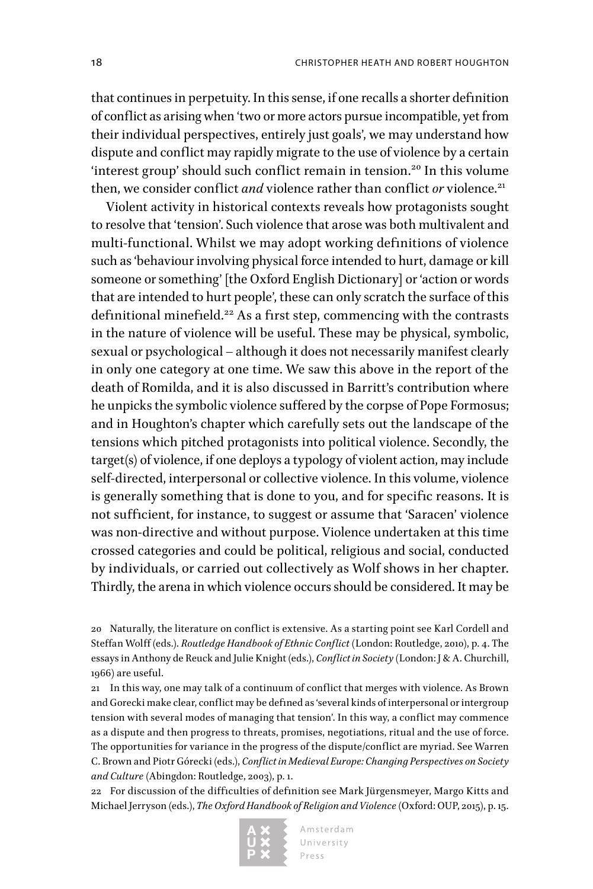that continues in perpetuity. In this sense, if one recalls a shorter definition of conflict as arising when 'two or more actors pursue incompatible, yet from their individual perspectives, entirely just goals', we may understand how dispute and conflict may rapidly migrate to the use of violence by a certain 'interest group' should such conflict remain in tension.<sup>20</sup> In this volume then, we consider conflict *and* violence rather than conflict *or* violence.<sup>21</sup>

Violent activity in historical contexts reveals how protagonists sought to resolve that 'tension'. Such violence that arose was both multivalent and multi-functional. Whilst we may adopt working definitions of violence such as 'behaviour involving physical force intended to hurt, damage or kill someone or something' [the Oxford English Dictionary] or 'action or words that are intended to hurt people', these can only scratch the surface of this definitional minefield.<sup>22</sup> As a first step, commencing with the contrasts in the nature of violence will be useful. These may be physical, symbolic, sexual or psychological – although it does not necessarily manifest clearly in only one category at one time. We saw this above in the report of the death of Romilda, and it is also discussed in Barritt's contribution where he unpicks the symbolic violence suffered by the corpse of Pope Formosus; and in Houghton's chapter which carefully sets out the landscape of the tensions which pitched protagonists into political violence. Secondly, the target(s) of violence, if one deploys a typology of violent action, may include self-directed, interpersonal or collective violence. In this volume, violence is generally something that is done to you, and for specific reasons. It is not sufficient, for instance, to suggest or assume that 'Saracen' violence was non-directive and without purpose. Violence undertaken at this time crossed categories and could be political, religious and social, conducted by individuals, or carried out collectively as Wolf shows in her chapter. Thirdly, the arena in which violence occurs should be considered. It may be

20 Naturally, the literature on conflict is extensive. As a starting point see Karl Cordell and Steffan Wolff (eds.). *Routledge Handbook of Ethnic Conflict* (London: Routledge, 2010), p. 4. The essays in Anthony de Reuck and Julie Knight (eds.), *Conflict in Society* (London: J & A. Churchill, 1966) are useful.

21 In this way, one may talk of a continuum of conflict that merges with violence. As Brown and Gorecki make clear, conflict may be defined as 'several kinds of interpersonal or intergroup tension with several modes of managing that tension'. In this way, a conflict may commence as a dispute and then progress to threats, promises, negotiations, ritual and the use of force. The opportunities for variance in the progress of the dispute/conflict are myriad. See Warren C. Brown and Piotr Górecki (eds.), *Conflict in Medieval Europe: Changing Perspectives on Society and Culture* (Abingdon: Routledge, 2003), p. 1.

22 For discussion of the difficulties of definition see Mark Jürgensmeyer, Margo Kitts and Michael Jerryson (eds.), *The Oxford Handbook of Religion and Violence* (Oxford: OUP, 2015), p. 15.

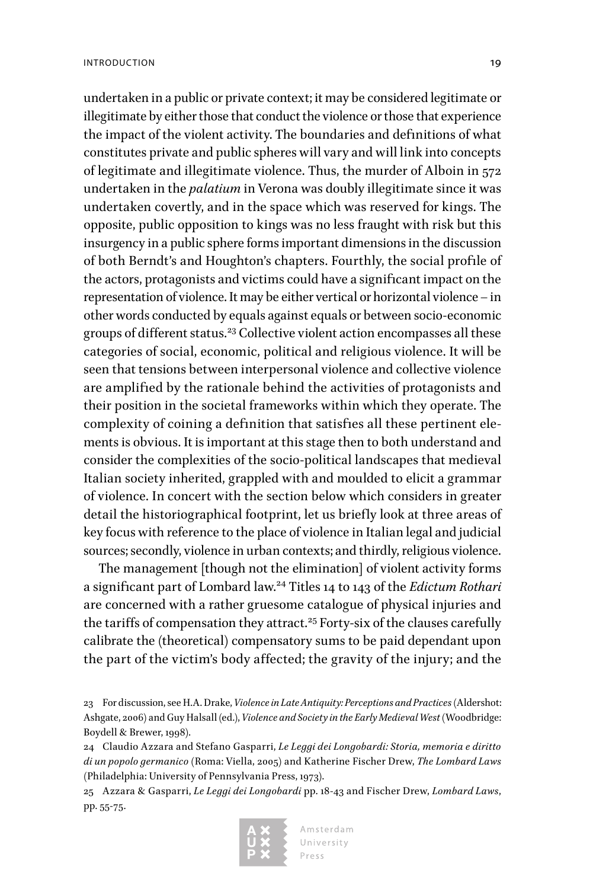undertaken in a public or private context; it may be considered legitimate or illegitimate by either those that conduct the violence or those that experience the impact of the violent activity. The boundaries and definitions of what constitutes private and public spheres will vary and will link into concepts of legitimate and illegitimate violence. Thus, the murder of Alboin in 572 undertaken in the *palatium* in Verona was doubly illegitimate since it was undertaken covertly, and in the space which was reserved for kings. The opposite, public opposition to kings was no less fraught with risk but this insurgency in a public sphere forms important dimensions in the discussion of both Berndt's and Houghton's chapters. Fourthly, the social profile of the actors, protagonists and victims could have a significant impact on the representation of violence. It may be either vertical or horizontal violence – in other words conducted by equals against equals or between socio-economic groups of different status.<sup>23</sup> Collective violent action encompasses all these categories of social, economic, political and religious violence. It will be seen that tensions between interpersonal violence and collective violence are amplified by the rationale behind the activities of protagonists and their position in the societal frameworks within which they operate. The complexity of coining a definition that satisfies all these pertinent elements is obvious. It is important at this stage then to both understand and consider the complexities of the socio-political landscapes that medieval Italian society inherited, grappled with and moulded to elicit a grammar of violence. In concert with the section below which considers in greater detail the historiographical footprint, let us briefly look at three areas of key focus with reference to the place of violence in Italian legal and judicial sources; secondly, violence in urban contexts; and thirdly, religious violence.

The management [though not the elimination] of violent activity forms a significant part of Lombard law.24 Titles 14 to 143 of the *Edictum Rothari* are concerned with a rather gruesome catalogue of physical injuries and the tariffs of compensation they attract.<sup>25</sup> Forty-six of the clauses carefully calibrate the (theoretical) compensatory sums to be paid dependant upon the part of the victim's body affected; the gravity of the injury; and the

<sup>25</sup> Azzara & Gasparri, *Le Leggi dei Longobardi* pp. 18-43 and Fischer Drew, *Lombard Laws*, pp. 55-75.



<sup>23</sup> For discussion, see H.A. Drake, *Violence in Late Antiquity: Perceptions and Practices* (Aldershot: Ashgate, 2006) and Guy Halsall (ed.), *Violence and Society in the Early Medieval West* (Woodbridge: Boydell & Brewer, 1998).

<sup>24</sup> Claudio Azzara and Stefano Gasparri, *Le Leggi dei Longobardi: Storia, memoria e diritto di un popolo germanico* (Roma: Viella, 2005) and Katherine Fischer Drew, *The Lombard Laws* (Philadelphia: University of Pennsylvania Press, 1973).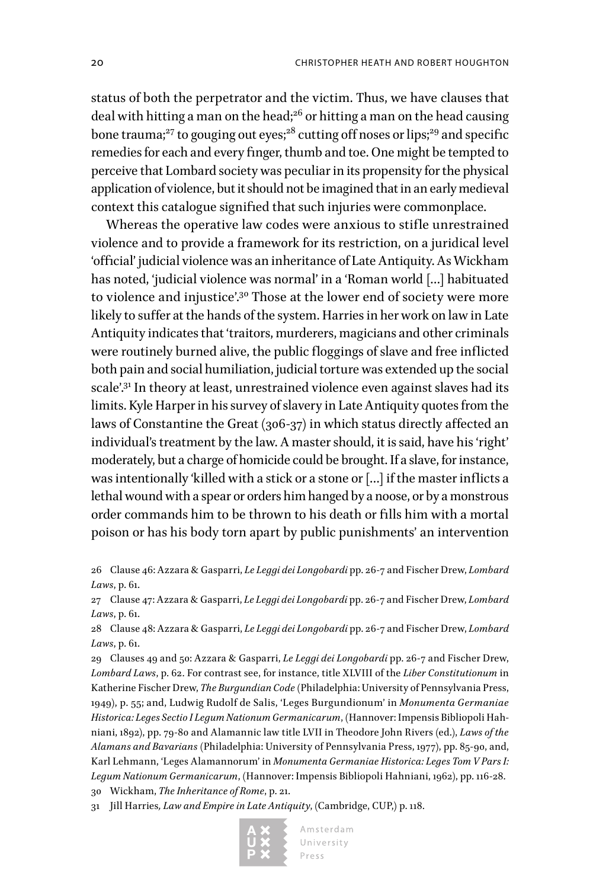status of both the perpetrator and the victim. Thus, we have clauses that deal with hitting a man on the head;<sup>26</sup> or hitting a man on the head causing bone trauma;<sup>27</sup> to gouging out eyes;<sup>28</sup> cutting off noses or lips;<sup>29</sup> and specific remedies for each and every finger, thumb and toe. One might be tempted to perceive that Lombard society was peculiar in its propensity for the physical application of violence, but it should not be imagined that in an early medieval context this catalogue signified that such injuries were commonplace.

Whereas the operative law codes were anxious to stifle unrestrained violence and to provide a framework for its restriction, on a juridical level 'official' judicial violence was an inheritance of Late Antiquity. As Wickham has noted, 'judicial violence was normal' in a 'Roman world […] habituated to violence and injustice'.<sup>30</sup> Those at the lower end of society were more likely to suffer at the hands of the system. Harries in her work on law in Late Antiquity indicates that 'traitors, murderers, magicians and other criminals were routinely burned alive, the public floggings of slave and free inflicted both pain and social humiliation, judicial torture was extended up the social scale'.<sup>31</sup> In theory at least, unrestrained violence even against slaves had its limits. Kyle Harper in his survey of slavery in Late Antiquity quotes from the laws of Constantine the Great (306-37) in which status directly affected an individual's treatment by the law. A master should, it is said, have his 'right' moderately, but a charge of homicide could be brought. If a slave, for instance, was intentionally 'killed with a stick or a stone or […] if the master inflicts a lethal wound with a spear or orders him hanged by a noose, or by a monstrous order commands him to be thrown to his death or fills him with a mortal poison or has his body torn apart by public punishments' an intervention

26 Clause 46: Azzara & Gasparri, *Le Leggi dei Longobardi* pp. 26-7 and Fischer Drew, *Lombard Laws*, p. 61.

27 Clause 47: Azzara & Gasparri, *Le Leggi dei Longobardi* pp. 26-7 and Fischer Drew, *Lombard Laws*, p. 61.

28 Clause 48: Azzara & Gasparri, *Le Leggi dei Longobardi* pp. 26-7 and Fischer Drew, *Lombard Laws*, p. 61.

29 Clauses 49 and 50: Azzara & Gasparri, *Le Leggi dei Longobardi* pp. 26-7 and Fischer Drew, *Lombard Laws*, p. 62. For contrast see, for instance, title XLVIII of the *Liber Constitutionum* in Katherine Fischer Drew, *The Burgundian Code* (Philadelphia: University of Pennsylvania Press, 1949), p. 55; and, Ludwig Rudolf de Salis, 'Leges Burgundionum' in *Monumenta Germaniae Historica: Leges Sectio I Legum Nationum Germanicarum*, (Hannover: Impensis Bibliopoli Hahniani, 1892), pp. 79-80 and Alamannic law title LVII in Theodore John Rivers (ed.), *Laws of the Alamans and Bavarians* (Philadelphia: University of Pennsylvania Press, 1977), pp. 85-90, and, Karl Lehmann, 'Leges Alamannorum' in *Monumenta Germaniae Historica: Leges Tom V Pars I: Legum Nationum Germanicarum*, (Hannover: Impensis Bibliopoli Hahniani, 1962), pp. 116-28. 30 Wickham, *The Inheritance of Rome*, p. 21.

31 Jill Harries*, Law and Empire in Late Antiquity*, (Cambridge, CUP,) p. 118.

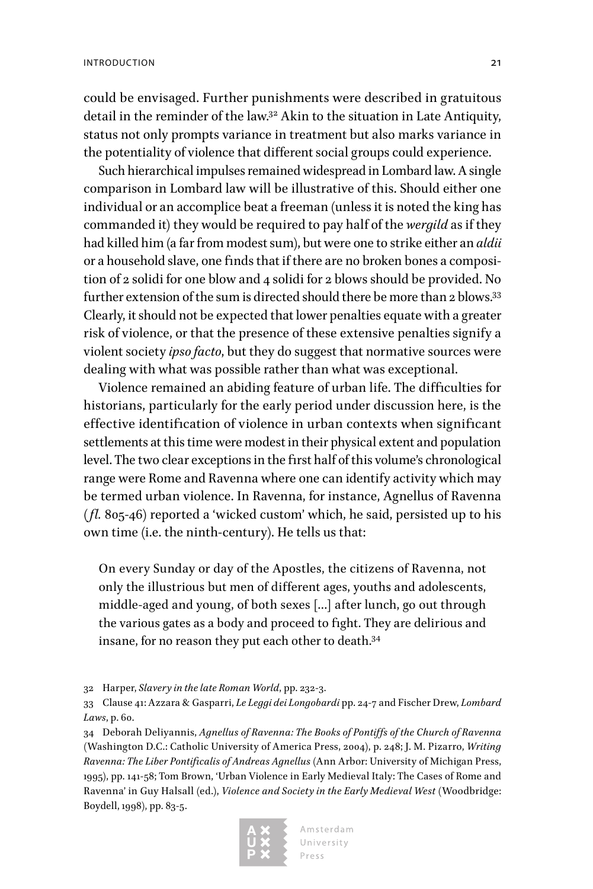could be envisaged. Further punishments were described in gratuitous detail in the reminder of the law.<sup>32</sup> Akin to the situation in Late Antiquity, status not only prompts variance in treatment but also marks variance in the potentiality of violence that different social groups could experience.

Such hierarchical impulses remained widespread in Lombard law. A single comparison in Lombard law will be illustrative of this. Should either one individual or an accomplice beat a freeman (unless it is noted the king has commanded it) they would be required to pay half of the *wergild* as if they had killed him (a far from modest sum), but were one to strike either an *aldii* or a household slave, one finds that if there are no broken bones a composition of 2 solidi for one blow and 4 solidi for 2 blows should be provided. No further extension of the sum is directed should there be more than 2 blows.<sup>33</sup> Clearly, it should not be expected that lower penalties equate with a greater risk of violence, or that the presence of these extensive penalties signify a violent society *ipso facto*, but they do suggest that normative sources were dealing with what was possible rather than what was exceptional.

Violence remained an abiding feature of urban life. The difficulties for historians, particularly for the early period under discussion here, is the effective identification of violence in urban contexts when significant settlements at this time were modest in their physical extent and population level. The two clear exceptions in the first half of this volume's chronological range were Rome and Ravenna where one can identify activity which may be termed urban violence. In Ravenna, for instance, Agnellus of Ravenna (*fl.* 805-46) reported a 'wicked custom' which, he said, persisted up to his own time (i.e. the ninth-century). He tells us that:

On every Sunday or day of the Apostles, the citizens of Ravenna, not only the illustrious but men of different ages, youths and adolescents, middle-aged and young, of both sexes […] after lunch, go out through the various gates as a body and proceed to fight. They are delirious and insane, for no reason they put each other to death.34

32 Harper, *Slavery in the late Roman World*, pp. 232-3.

34 Deborah Deliyannis, *Agnellus of Ravenna: The Books of Pontiffs of the Church of Ravenna*  (Washington D.C.: Catholic University of America Press, 2004), p. 248; J. M. Pizarro, *Writing Ravenna: The Liber Pontificalis of Andreas Agnellus* (Ann Arbor: University of Michigan Press, 1995), pp. 141-58; Tom Brown, 'Urban Violence in Early Medieval Italy: The Cases of Rome and Ravenna' in Guy Halsall (ed.), *Violence and Society in the Early Medieval West* (Woodbridge: Boydell, 1998), pp. 83-5.



<sup>33</sup> Clause 41: Azzara & Gasparri, *Le Leggi dei Longobardi* pp. 24-7 and Fischer Drew, *Lombard Laws*, p. 60.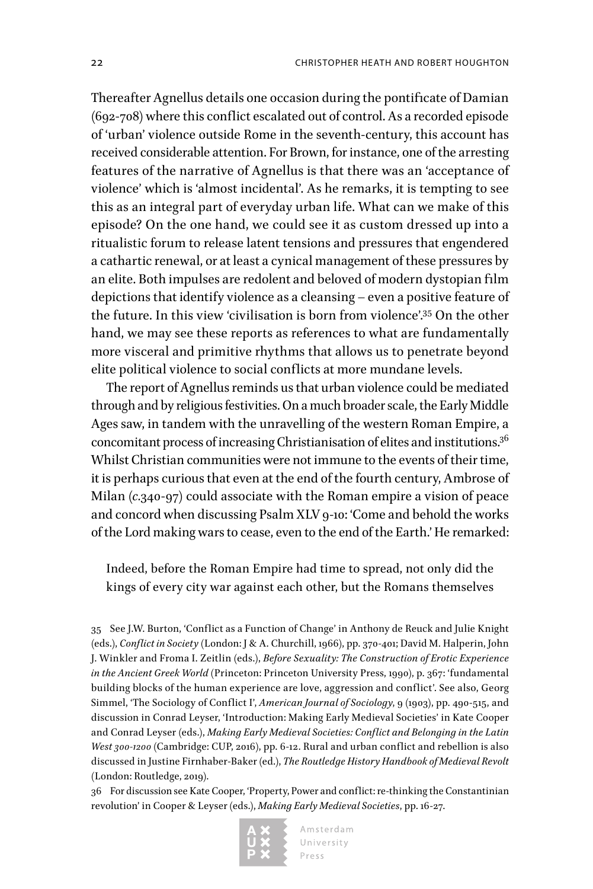Thereafter Agnellus details one occasion during the pontificate of Damian (692-708) where this conflict escalated out of control. As a recorded episode of 'urban' violence outside Rome in the seventh-century, this account has received considerable attention. For Brown, for instance, one of the arresting features of the narrative of Agnellus is that there was an 'acceptance of violence' which is 'almost incidental'. As he remarks, it is tempting to see this as an integral part of everyday urban life. What can we make of this episode? On the one hand, we could see it as custom dressed up into a ritualistic forum to release latent tensions and pressures that engendered a cathartic renewal, or at least a cynical management of these pressures by an elite. Both impulses are redolent and beloved of modern dystopian film depictions that identify violence as a cleansing – even a positive feature of the future. In this view 'civilisation is born from violence'.35 On the other hand, we may see these reports as references to what are fundamentally more visceral and primitive rhythms that allows us to penetrate beyond elite political violence to social conflicts at more mundane levels.

The report of Agnellus reminds us that urban violence could be mediated through and by religious festivities. On a much broader scale, the Early Middle Ages saw, in tandem with the unravelling of the western Roman Empire, a concomitant process of increasing Christianisation of elites and institutions.36 Whilst Christian communities were not immune to the events of their time, it is perhaps curious that even at the end of the fourth century, Ambrose of Milan (*c.*340-97) could associate with the Roman empire a vision of peace and concord when discussing Psalm XLV 9-10: 'Come and behold the works of the Lord making wars to cease, even to the end of the Earth.' He remarked:

Indeed, before the Roman Empire had time to spread, not only did the kings of every city war against each other, but the Romans themselves

35 See J.W. Burton, 'Conflict as a Function of Change' in Anthony de Reuck and Julie Knight (eds.), *Conflict in Society* (London: J & A. Churchill, 1966), pp. 370-401; David M. Halperin, John J. Winkler and Froma I. Zeitlin (eds.), *Before Sexuality: The Construction of Erotic Experience in the Ancient Greek World* (Princeton: Princeton University Press, 1990), p. 367: 'fundamental building blocks of the human experience are love, aggression and conflict'. See also, Georg Simmel, 'The Sociology of Conflict I', *American Journal of Sociology*, 9 (1903), pp. 490-515, and discussion in Conrad Leyser, 'Introduction: Making Early Medieval Societies' in Kate Cooper and Conrad Leyser (eds.), *Making Early Medieval Societies: Conflict and Belonging in the Latin West 300-1200* (Cambridge: CUP, 2016), pp. 6-12. Rural and urban conflict and rebellion is also discussed in Justine Firnhaber-Baker (ed.), *The Routledge History Handbook of Medieval Revolt* (London: Routledge, 2019).

36 For discussion see Kate Cooper, 'Property, Power and conflict: re-thinking the Constantinian revolution' in Cooper & Leyser (eds.), *Making Early Medieval Societies*, pp. 16-27.

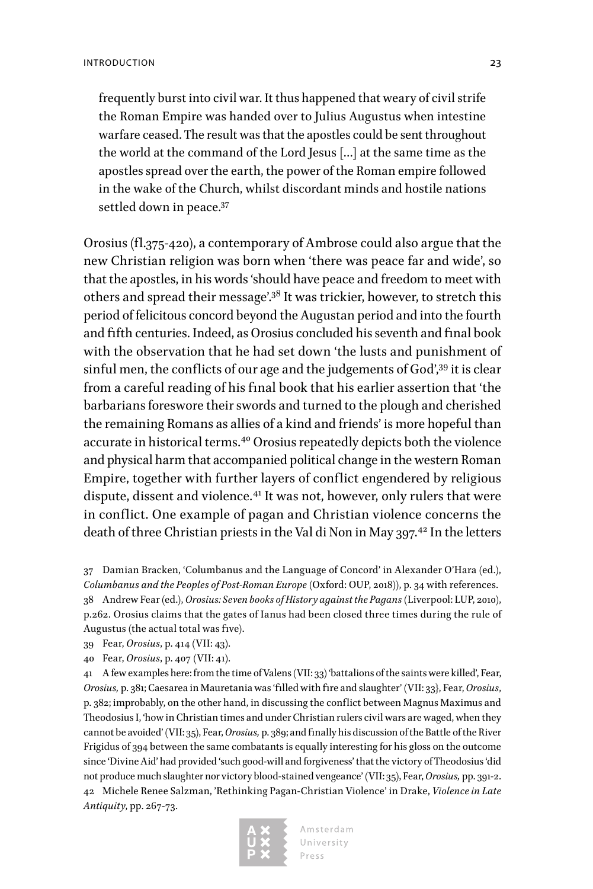frequently burst into civil war. It thus happened that weary of civil strife the Roman Empire was handed over to Julius Augustus when intestine warfare ceased. The result was that the apostles could be sent throughout the world at the command of the Lord Jesus […] at the same time as the apostles spread over the earth, the power of the Roman empire followed in the wake of the Church, whilst discordant minds and hostile nations settled down in peace.<sup>37</sup>

Orosius (fl.375-420), a contemporary of Ambrose could also argue that the new Christian religion was born when 'there was peace far and wide', so that the apostles, in his words 'should have peace and freedom to meet with others and spread their message'.38 It was trickier, however, to stretch this period of felicitous concord beyond the Augustan period and into the fourth and fifth centuries. Indeed, as Orosius concluded his seventh and final book with the observation that he had set down 'the lusts and punishment of sinful men, the conflicts of our age and the judgements of God',<sup>39</sup> it is clear from a careful reading of his final book that his earlier assertion that 'the barbarians foreswore their swords and turned to the plough and cherished the remaining Romans as allies of a kind and friends' is more hopeful than accurate in historical terms.40 Orosius repeatedly depicts both the violence and physical harm that accompanied political change in the western Roman Empire, together with further layers of conflict engendered by religious dispute, dissent and violence.<sup>41</sup> It was not, however, only rulers that were in conflict. One example of pagan and Christian violence concerns the death of three Christian priests in the Val di Non in May 397.<sup>42</sup> In the letters

37 Damian Bracken, 'Columbanus and the Language of Concord' in Alexander O'Hara (ed.), *Columbanus and the Peoples of Post-Roman Europe* (Oxford: OUP, 2018)), p. 34 with references. 38 Andrew Fear (ed.), *Orosius: Seven books of History against the Pagans* (Liverpool: LUP, 2010), p.262. Orosius claims that the gates of Ianus had been closed three times during the rule of Augustus (the actual total was five).

39 Fear, *Orosius*, p. 414 (VII: 43).

40 Fear, *Orosius*, p. 407 (VII: 41).

41 A few examples here: from the time of Valens (VII: 33) 'battalions of the saints were killed', Fear, *Orosius,* p. 381; Caesarea in Mauretania was 'filled with fire and slaughter' (VII: 33}, Fear, *Orosius*, p. 382; improbably, on the other hand, in discussing the conflict between Magnus Maximus and Theodosius I, 'how in Christian times and under Christian rulers civil wars are waged, when they cannot be avoided' (VII: 35), Fear, *Orosius,* p. 389; and finally his discussion of the Battle of the River Frigidus of 394 between the same combatants is equally interesting for his gloss on the outcome since 'Divine Aid' had provided 'such good-will and forgiveness' that the victory of Theodosius 'did not produce much slaughter nor victory blood-stained vengeance' (VII: 35), Fear, *Orosius,* pp. 391-2. 42 Michele Renee Salzman, 'Rethinking Pagan-Christian Violence' in Drake, *Violence in Late Antiquity*, pp. 267-73.

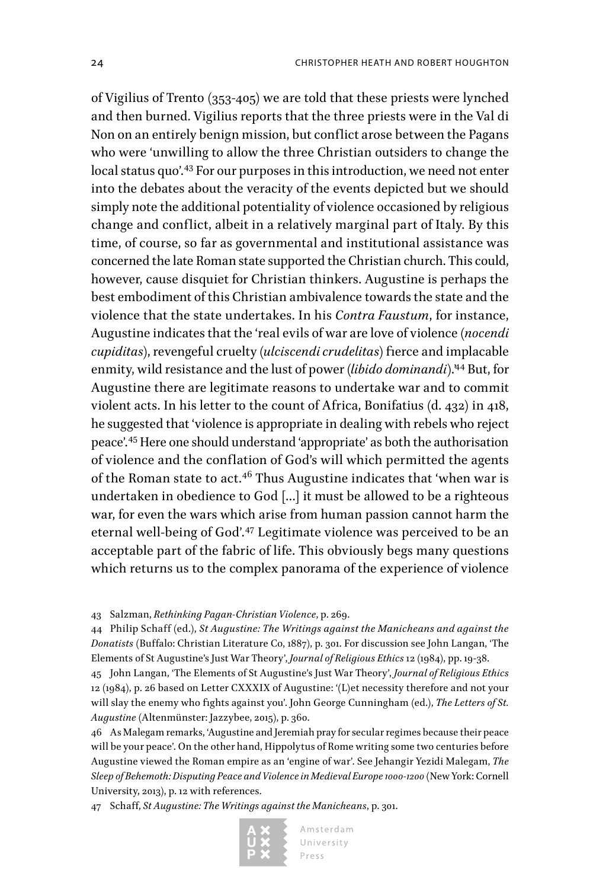of Vigilius of Trento (353-405) we are told that these priests were lynched and then burned. Vigilius reports that the three priests were in the Val di Non on an entirely benign mission, but conflict arose between the Pagans who were 'unwilling to allow the three Christian outsiders to change the local status quo'.<sup>43</sup> For our purposes in this introduction, we need not enter into the debates about the veracity of the events depicted but we should simply note the additional potentiality of violence occasioned by religious change and conflict, albeit in a relatively marginal part of Italy. By this time, of course, so far as governmental and institutional assistance was concerned the late Roman state supported the Christian church. This could, however, cause disquiet for Christian thinkers. Augustine is perhaps the best embodiment of this Christian ambivalence towards the state and the violence that the state undertakes. In his *Contra Faustum*, for instance, Augustine indicates that the 'real evils of war are love of violence (*nocendi cupiditas*), revengeful cruelty (*ulciscendi crudelitas*) fierce and implacable enmity, wild resistance and the lust of power (*libido dominandi*).<sup>44</sup> But, for Augustine there are legitimate reasons to undertake war and to commit violent acts. In his letter to the count of Africa, Bonifatius (d. 432) in 418, he suggested that 'violence is appropriate in dealing with rebels who reject peace'.45 Here one should understand 'appropriate' as both the authorisation of violence and the conflation of God's will which permitted the agents of the Roman state to act.<sup>46</sup> Thus Augustine indicates that 'when war is undertaken in obedience to God […] it must be allowed to be a righteous war, for even the wars which arise from human passion cannot harm the eternal well-being of God'.47 Legitimate violence was perceived to be an acceptable part of the fabric of life. This obviously begs many questions which returns us to the complex panorama of the experience of violence

43 Salzman, *Rethinking Pagan-Christian Violence*, p. 269.

44 Philip Schaff (ed.), *St Augustine: The Writings against the Manicheans and against the Donatists* (Buffalo: Christian Literature Co, 1887), p. 301. For discussion see John Langan, 'The Elements of St Augustine's Just War Theory', *Journal of Religious Ethics* 12 (1984), pp. 19-38.

45 John Langan, 'The Elements of St Augustine's Just War Theory', *Journal of Religious Ethics* 12 (1984), p. 26 based on Letter CXXXIX of Augustine: '(L)et necessity therefore and not your will slay the enemy who fights against you'. John George Cunningham (ed.), *The Letters of St. Augustine* (Altenmünster: Jazzybee, 2015), p. 360.

46 As Malegam remarks, 'Augustine and Jeremiah pray for secular regimes because their peace will be your peace'. On the other hand, Hippolytus of Rome writing some two centuries before Augustine viewed the Roman empire as an 'engine of war'. See Jehangir Yezidi Malegam, *The Sleep of Behemoth: Disputing Peace and Violence in Medieval Europe 1000-1200* (New York: Cornell University, 2013), p. 12 with references.

47 Schaff, *St Augustine: The Writings against the Manicheans*, p. 301.

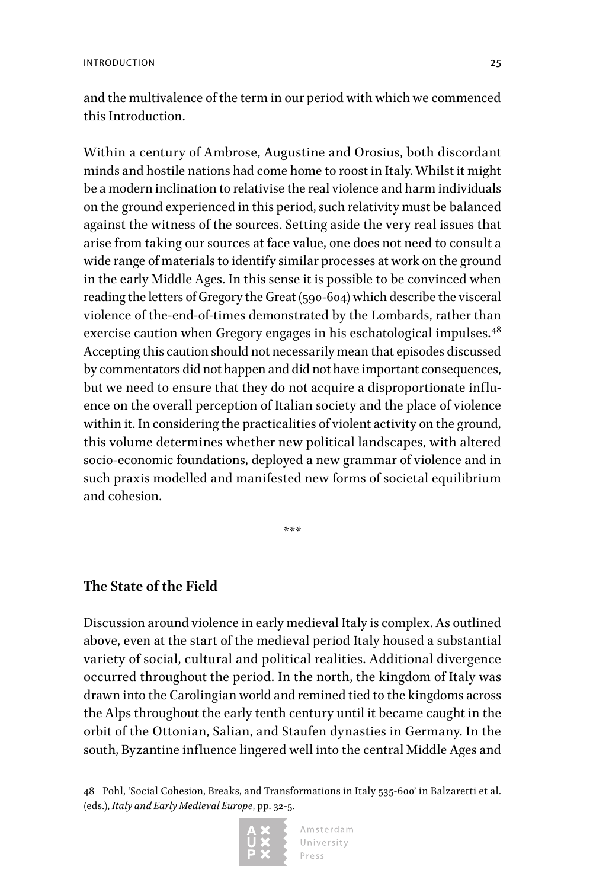and the multivalence of the term in our period with which we commenced this Introduction.

Within a century of Ambrose, Augustine and Orosius, both discordant minds and hostile nations had come home to roost in Italy. Whilst it might be a modern inclination to relativise the real violence and harm individuals on the ground experienced in this period, such relativity must be balanced against the witness of the sources. Setting aside the very real issues that arise from taking our sources at face value, one does not need to consult a wide range of materials to identify similar processes at work on the ground in the early Middle Ages. In this sense it is possible to be convinced when reading the letters of Gregory the Great (590-604) which describe the visceral violence of the-end-of-times demonstrated by the Lombards, rather than exercise caution when Gregory engages in his eschatological impulses.<sup>48</sup> Accepting this caution should not necessarily mean that episodes discussed by commentators did not happen and did not have important consequences, but we need to ensure that they do not acquire a disproportionate influence on the overall perception of Italian society and the place of violence within it. In considering the practicalities of violent activity on the ground, this volume determines whether new political landscapes, with altered socio-economic foundations, deployed a new grammar of violence and in such praxis modelled and manifested new forms of societal equilibrium and cohesion.

### **The State of the Field**

Discussion around violence in early medieval Italy is complex. As outlined above, even at the start of the medieval period Italy housed a substantial variety of social, cultural and political realities. Additional divergence occurred throughout the period. In the north, the kingdom of Italy was drawn into the Carolingian world and remined tied to the kingdoms across the Alps throughout the early tenth century until it became caught in the orbit of the Ottonian, Salian, and Staufen dynasties in Germany. In the south, Byzantine influence lingered well into the central Middle Ages and

\*\*\*

<sup>48</sup> Pohl, 'Social Cohesion, Breaks, and Transformations in Italy 535-600' in Balzaretti et al. (eds.), *Italy and Early Medieval Europe*, pp. 32-5.

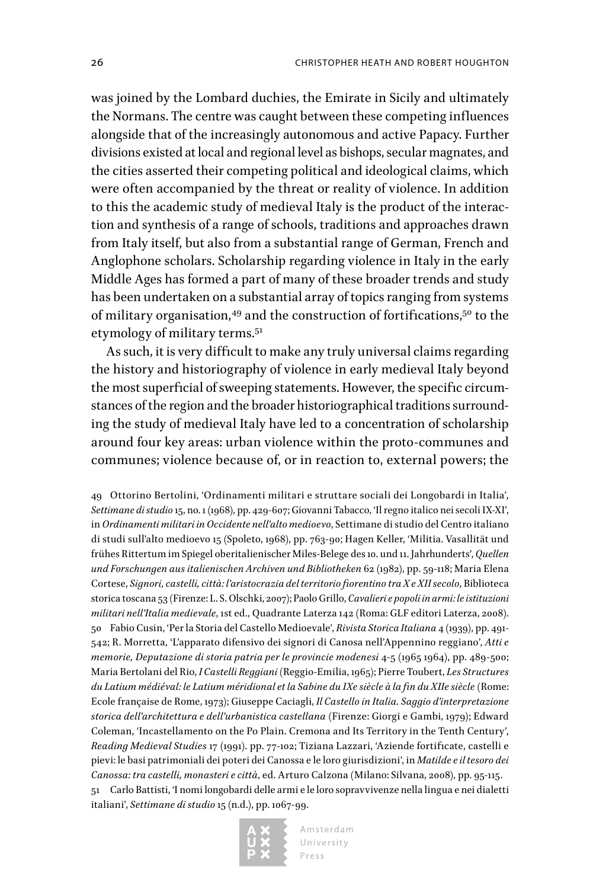was joined by the Lombard duchies, the Emirate in Sicily and ultimately the Normans. The centre was caught between these competing influences alongside that of the increasingly autonomous and active Papacy. Further divisions existed at local and regional level as bishops, secular magnates, and the cities asserted their competing political and ideological claims, which were often accompanied by the threat or reality of violence. In addition to this the academic study of medieval Italy is the product of the interaction and synthesis of a range of schools, traditions and approaches drawn from Italy itself, but also from a substantial range of German, French and Anglophone scholars. Scholarship regarding violence in Italy in the early Middle Ages has formed a part of many of these broader trends and study has been undertaken on a substantial array of topics ranging from systems of military organisation,<sup>49</sup> and the construction of fortifications,<sup>50</sup> to the etymology of military terms.51

As such, it is very difficult to make any truly universal claims regarding the history and historiography of violence in early medieval Italy beyond the most superficial of sweeping statements. However, the specific circumstances of the region and the broader historiographical traditions surrounding the study of medieval Italy have led to a concentration of scholarship around four key areas: urban violence within the proto-communes and communes; violence because of, or in reaction to, external powers; the

49 Ottorino Bertolini, 'Ordinamenti militari e struttare sociali dei Longobardi in Italia', *Settimane di studio* 15, no. 1 (1968), pp. 429-607; Giovanni Tabacco, 'Il regno italico nei secoli IX-XI', in *Ordinamenti militari in Occidente nell'alto medioevo*, Settimane di studio del Centro italiano di studi sull'alto medioevo 15 (Spoleto, 1968), pp. 763-90; Hagen Keller, 'Militia. Vasallität und frühes Rittertum im Spiegel oberitalienischer Miles-Belege des 10. und 11. Jahrhunderts', *Quellen und Forschungen aus italienischen Archiven und Bibliotheken* 62 (1982), pp. 59-118; Maria Elena Cortese, *Signori, castelli, città: l'aristocrazia del territorio fiorentino tra X e XII secolo*, Biblioteca storica toscana 53 (Firenze: L. S. Olschki, 2007); Paolo Grillo, *Cavalieri e popoli in armi: le istituzioni militari nell'Italia medievale*, 1st ed., Quadrante Laterza 142 (Roma: GLF editori Laterza, 2008). 50 Fabio Cusin, 'Per la Storia del Castello Medioevale', *Rivista Storica Italiana* 4 (1939), pp. 491- 542; R. Morretta, 'L'apparato difensivo dei signori di Canosa nell'Appennino reggiano', *Atti e memorie, Deputazione di storia patria per le provincie modenesi* 4-5 (1965 1964), pp. 489-500; Maria Bertolani del Rio, *I Castelli Reggiani* (Reggio-Emilia, 1965); Pierre Toubert, *Les Structures du Latium médiéval: le Latium méridional et la Sabine du IXe siècle à la fin du XIIe siècle* (Rome: Ecole française de Rome, 1973); Giuseppe Caciagli, *Il Castello in Italia. Saggio d'interpretazione storica dell'architettura e dell'urbanistica castellana* (Firenze: Giorgi e Gambi, 1979); Edward Coleman, 'Incastellamento on the Po Plain. Cremona and Its Territory in the Tenth Century', *Reading Medieval Studies* 17 (1991). pp. 77-102; Tiziana Lazzari, 'Aziende fortificate, castelli e pievi: le basi patrimoniali dei poteri dei Canossa e le loro giurisdizioni', in *Matilde e il tesoro dei Canossa: tra castelli, monasteri e città*, ed. Arturo Calzona (Milano: Silvana, 2008), pp. 95-115. 51 Carlo Battisti, 'I nomi longobardi delle armi e le loro sopravvivenze nella lingua e nei dialetti italiani', *Settimane di studio* 15 (n.d.), pp. 1067-99.

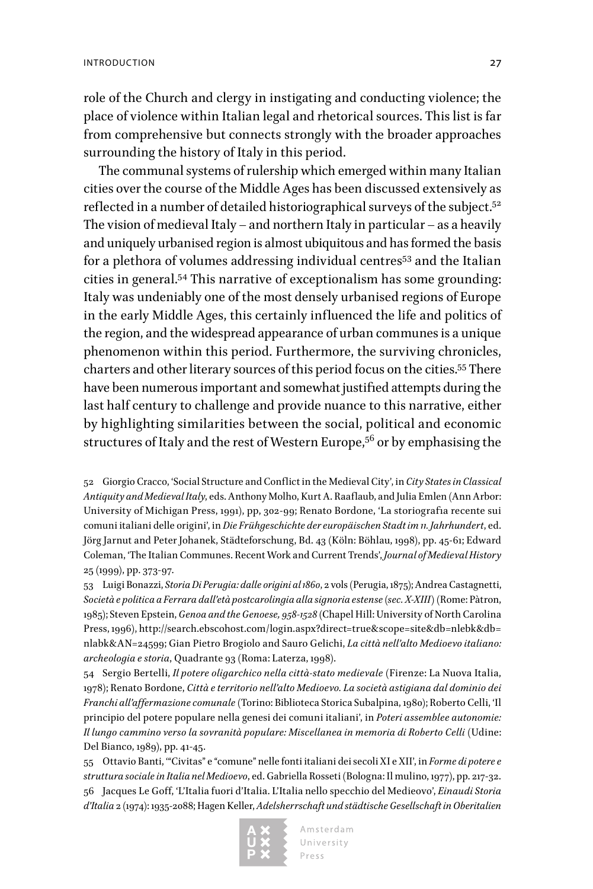role of the Church and clergy in instigating and conducting violence; the place of violence within Italian legal and rhetorical sources. This list is far from comprehensive but connects strongly with the broader approaches surrounding the history of Italy in this period.

The communal systems of rulership which emerged within many Italian cities over the course of the Middle Ages has been discussed extensively as reflected in a number of detailed historiographical surveys of the subject.<sup>52</sup> The vision of medieval Italy – and northern Italy in particular – as a heavily and uniquely urbanised region is almost ubiquitous and has formed the basis for a plethora of volumes addressing individual centres<sup>53</sup> and the Italian cities in general.54 This narrative of exceptionalism has some grounding: Italy was undeniably one of the most densely urbanised regions of Europe in the early Middle Ages, this certainly influenced the life and politics of the region, and the widespread appearance of urban communes is a unique phenomenon within this period. Furthermore, the surviving chronicles, charters and other literary sources of this period focus on the cities.55 There have been numerous important and somewhat justified attempts during the last half century to challenge and provide nuance to this narrative, either by highlighting similarities between the social, political and economic structures of Italy and the rest of Western Europe,<sup>56</sup> or by emphasising the

52 Giorgio Cracco, 'Social Structure and Conflict in the Medieval City', in *City States in Classical Antiquity and Medieval Italy*, eds. Anthony Molho, Kurt A. Raaflaub, and Julia Emlen (Ann Arbor: University of Michigan Press, 1991), pp, 302-99; Renato Bordone, 'La storiografia recente sui comuni italiani delle origini', in *Die Frühgeschichte der europäischen Stadt im 11. Jahrhundert*, ed. Jörg Jarnut and Peter Johanek, Städteforschung, Bd. 43 (Köln: Böhlau, 1998), pp. 45-61; Edward Coleman, 'The Italian Communes. Recent Work and Current Trends', *Journal of Medieval History* 25 (1999), pp. 373-97.

53 Luigi Bonazzi, *Storia Di Perugia: dalle origini al 1860*, 2 vols (Perugia, 1875); Andrea Castagnetti, *Società e politica a Ferrara dall'età postcarolingia alla signoria estense (sec. X-XIII)* (Rome: Pàtron, 1985); Steven Epstein, *Genoa and the Genoese, 958-1528* (Chapel Hill: University of North Carolina Press, 1996), [http://search.ebscohost.com/login.aspx?direct=true&scope=site&db=nlebk&db=](http://search.ebscohost.com/login.aspx?direct=true&scope=site&db=nlebk&db=nlabk&AN=24599) [nlabk&AN=24599;](http://search.ebscohost.com/login.aspx?direct=true&scope=site&db=nlebk&db=nlabk&AN=24599) Gian Pietro Brogiolo and Sauro Gelichi, *La città nell'alto Medioevo italiano: archeologia e storia*, Quadrante 93 (Roma: Laterza, 1998).

54 Sergio Bertelli, *Il potere oligarchico nella città-stato medievale* (Firenze: La Nuova Italia, 1978); Renato Bordone, *Città e territorio nell'alto Medioevo. La società astigiana dal dominio dei Franchi all'affermazione comunale* (Torino: Biblioteca Storica Subalpina, 1980); Roberto Celli, 'Il principio del potere populare nella genesi dei comuni italiani', in *Poteri assemblee autonomie: Il lungo cammino verso la sovranità populare: Miscellanea in memoria di Roberto Celli* (Udine: Del Bianco, 1989), pp. 41-45.

55 Ottavio Banti, '"Civitas" e "comune" nelle fonti italiani dei secoli XI e XII', in *Forme di potere e struttura sociale in Italia nel Medioevo*, ed. Gabriella Rosseti (Bologna: Il mulino, 1977), pp. 217-32. 56 Jacques Le Goff, 'L'Italia fuori d'Italia. L'Italia nello specchio del Medieovo', *Einaudi Storia d'Italia* 2 (1974): 1935-2088; Hagen Keller, *Adelsherrschaft und städtische Gesellschaft in Oberitalien* 

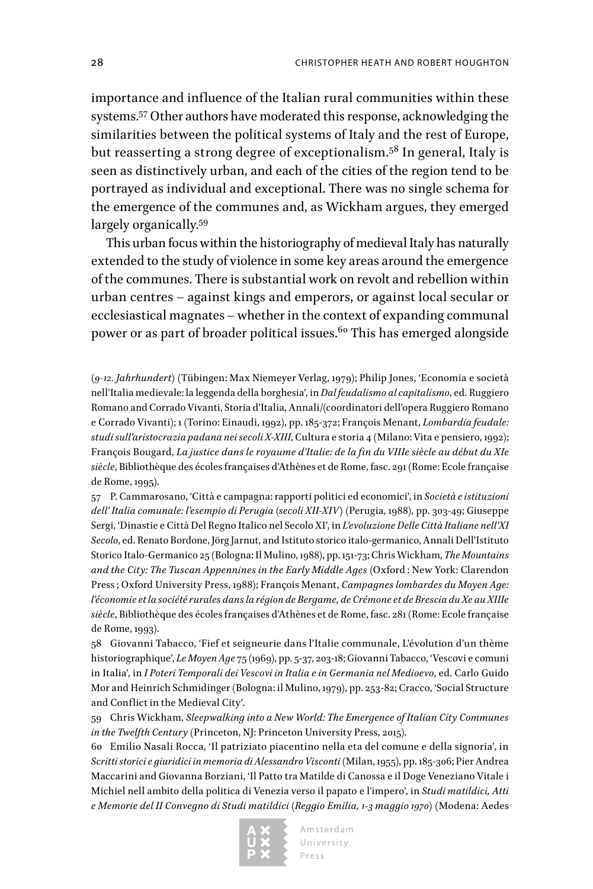importance and influence of the Italian rural communities within these systems.57 Other authors have moderated this response, acknowledging the similarities between the political systems of Italy and the rest of Europe, but reasserting a strong degree of exceptionalism.58 In general, Italy is seen as distinctively urban, and each of the cities of the region tend to be portrayed as individual and exceptional. There was no single schema for the emergence of the communes and, as Wickham argues, they emerged largely organically.59

This urban focus within the historiography of medieval Italy has naturally extended to the study of violence in some key areas around the emergence of the communes. There is substantial work on revolt and rebellion within urban centres – against kings and emperors, or against local secular or ecclesiastical magnates – whether in the context of expanding communal power or as part of broader political issues.<sup>60</sup> This has emerged alongside

*(9-12. Jahrhundert)* (Tübingen: Max Niemeyer Verlag, 1979); Philip Jones, 'Economia e società nell'Italia medievale: la leggenda della borghesia', in *Dal feudalismo al capitalismo*, ed. Ruggiero Romano and Corrado Vivanti, Storia d'Italia, Annali/(coordinatori dell'opera Ruggiero Romano e Corrado Vivanti); 1 (Torino: Einaudi, 1992), pp. 185-372; François Menant, *Lombardia feudale: studi sull'aristocrazia padana nei secoli X-XIII*, Cultura e storia 4 (Milano: Vita e pensiero, 1992); François Bougard, *La justice dans le royaume d'Italie: de la fin du VIIIe siècle au début du XIe siècle*, Bibliothèque des écoles françaises d'Athènes et de Rome, fasc. 291 (Rome: Ecole française de Rome, 1995).

57 P. Cammarosano, 'Città e campagna: rapporti politici ed economici', in *Società e istituzioni dell' Italia comunale: l'esempio di Perugia (secoli XII-XIV)* (Perugia, 1988), pp. 303-49; Giuseppe Sergi, 'Dinastie e Città Del Regno Italico nel Secolo XI', in *L'evoluzione Delle Città Italiane nell'XI Secolo*, ed. Renato Bordone, Jörg Jarnut, and Istituto storico italo-germanico, Annali Dell'Istituto Storico Italo-Germanico 25 (Bologna: Il Mulino, 1988), pp. 151-73; Chris Wickham, *The Mountains and the City: The Tuscan Appennines in the Early Middle Ages* (Oxford : New York: Clarendon Press ; Oxford University Press, 1988); François Menant, *Campagnes lombardes du Moyen Age: l'économie et la société rurales dans la région de Bergame, de Crémone et de Brescia du Xe au XIIIe siècle*, Bibliothèque des écoles françaises d'Athènes et de Rome, fasc. 281 (Rome: Ecole française de Rome, 1993).

58 Giovanni Tabacco, 'Fief et seigneurie dans l'Italie communale, L'évolution d'un thème historiographique', *Le Moyen Age* 75 (1969), pp. 5-37, 203-18; Giovanni Tabacco, 'Vescovi e comuni in Italia', in *I Poteri Temporali dei Vescovi in Italia e in Germania nel Medioevo*, ed. Carlo Guido Mor and Heinrich Schmidinger (Bologna: il Mulino, 1979), pp. 253-82; Cracco, 'Social Structure and Conflict in the Medieval City'.

59 Chris Wickham, *Sleepwalking into a New World: The Emergence of Italian City Communes in the Twelfth Century* (Princeton, NJ: Princeton University Press, 2015).

60 Emilio Nasali Rocca, 'Il patriziato piacentino nella eta del comune e della signoria', in *Scritti storici e giuridici in memoria di Alessandro Visconti* (Milan, 1955), pp. 185-306; Pier Andrea Maccarini and Giovanna Borziani, 'Il Patto tra Matilde di Canossa e il Doge Veneziano Vitale i Michiel nell ambito della politica di Venezia verso il papato e l'impero', in *Studi matildici, Atti e Memorie del II Convegno di Studi matildici (Reggio Emilia, 1-3 maggio 1970)* (Modena: Aedes

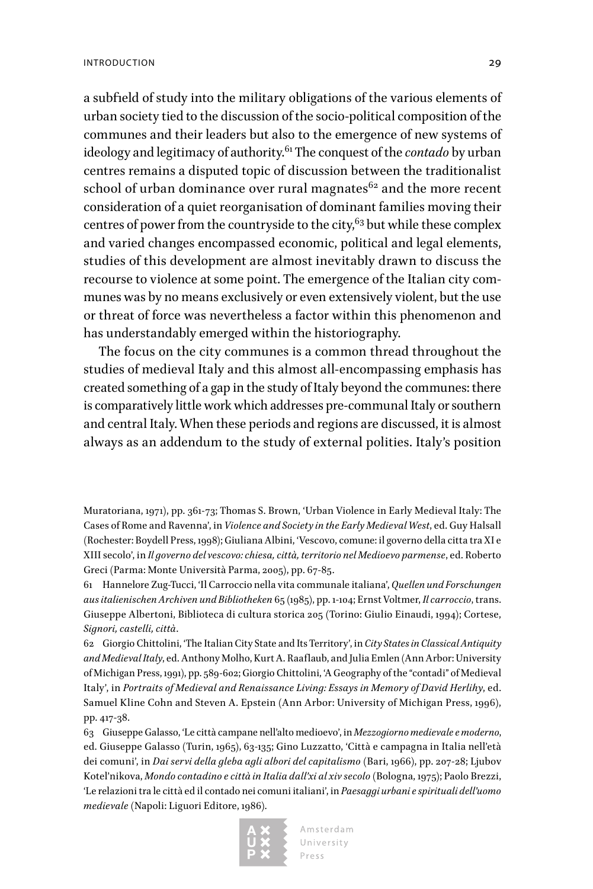a subfield of study into the military obligations of the various elements of urban society tied to the discussion of the socio-political composition of the communes and their leaders but also to the emergence of new systems of ideology and legitimacy of authority.61 The conquest of the *contado* by urban centres remains a disputed topic of discussion between the traditionalist school of urban dominance over rural magnates $62$  and the more recent consideration of a quiet reorganisation of dominant families moving their centres of power from the countryside to the city,  $63$  but while these complex and varied changes encompassed economic, political and legal elements, studies of this development are almost inevitably drawn to discuss the recourse to violence at some point. The emergence of the Italian city communes was by no means exclusively or even extensively violent, but the use or threat of force was nevertheless a factor within this phenomenon and has understandably emerged within the historiography.

The focus on the city communes is a common thread throughout the studies of medieval Italy and this almost all-encompassing emphasis has created something of a gap in the study of Italy beyond the communes: there is comparatively little work which addresses pre-communal Italy or southern and central Italy. When these periods and regions are discussed, it is almost always as an addendum to the study of external polities. Italy's position

Muratoriana, 1971), pp. 361-73; Thomas S. Brown, 'Urban Violence in Early Medieval Italy: The Cases of Rome and Ravenna', in *Violence and Society in the Early Medieval West*, ed. Guy Halsall (Rochester: Boydell Press, 1998); Giuliana Albini, 'Vescovo, comune: il governo della citta tra XI e XIII secolo', in *Il governo del vescovo: chiesa, città, territorio nel Medioevo parmense*, ed. Roberto Greci (Parma: Monte Università Parma, 2005), pp. 67-85.

61 Hannelore Zug-Tucci, 'Il Carroccio nella vita communale italiana', *Quellen und Forschungen aus italienischen Archiven und Bibliotheken* 65 (1985), pp. 1-104; Ernst Voltmer, *Il carroccio*, trans. Giuseppe Albertoni, Biblioteca di cultura storica 205 (Torino: Giulio Einaudi, 1994); Cortese, *Signori, castelli, città*.

62 Giorgio Chittolini, 'The Italian City State and Its Territory', in *City States in Classical Antiquity and Medieval Italy*, ed. Anthony Molho, Kurt A. Raaflaub, and Julia Emlen (Ann Arbor: University of Michigan Press, 1991), pp. 589-602; Giorgio Chittolini, 'A Geography of the "contadi" of Medieval Italy', in *Portraits of Medieval and Renaissance Living: Essays in Memory of David Herlihy*, ed. Samuel Kline Cohn and Steven A. Epstein (Ann Arbor: University of Michigan Press, 1996), pp. 417-38.

63 Giuseppe Galasso, 'Le città campane nell'alto medioevo', in *Mezzogiorno medievale e moderno*, ed. Giuseppe Galasso (Turin, 1965), 63-135; Gino Luzzatto, 'Città e campagna in Italia nell'età dei comuni', in *Dai servi della gleba agli albori del capitalismo* (Bari, 1966), pp. 207-28; Ljubov Kotel'nikova, *Mondo contadino e città in Italia dall'xi al xiv secolo* (Bologna, 1975); Paolo Brezzi, 'Le relazioni tra le città ed il contado nei comuni italiani', in *Paesaggi urbani e spirituali dell'uomo medievale* (Napoli: Liguori Editore, 1986).

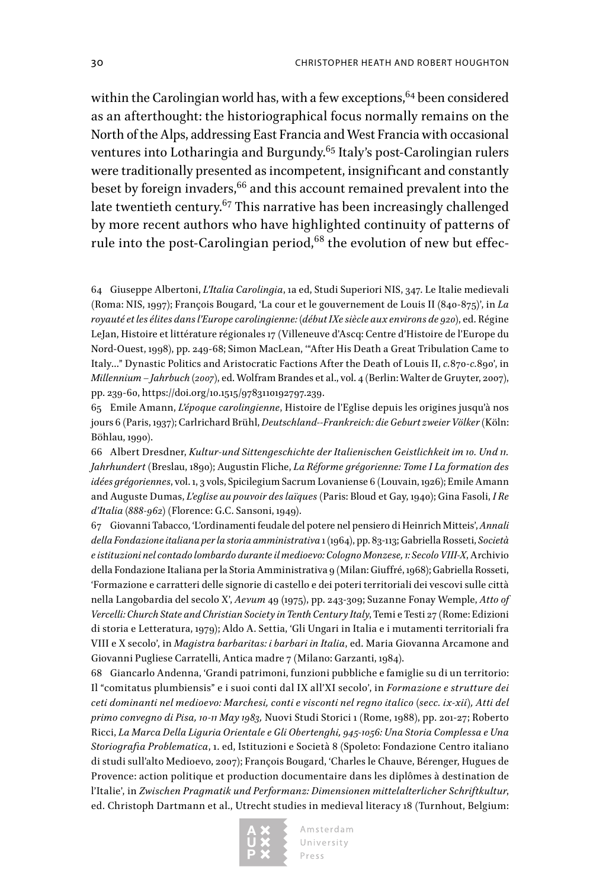within the Carolingian world has, with a few exceptions,  $64$  been considered as an afterthought: the historiographical focus normally remains on the North of the Alps, addressing East Francia and West Francia with occasional ventures into Lotharingia and Burgundy.<sup>65</sup> Italy's post-Carolingian rulers were traditionally presented as incompetent, insignificant and constantly beset by foreign invaders, <sup>66</sup> and this account remained prevalent into the late twentieth century.67 This narrative has been increasingly challenged by more recent authors who have highlighted continuity of patterns of rule into the post-Carolingian period,<sup>68</sup> the evolution of new but effec-

64 Giuseppe Albertoni, *L'Italia Carolingia*, 1a ed, Studi Superiori NIS, 347. Le Italie medievali (Roma: NIS, 1997); François Bougard, 'La cour et le gouvernement de Louis II (840-875)', in *La royauté et les élites dans l'Europe carolingienne: (début IXe siècle aux environs de 920)*, ed. Régine LeJan, Histoire et littérature régionales 17 (Villeneuve d'Ascq: Centre d'Histoire de l'Europe du Nord-Ouest, 1998), pp. 249-68; Simon MacLean, '"After His Death a Great Tribulation Came to Italy…" Dynastic Politics and Aristocratic Factions After the Death of Louis II, *c.*870-*c.*890', in *Millennium – Jahrbuch (2007)*, ed. Wolfram Brandes et al., vol. 4 (Berlin: Walter de Gruyter, 2007), pp. 239-60, [https://doi.org/10.1515/9783110192797.239.](https://doi.org/10.1515/9783110192797.239)

65 Emile Amann, *L'époque carolingienne*, Histoire de l'Eglise depuis les origines jusqu'à nos jours 6 (Paris, 1937); Carlrichard Brühl, *Deutschland--Frankreich: die Geburt zweier Völker* (Köln: Böhlau, 1990).

66 Albert Dresdner, *Kultur-und Sittengeschichte der Italienischen Geistlichkeit im 10. Und 11. Jahrhundert* (Breslau, 1890); Augustin Fliche, *La Réforme grégorienne: Tome I La formation des idées grégoriennes*, vol. 1, 3 vols, Spicilegium Sacrum Lovaniense 6 (Louvain, 1926); Emile Amann and Auguste Dumas, *L'eglise au pouvoir des laïques* (Paris: Bloud et Gay, 1940); Gina Fasoli, *I Re d'Italia (888-962)* (Florence: G.C. Sansoni, 1949).

67 Giovanni Tabacco, 'L'ordinamenti feudale del potere nel pensiero di Heinrich Mitteis', *Annali della Fondazione italiana per la storia amministrativa* 1 (1964), pp. 83-113; Gabriella Rosseti, *Società e istituzioni nel contado lombardo durante il medioevo: Cologno Monzese, 1: Secolo VIII-X*, Archivio della Fondazione Italiana per la Storia Amministrativa 9 (Milan: Giuffré, 1968); Gabriella Rosseti, 'Formazione e carratteri delle signorie di castello e dei poteri territoriali dei vescovi sulle città nella Langobardia del secolo X', *Aevum* 49 (1975), pp. 243-309; Suzanne Fonay Wemple, *Atto of Vercelli: Church State and Christian Society in Tenth Century Italy*, Temi e Testi 27 (Rome: Edizioni di storia e Letteratura, 1979); Aldo A. Settia, 'Gli Ungari in Italia e i mutamenti territoriali fra VIII e X secolo', in *Magistra barbaritas: i barbari in Italia*, ed. Maria Giovanna Arcamone and Giovanni Pugliese Carratelli, Antica madre 7 (Milano: Garzanti, 1984).

68 Giancarlo Andenna, 'Grandi patrimoni, funzioni pubbliche e famiglie su di un territorio: Il "comitatus plumbiensis" e i suoi conti dal IX all'XI secolo', in *Formazione e strutture dei ceti dominanti nel medioevo: Marchesi, conti e visconti nel regno italico (secc. ix-xii), Atti del primo convegno di Pisa, 10-11 May 1983,* Nuovi Studi Storici 1 (Rome, 1988), pp. 201-27; Roberto Ricci, *La Marca Della Liguria Orientale e Gli Obertenghi, 945-1056: Una Storia Complessa e Una Storiografia Problematica*, 1. ed, Istituzioni e Società 8 (Spoleto: Fondazione Centro italiano di studi sull'alto Medioevo, 2007); François Bougard, 'Charles le Chauve, Bérenger, Hugues de Provence: action politique et production documentaire dans les diplômes à destination de l'Italie', in *Zwischen Pragmatik und Performanz: Dimensionen mittelalterlicher Schriftkultur*, ed. Christoph Dartmann et al., Utrecht studies in medieval literacy 18 (Turnhout, Belgium:

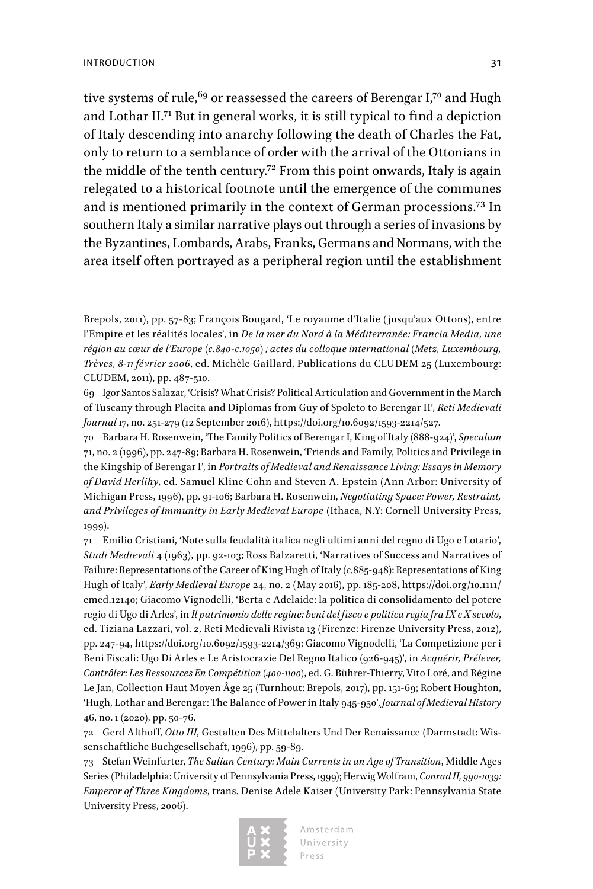tive systems of rule,  $69$  or reassessed the careers of Berengar I,  $70$  and Hugh and Lothar II.71 But in general works, it is still typical to find a depiction of Italy descending into anarchy following the death of Charles the Fat, only to return to a semblance of order with the arrival of the Ottonians in the middle of the tenth century.<sup>72</sup> From this point onwards, Italy is again relegated to a historical footnote until the emergence of the communes and is mentioned primarily in the context of German processions.73 In southern Italy a similar narrative plays out through a series of invasions by the Byzantines, Lombards, Arabs, Franks, Germans and Normans, with the area itself often portrayed as a peripheral region until the establishment

Brepols, 2011), pp. 57-83; François Bougard, 'Le royaume d'Italie (jusqu'aux Ottons), entre l'Empire et les réalités locales', in *De la mer du Nord à la Méditerranée: Francia Media, une région au cœur de l'Europe (c.840-c.1050) ; actes du colloque international (Metz, Luxembourg, Trèves, 8-11 février 2006*, ed. Michèle Gaillard, Publications du CLUDEM 25 (Luxembourg: CLUDEM, 2011), pp. 487-510.

69 Igor Santos Salazar, 'Crisis? What Crisis? Political Articulation and Government in the March of Tuscany through Placita and Diplomas from Guy of Spoleto to Berengar II', *Reti Medievali Journal* 17, no. 251-279 (12 September 2016), <https://doi.org/10.6092/1593-2214/527>.

70 Barbara H. Rosenwein, 'The Family Politics of Berengar I, King of Italy (888-924)', *Speculum* 71, no. 2 (1996), pp. 247-89; Barbara H. Rosenwein, 'Friends and Family, Politics and Privilege in the Kingship of Berengar I', in *Portraits of Medieval and Renaissance Living: Essays in Memory of David Herlihy*, ed. Samuel Kline Cohn and Steven A. Epstein (Ann Arbor: University of Michigan Press, 1996), pp. 91-106; Barbara H. Rosenwein, *Negotiating Space: Power, Restraint, and Privileges of Immunity in Early Medieval Europe* (Ithaca, N.Y: Cornell University Press, 1999).

71 Emilio Cristiani, 'Note sulla feudalità italica negli ultimi anni del regno di Ugo e Lotario', *Studi Medievali* 4 (1963), pp. 92-103; Ross Balzaretti, 'Narratives of Success and Narratives of Failure: Representations of the Career of King Hugh of Italy (*c*.885-948): Representations of King Hugh of Italy', *Early Medieval Europe* 24, no. 2 (May 2016), pp. 185-208, [https://doi.org/10.1111/](https://doi.org/10.1111/emed.12140) [emed.12140](https://doi.org/10.1111/emed.12140); Giacomo Vignodelli, 'Berta e Adelaide: la politica di consolidamento del potere regio di Ugo di Arles', in *Il patrimonio delle regine: beni del fisco e politica regia fra IX e X secolo*, ed. Tiziana Lazzari, vol. 2, Reti Medievali Rivista 13 (Firenze: Firenze University Press, 2012), pp. 247-94, [https://doi.org/10.6092/1593-2214/369;](https://doi.org/10.6092/1593-2214/369) Giacomo Vignodelli, 'La Competizione per i Beni Fiscali: Ugo Di Arles e Le Aristocrazie Del Regno Italico (926-945)', in *Acquérir, Prélever, Contrôler: Les Ressources En Compétition (400-1100)*, ed. G. Bührer-Thierry, Vito Loré, and Régine Le Jan, Collection Haut Moyen Âge 25 (Turnhout: Brepols, 2017), pp. 151-69; Robert Houghton, 'Hugh, Lothar and Berengar: The Balance of Power in Italy 945-950', *Journal of Medieval History* 46, no. 1 (2020), pp. 50-76.

72 Gerd Althoff, *Otto III*, Gestalten Des Mittelalters Und Der Renaissance (Darmstadt: Wissenschaftliche Buchgesellschaft, 1996), pp. 59-89.

73 Stefan Weinfurter, *The Salian Century: Main Currents in an Age of Transition*, Middle Ages Series (Philadelphia: University of Pennsylvania Press, 1999); Herwig Wolfram, *Conrad II, 990-1039: Emperor of Three Kingdoms*, trans. Denise Adele Kaiser (University Park: Pennsylvania State University Press, 2006).

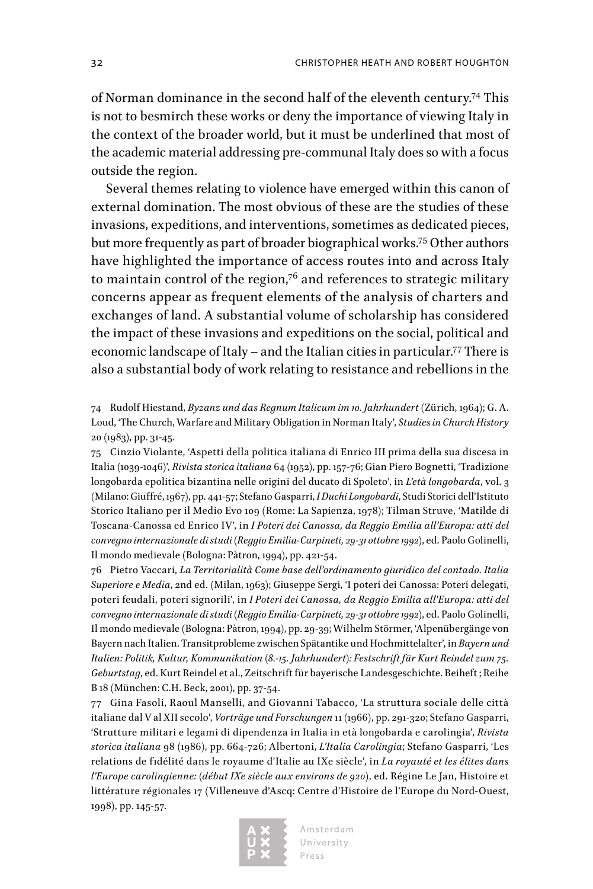of Norman dominance in the second half of the eleventh century.74 This is not to besmirch these works or deny the importance of viewing Italy in the context of the broader world, but it must be underlined that most of the academic material addressing pre-communal Italy does so with a focus outside the region.

Several themes relating to violence have emerged within this canon of external domination. The most obvious of these are the studies of these invasions, expeditions, and interventions, sometimes as dedicated pieces, but more frequently as part of broader biographical works.75 Other authors have highlighted the importance of access routes into and across Italy to maintain control of the region, $7<sup>6</sup>$  and references to strategic military concerns appear as frequent elements of the analysis of charters and exchanges of land. A substantial volume of scholarship has considered the impact of these invasions and expeditions on the social, political and economic landscape of Italy – and the Italian cities in particular.77 There is also a substantial body of work relating to resistance and rebellions in the

74 Rudolf Hiestand, *Byzanz und das Regnum Italicum im 10. Jahrhundert* (Zürich, 1964); G. A. Loud, 'The Church, Warfare and Military Obligation in Norman Italy', *Studies in Church History* 20 (1983), pp. 31-45.

75 Cinzio Violante, 'Aspetti della politica italiana di Enrico III prima della sua discesa in Italia (1039-1046)', *Rivista storica italiana* 64 (1952), pp. 157-76; Gian Piero Bognetti, 'Tradizione longobarda epolitica bizantina nelle origini del ducato di Spoleto', in *L'età longobarda*, vol. 3 (Milano: Giuffré, 1967), pp. 441-57; Stefano Gasparri, *I Duchi Longobardi*, Studi Storici dell'Istituto Storico Italiano per il Medio Evo 109 (Rome: La Sapienza, 1978); Tilman Struve, 'Matilde di Toscana-Canossa ed Enrico IV', in *I Poteri dei Canossa, da Reggio Emilia all'Europa: atti del convegno internazionale di studi (Reggio Emilia-Carpineti, 29-31 ottobre 1992)*, ed. Paolo Golinelli, Il mondo medievale (Bologna: Pàtron, 1994), pp. 421-54.

76 Pietro Vaccari, *La Territorialità Come base dell'ordinamento giuridico del contado. Italia Superiore e Media*, 2nd ed. (Milan, 1963); Giuseppe Sergi, 'I poteri dei Canossa: Poteri delegati, poteri feudali, poteri signorili', in *I Poteri dei Canossa, da Reggio Emilia all'Europa: atti del convegno internazionale di studi (Reggio Emilia-Carpineti, 29-31 ottobre 1992)*, ed. Paolo Golinelli, Il mondo medievale (Bologna: Pàtron, 1994), pp. 29-39; Wilhelm Störmer, 'Alpenübergänge von Bayern nach Italien. Transitprobleme zwischen Spätantike und Hochmittelalter', in *Bayern und Italien: Politik, Kultur, Kommunikation (8.-15. Jahrhundert): Festschrift für Kurt Reindel zum 75. Geburtstag*, ed. Kurt Reindel et al., Zeitschrift für bayerische Landesgeschichte. Beiheft ; Reihe B 18 (München: C.H. Beck, 2001), pp. 37-54.

77 Gina Fasoli, Raoul Manselli, and Giovanni Tabacco, 'La struttura sociale delle città italiane dal V al XII secolo', *Vorträge und Forschungen* 11 (1966), pp. 291-320; Stefano Gasparri, 'Strutture militari e legami di dipendenza in Italia in età longobarda e carolingia', *Rivista storica italiana* 98 (1986), pp. 664-726; Albertoni, *L'Italia Carolingia*; Stefano Gasparri, 'Les relations de fidélité dans le royaume d'Italie au IXe siècle', in *La royauté et les élites dans l'Europe carolingienne: (début IXe siècle aux environs de 920)*, ed. Régine Le Jan, Histoire et littérature régionales 17 (Villeneuve d'Ascq: Centre d'Histoire de l'Europe du Nord-Ouest, 1998), pp. 145-57.

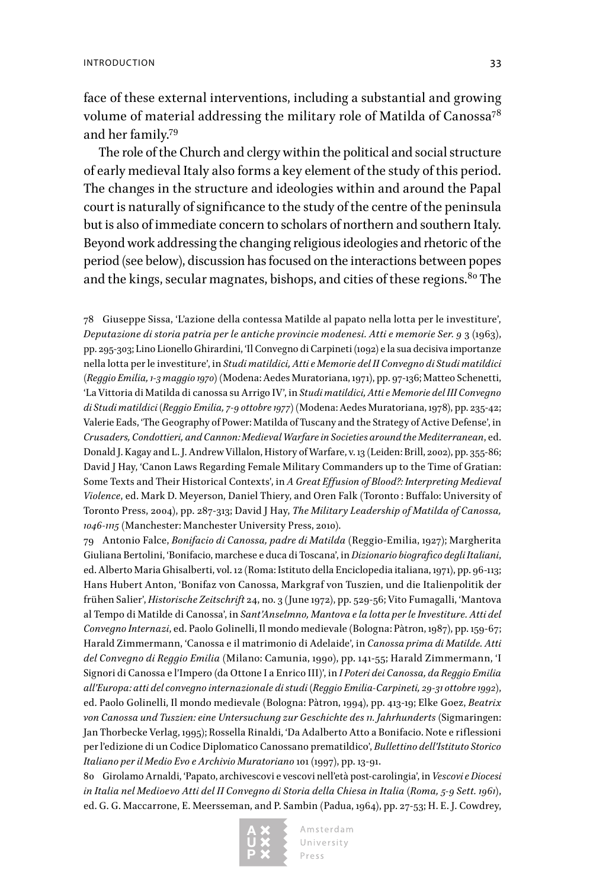face of these external interventions, including a substantial and growing volume of material addressing the military role of Matilda of Canossa<sup>78</sup> and her family.79

The role of the Church and clergy within the political and social structure of early medieval Italy also forms a key element of the study of this period. The changes in the structure and ideologies within and around the Papal court is naturally of significance to the study of the centre of the peninsula but is also of immediate concern to scholars of northern and southern Italy. Beyond work addressing the changing religious ideologies and rhetoric of the period (see below), discussion has focused on the interactions between popes and the kings, secular magnates, bishops, and cities of these regions.<sup>80</sup> The

78 Giuseppe Sissa, 'L'azione della contessa Matilde al papato nella lotta per le investiture', *Deputazione di storia patria per le antiche provincie modenesi. Atti e memorie Ser. 9* 3 (1963), pp. 295-303; Lino Lionello Ghirardini, 'Il Convegno di Carpineti (1092) e la sua decisiva importanze nella lotta per le investiture', in *Studi matildici, Atti e Memorie del II Convegno di Studi matildici (Reggio Emilia, 1-3 maggio 1970)* (Modena: Aedes Muratoriana, 1971), pp. 97-136; Matteo Schenetti, 'La Vittoria di Matilda di canossa su Arrigo IV', in *Studi matildici, Atti e Memorie del III Convegno di Studi matildici (Reggio Emilia, 7-9 ottobre 1977)* (Modena: Aedes Muratoriana, 1978), pp. 235-42; Valerie Eads, 'The Geography of Power: Matilda of Tuscany and the Strategy of Active Defense', in *Crusaders, Condottieri, and Cannon: Medieval Warfare in Societies around the Mediterranean*, ed. Donald J. Kagay and L. J. Andrew Villalon, History of Warfare, v. 13 (Leiden: Brill, 2002), pp. 355-86; David J Hay, 'Canon Laws Regarding Female Military Commanders up to the Time of Gratian: Some Texts and Their Historical Contexts', in *A Great Effusion of Blood?: Interpreting Medieval Violence*, ed. Mark D. Meyerson, Daniel Thiery, and Oren Falk (Toronto : Buffalo: University of Toronto Press, 2004), pp. 287-313; David J Hay, *The Military Leadership of Matilda of Canossa, 1046-1115* (Manchester: Manchester University Press, 2010).

79 Antonio Falce, *Bonifacio di Canossa, padre di Matilda* (Reggio-Emilia, 1927); Margherita Giuliana Bertolini, 'Bonifacio, marchese e duca di Toscana', in *Dizionario biografico degli Italiani*, ed. Alberto Maria Ghisalberti, vol. 12 (Roma: Istituto della Enciclopedia italiana, 1971), pp. 96-113; Hans Hubert Anton, 'Bonifaz von Canossa, Markgraf von Tuszien, und die Italienpolitik der frühen Salier', *Historische Zeitschrift* 24, no. 3 (June 1972), pp. 529-56; Vito Fumagalli, 'Mantova al Tempo di Matilde di Canossa', in *Sant'Anselmno, Mantova e la lotta per le Investiture. Atti del Convegno Internazi*, ed. Paolo Golinelli, Il mondo medievale (Bologna: Pàtron, 1987), pp. 159-67; Harald Zimmermann, 'Canossa e il matrimonio di Adelaide', in *Canossa prima di Matilde. Atti del Convegno di Reggio Emilia* (Milano: Camunia, 1990), pp. 141-55; Harald Zimmermann, 'I Signori di Canossa e l'Impero (da Ottone I a Enrico III)', in *I Poteri dei Canossa, da Reggio Emilia all'Europa: atti del convegno internazionale di studi (Reggio Emilia-Carpineti, 29-31 ottobre 1992)*, ed. Paolo Golinelli, Il mondo medievale (Bologna: Pàtron, 1994), pp. 413-19; Elke Goez, *Beatrix von Canossa und Tuszien: eine Untersuchung zur Geschichte des 11. Jahrhunderts* (Sigmaringen: Jan Thorbecke Verlag, 1995); Rossella Rinaldi, 'Da Adalberto Atto a Bonifacio. Note e riflessioni per l'edizione di un Codice Diplomatico Canossano prematildico', *Bullettino dell'Istituto Storico Italiano per il Medio Evo e Archivio Muratoriano* 101 (1997), pp. 13-91.

80 Girolamo Arnaldi, 'Papato, archivescovi e vescovi nell'età post-carolingia', in *Vescovi e Diocesi in Italia nel Medioevo Atti del II Convegno di Storia della Chiesa in Italia (Roma, 5-9 Sett. 1961)*, ed. G. G. Maccarrone, E. Meersseman, and P. Sambin (Padua, 1964), pp. 27-53; H. E. J. Cowdrey,

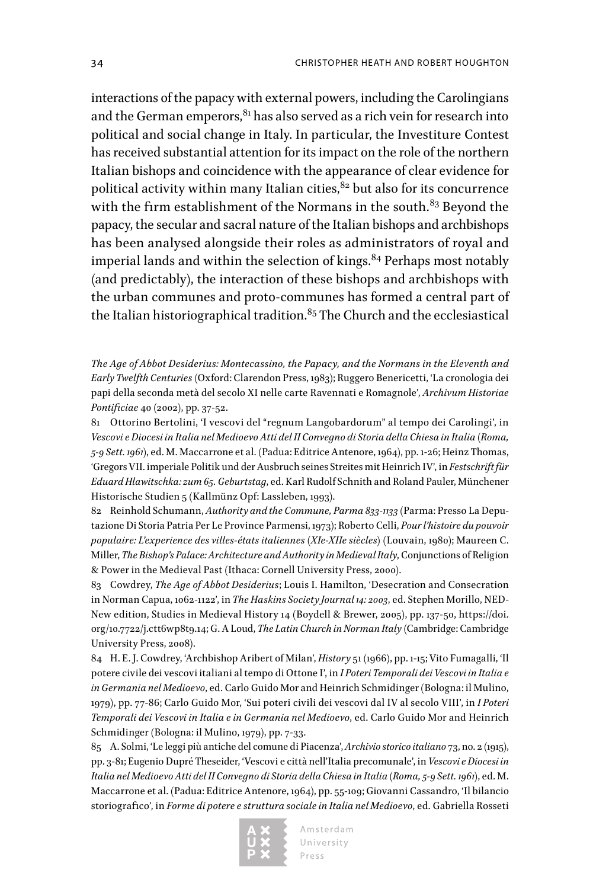interactions of the papacy with external powers, including the Carolingians and the German emperors,  $81$  has also served as a rich vein for research into political and social change in Italy. In particular, the Investiture Contest has received substantial attention for its impact on the role of the northern Italian bishops and coincidence with the appearance of clear evidence for political activity within many Italian cities, $82$  but also for its concurrence with the firm establishment of the Normans in the south.<sup>83</sup> Beyond the papacy, the secular and sacral nature of the Italian bishops and archbishops has been analysed alongside their roles as administrators of royal and imperial lands and within the selection of kings.<sup>84</sup> Perhaps most notably (and predictably), the interaction of these bishops and archbishops with the urban communes and proto-communes has formed a central part of the Italian historiographical tradition.<sup>85</sup> The Church and the ecclesiastical

*The Age of Abbot Desiderius: Montecassino, the Papacy, and the Normans in the Eleventh and Early Twelfth Centuries* (Oxford: Clarendon Press, 1983); Ruggero Benericetti, 'La cronologia dei papi della seconda metà del secolo XI nelle carte Ravennati e Romagnole', *Archivum Historiae Pontificiae* 40 (2002), pp. 37-52.

81 Ottorino Bertolini, 'I vescovi del "regnum Langobardorum" al tempo dei Carolingi', in *Vescovi e Diocesi in Italia nel Medioevo Atti del II Convegno di Storia della Chiesa in Italia (Roma, 5-9 Sett. 1961)*, ed. M. Maccarrone et al. (Padua: Editrice Antenore, 1964), pp. 1-26; Heinz Thomas, 'Gregors VII. imperiale Politik und der Ausbruch seines Streites mit Heinrich IV', in *Festschrift für Eduard Hlawitschka: zum 65. Geburtstag*, ed. Karl Rudolf Schnith and Roland Pauler, Münchener Historische Studien 5 (Kallmünz Opf: Lassleben, 1993).

82 Reinhold Schumann, *Authority and the Commune, Parma 833-1133* (Parma: Presso La Deputazione Di Storia Patria Per Le Province Parmensi, 1973); Roberto Celli, *Pour l'histoire du pouvoir populaire: L'experience des villes-états italiennes (XIe-XIIe siècles)* (Louvain, 1980); Maureen C. Miller, *The Bishop's Palace: Architecture and Authority in Medieval Italy*, Conjunctions of Religion & Power in the Medieval Past (Ithaca: Cornell University Press, 2000).

83 Cowdrey, *The Age of Abbot Desiderius*; Louis I. Hamilton, 'Desecration and Consecration in Norman Capua, 1062-1122', in *The Haskins Society Journal 14: 2003*, ed. Stephen Morillo, NED-New edition, Studies in Medieval History 14 (Boydell & Brewer, 2005), pp. 137-50, [https://doi.](https://doi.org/10.7722/j.ctt6wp8t9.14) [org/10.7722/j.ctt6wp8t9.14;](https://doi.org/10.7722/j.ctt6wp8t9.14) G. A Loud, *The Latin Church in Norman Italy* (Cambridge: Cambridge University Press, 2008).

84 H. E. J. Cowdrey, 'Archbishop Aribert of Milan', *History* 51 (1966), pp. 1-15; Vito Fumagalli, 'Il potere civile dei vescovi italiani al tempo di Ottone I', in *I Poteri Temporali dei Vescovi in Italia e in Germania nel Medioevo*, ed. Carlo Guido Mor and Heinrich Schmidinger (Bologna: il Mulino, 1979), pp. 77-86; Carlo Guido Mor, 'Sui poteri civili dei vescovi dal IV al secolo VIII', in *I Poteri Temporali dei Vescovi in Italia e in Germania nel Medioevo*, ed. Carlo Guido Mor and Heinrich Schmidinger (Bologna: il Mulino, 1979), pp. 7-33.

85 A. Solmi, 'Le leggi più antiche del comune di Piacenza', *Archivio storico italiano* 73, no. 2 (1915), pp. 3-81; Eugenio Dupré Theseider, 'Vescovi e città nell'Italia precomunale', in *Vescovi e Diocesi in Italia nel Medioevo Atti del II Convegno di Storia della Chiesa in Italia (Roma, 5-9 Sett. 1961)*, ed. M. Maccarrone et al. (Padua: Editrice Antenore, 1964), pp. 55-109; Giovanni Cassandro, 'Il bilancio storiografico', in *Forme di potere e struttura sociale in Italia nel Medioevo*, ed. Gabriella Rosseti

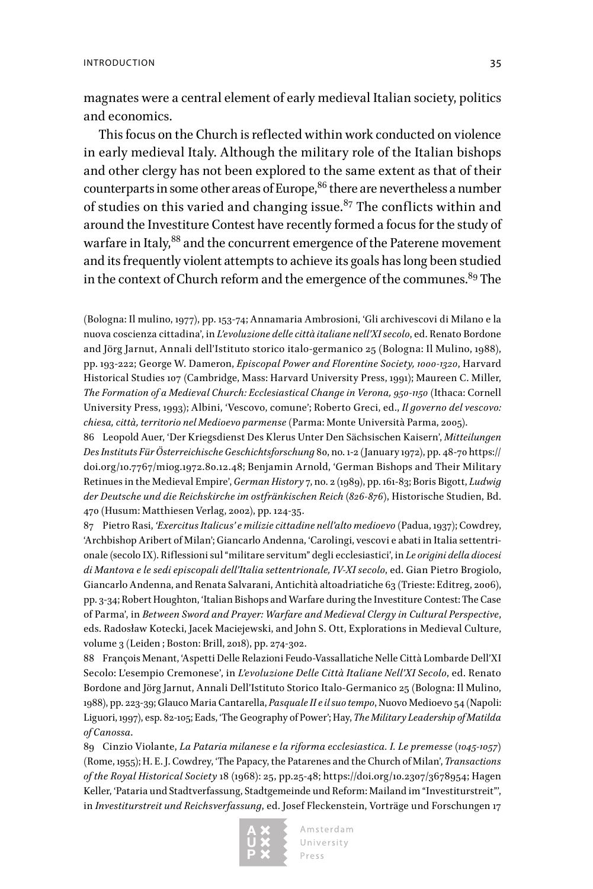magnates were a central element of early medieval Italian society, politics and economics.

This focus on the Church is reflected within work conducted on violence in early medieval Italy. Although the military role of the Italian bishops and other clergy has not been explored to the same extent as that of their counterparts in some other areas of Europe,<sup>86</sup> there are nevertheless a number of studies on this varied and changing issue. $87$  The conflicts within and around the Investiture Contest have recently formed a focus for the study of warfare in Italy,<sup>88</sup> and the concurrent emergence of the Paterene movement and its frequently violent attempts to achieve its goals has long been studied in the context of Church reform and the emergence of the communes.<sup>89</sup> The

(Bologna: Il mulino, 1977), pp. 153-74; Annamaria Ambrosioni, 'Gli archivescovi di Milano e la nuova coscienza cittadina', in *L'evoluzione delle città italiane nell'XI secolo*, ed. Renato Bordone and Jörg Jarnut, Annali dell'Istituto storico italo-germanico 25 (Bologna: Il Mulino, 1988), pp. 193-222; George W. Dameron, *Episcopal Power and Florentine Society, 1000-1320*, Harvard Historical Studies 107 (Cambridge, Mass: Harvard University Press, 1991); Maureen C. Miller, *The Formation of a Medieval Church: Ecclesiastical Change in Verona, 950-1150* (Ithaca: Cornell University Press, 1993); Albini, 'Vescovo, comune'; Roberto Greci, ed., *Il governo del vescovo: chiesa, città, territorio nel Medioevo parmense* (Parma: Monte Università Parma, 2005).

86 Leopold Auer, 'Der Kriegsdienst Des Klerus Unter Den Sächsischen Kaisern', *Mitteilungen Des Instituts Für Österreichische Geschichtsforschung* 80, no. 1-2 (January 1972), pp. 48-70 [https://](https://doi.org/10.7767/miog.1972.80.12.48) [doi.org/10.7767/miog.1972.80.12.48](https://doi.org/10.7767/miog.1972.80.12.48); Benjamin Arnold, 'German Bishops and Their Military Retinues in the Medieval Empire', *German History* 7, no. 2 (1989), pp. 161-83; Boris Bigott, *Ludwig der Deutsche und die Reichskirche im ostfränkischen Reich (826-876)*, Historische Studien, Bd. 470 (Husum: Matthiesen Verlag, 2002), pp. 124-35.

87 Pietro Rasi, *'Exercitus Italicus' e milizie cittadine nell'alto medioevo* (Padua, 1937); Cowdrey, 'Archbishop Aribert of Milan'; Giancarlo Andenna, 'Carolingi, vescovi e abati in Italia settentrionale (secolo IX). Riflessioni sul "militare servitum" degli ecclesiastici', in *Le origini della diocesi di Mantova e le sedi episcopali dell'Italia settentrionale, IV-XI secolo*, ed. Gian Pietro Brogiolo, Giancarlo Andenna, and Renata Salvarani, Antichità altoadriatiche 63 (Trieste: Editreg, 2006), pp. 3-34; Robert Houghton, 'Italian Bishops and Warfare during the Investiture Contest: The Case of Parma', in *Between Sword and Prayer: Warfare and Medieval Clergy in Cultural Perspective*, eds. Radosław Kotecki, Jacek Maciejewski, and John S. Ott, Explorations in Medieval Culture, volume 3 (Leiden ; Boston: Brill, 2018), pp. 274-302.

88 François Menant, 'Aspetti Delle Relazioni Feudo-Vassallatiche Nelle Città Lombarde Dell'XI Secolo: L'esempio Cremonese', in *L'evoluzione Delle Città Italiane Nell'XI Secolo*, ed. Renato Bordone and Jörg Jarnut, Annali Dell'Istituto Storico Italo-Germanico 25 (Bologna: Il Mulino, 1988), pp. 223-39; Glauco Maria Cantarella, *Pasquale II e il suo tempo*, Nuovo Medioevo 54 (Napoli: Liguori, 1997), esp. 82-105; Eads, 'The Geography of Power'; Hay, *The Military Leadership of Matilda of Canossa*.

89 Cinzio Violante, *La Pataria milanese e la riforma ecclesiastica. I. Le premesse (1045-1057)* (Rome, 1955); H. E. J. Cowdrey, 'The Papacy, the Patarenes and the Church of Milan', *Transactions of the Royal Historical Society* 18 (1968): 25, pp.25-48; [https://doi.org/10.2307/3678954;](https://doi.org/10.2307/3678954) Hagen Keller, 'Pataria und Stadtverfassung, Stadtgemeinde und Reform: Mailand im "Investiturstreit"', in *Investiturstreit und Reichsverfassung*, ed. Josef Fleckenstein, Vorträge und Forschungen 17

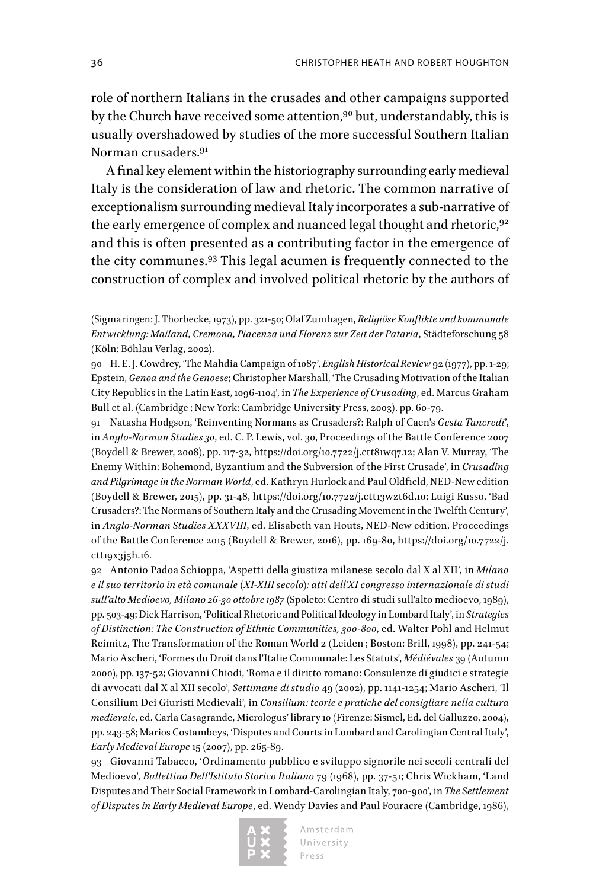role of northern Italians in the crusades and other campaigns supported by the Church have received some attention,<sup>90</sup> but, understandably, this is usually overshadowed by studies of the more successful Southern Italian Norman crusaders.91

A final key element within the historiography surrounding early medieval Italy is the consideration of law and rhetoric. The common narrative of exceptionalism surrounding medieval Italy incorporates a sub-narrative of the early emergence of complex and nuanced legal thought and rhetoric,  $92$ and this is often presented as a contributing factor in the emergence of the city communes.93 This legal acumen is frequently connected to the construction of complex and involved political rhetoric by the authors of

90 H. E. J. Cowdrey, 'The Mahdia Campaign of 1087', *English Historical Review* 92 (1977), pp. 1-29; Epstein, *Genoa and the Genoese*; Christopher Marshall, 'The Crusading Motivation of the Italian City Republics in the Latin East, 1096-1104', in *The Experience of Crusading*, ed. Marcus Graham Bull et al. (Cambridge ; New York: Cambridge University Press, 2003), pp. 60-79.

91 Natasha Hodgson, 'Reinventing Normans as Crusaders?: Ralph of Caen's *Gesta Tancredi*', in *Anglo-Norman Studies 30*, ed. C. P. Lewis, vol. 30, Proceedings of the Battle Conference 2007 (Boydell & Brewer, 2008), pp. 117-32, [https://doi.org/10.7722/j.ctt81wq7.12;](https://doi.org/10.7722/j.ctt81wq7.12) Alan V. Murray, 'The Enemy Within: Bohemond, Byzantium and the Subversion of the First Crusade', in *Crusading and Pilgrimage in the Norman World*, ed. Kathryn Hurlock and Paul Oldfield, NED-New edition (Boydell & Brewer, 2015), pp. 31-48, [https://doi.org/10.7722/j.ctt13wzt6d.10;](https://doi.org/10.7722/j.ctt13wzt6d.10) Luigi Russo, 'Bad Crusaders?: The Normans of Southern Italy and the Crusading Movement in the Twelfth Century', in *Anglo-Norman Studies XXXVIII*, ed. Elisabeth van Houts, NED-New edition, Proceedings of the Battle Conference 2015 (Boydell & Brewer, 2016), pp. 169-80, [https://doi.org/10.7722/j.](https://doi.org/10.7722/j.ctt19x3j5h.16) [ctt19x3j5h.16.](https://doi.org/10.7722/j.ctt19x3j5h.16)

92 Antonio Padoa Schioppa, 'Aspetti della giustiza milanese secolo dal X al XII', in *Milano e il suo territorio in età comunale (XI-XIII secolo): atti dell'XI congresso internazionale di studi sull'alto Medioevo, Milano 26-30 ottobre 1987* (Spoleto: Centro di studi sull'alto medioevo, 1989), pp. 503-49; Dick Harrison, 'Political Rhetoric and Political Ideology in Lombard Italy', in *Strategies of Distinction: The Construction of Ethnic Communities, 300-800*, ed. Walter Pohl and Helmut Reimitz, The Transformation of the Roman World 2 (Leiden ; Boston: Brill, 1998), pp. 241-54; Mario Ascheri, 'Formes du Droit dans l'Italie Communale: Les Statuts', *Médiévales* 39 (Autumn 2000), pp. 137-52; Giovanni Chiodi, 'Roma e il diritto romano: Consulenze di giudici e strategie di avvocati dal X al XII secolo', *Settimane di studio* 49 (2002), pp. 1141-1254; Mario Ascheri, 'Il Consilium Dei Giuristi Medievali', in *Consilium: teorie e pratiche del consigliare nella cultura medievale*, ed. Carla Casagrande, Micrologus' library 10 (Firenze: Sismel, Ed. del Galluzzo, 2004), pp. 243-58; Marios Costambeys, 'Disputes and Courts in Lombard and Carolingian Central Italy', *Early Medieval Europe* 15 (2007), pp. 265-89.

93 Giovanni Tabacco, 'Ordinamento pubblico e sviluppo signorile nei secoli centrali del Medioevo', *Bullettino Dell'Istituto Storico Italiano* 79 (1968), pp. 37-51; Chris Wickham, 'Land Disputes and Their Social Framework in Lombard-Carolingian Italy, 700-900', in *The Settlement of Disputes in Early Medieval Europe*, ed. Wendy Davies and Paul Fouracre (Cambridge, 1986),



<sup>(</sup>Sigmaringen: J. Thorbecke, 1973), pp. 321-50; Olaf Zumhagen, *Religiöse Konflikte und kommunale Entwicklung: Mailand, Cremona, Piacenza und Florenz zur Zeit der Pataria*, Städteforschung 58 (Köln: Böhlau Verlag, 2002).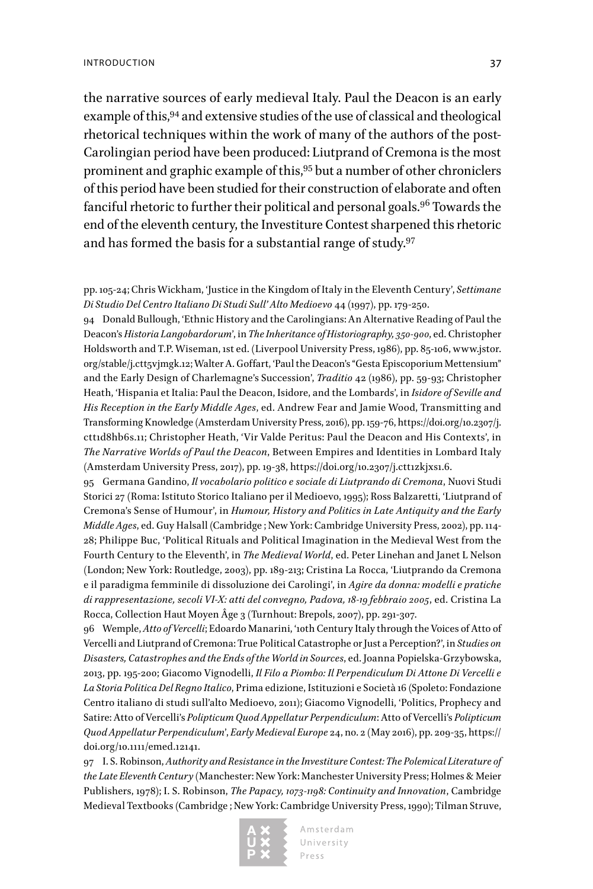#### INTRODUCTION 37

the narrative sources of early medieval Italy. Paul the Deacon is an early example of this, <sup>94</sup> and extensive studies of the use of classical and theological rhetorical techniques within the work of many of the authors of the post-Carolingian period have been produced: Liutprand of Cremona is the most prominent and graphic example of this,95 but a number of other chroniclers of this period have been studied for their construction of elaborate and often fanciful rhetoric to further their political and personal goals.<sup>96</sup> Towards the end of the eleventh century, the Investiture Contest sharpened this rhetoric and has formed the basis for a substantial range of study.97

pp. 105-24; Chris Wickham, 'Justice in the Kingdom of Italy in the Eleventh Century', *Settimane Di Studio Del Centro Italiano Di Studi Sull' Alto Medioevo* 44 (1997), pp. 179-250.

94 Donald Bullough, 'Ethnic History and the Carolingians: An Alternative Reading of Paul the Deacon's *Historia Langobardorum*', in *The Inheritance of Historiography, 350-900*, ed. Christopher Holdsworth and T.P. Wiseman, 1st ed. (Liverpool University Press, 1986), pp. 85-106, [www.jstor.](http://www.jstor.org/stable/j.ctt5vjmgk.12) [org/stable/j.ctt5vjmgk.12](http://www.jstor.org/stable/j.ctt5vjmgk.12); Walter A. Goffart, 'Paul the Deacon's "Gesta Episcoporium Mettensium" and the Early Design of Charlemagne's Succession', *Traditio* 42 (1986), pp. 59-93; Christopher Heath, 'Hispania et Italia: Paul the Deacon, Isidore, and the Lombards', in *Isidore of Seville and His Reception in the Early Middle Ages*, ed. Andrew Fear and Jamie Wood, Transmitting and Transforming Knowledge (Amsterdam University Press, 2016), pp. 159-76, [https://doi.org/10.2307/j.](https://doi.org/10.2307/j.ctt1d8hb6s.11) [ctt1d8hb6s.11;](https://doi.org/10.2307/j.ctt1d8hb6s.11) Christopher Heath, 'Vir Valde Peritus: Paul the Deacon and His Contexts', in *The Narrative Worlds of Paul the Deacon*, Between Empires and Identities in Lombard Italy (Amsterdam University Press, 2017), pp. 19-38, [https://doi.org/10.2307/j.ctt1zkjxs1.6.](https://doi.org/10.2307/j.ctt1zkjxs1.6)

95 Germana Gandino, *Il vocabolario politico e sociale di Liutprando di Cremona*, Nuovi Studi Storici 27 (Roma: Istituto Storico Italiano per il Medioevo, 1995); Ross Balzaretti, 'Liutprand of Cremona's Sense of Humour', in *Humour, History and Politics in Late Antiquity and the Early Middle Ages*, ed. Guy Halsall (Cambridge ; New York: Cambridge University Press, 2002), pp. 114- 28; Philippe Buc, 'Political Rituals and Political Imagination in the Medieval West from the Fourth Century to the Eleventh', in *The Medieval World*, ed. Peter Linehan and Janet L Nelson (London; New York: Routledge, 2003), pp. 189-213; Cristina La Rocca, 'Liutprando da Cremona e il paradigma femminile di dissoluzione dei Carolingi', in *Agire da donna: modelli e pratiche di rappresentazione, secoli VI-X: atti del convegno, Padova, 18-19 febbraio 2005*, ed. Cristina La Rocca, Collection Haut Moyen Âge 3 (Turnhout: Brepols, 2007), pp. 291-307.

96 Wemple, *Atto of Vercelli*; Edoardo Manarini, '10th Century Italy through the Voices of Atto of Vercelli and Liutprand of Cremona: True Political Catastrophe or Just a Perception?', in *Studies on Disasters, Catastrophes and the Ends of the World in Sources*, ed. Joanna Popielska-Grzybowska, 2013, pp. 195-200; Giacomo Vignodelli, *Il Filo a Piombo: Il Perpendiculum Di Attone Di Vercelli e La Storia Politica Del Regno Italico*, Prima edizione, Istituzioni e Società 16 (Spoleto: Fondazione Centro italiano di studi sull'alto Medioevo, 2011); Giacomo Vignodelli, 'Politics, Prophecy and Satire: Atto of Vercelli's *Polipticum Quod Appellatur Perpendiculum*: Atto of Vercelli's *Polipticum Quod Appellatur Perpendiculum*', *Early Medieval Europe* 24, no. 2 (May 2016), pp. 209-35, [https://](https://doi.org/10.1111/emed.12141) [doi.org/10.1111/emed.12141.](https://doi.org/10.1111/emed.12141)

97 I. S. Robinson, *Authority and Resistance in the Investiture Contest: The Polemical Literature of the Late Eleventh Century* (Manchester: New York: Manchester University Press; Holmes & Meier Publishers, 1978); I. S. Robinson, *The Papacy, 1073-1198: Continuity and Innovation*, Cambridge Medieval Textbooks (Cambridge ; New York: Cambridge University Press, 1990); Tilman Struve,

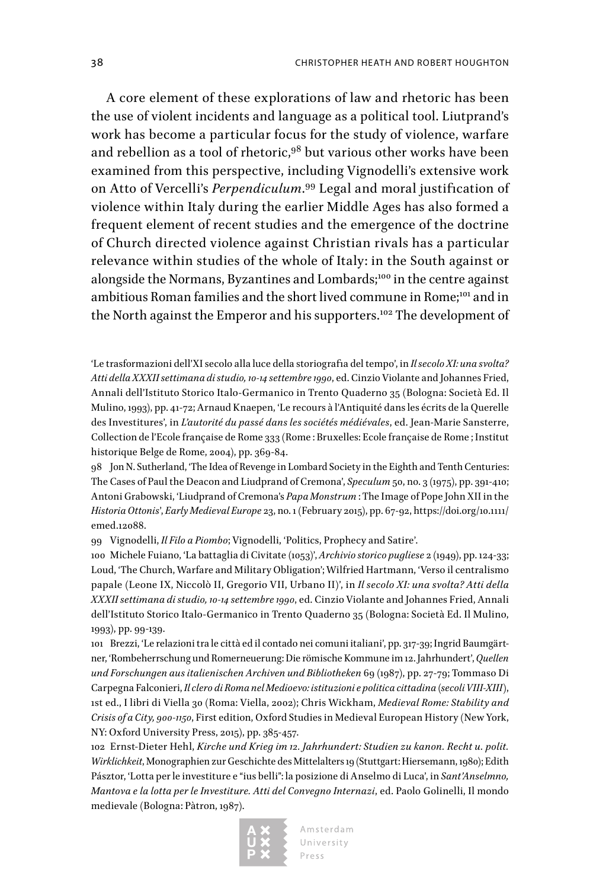A core element of these explorations of law and rhetoric has been the use of violent incidents and language as a political tool. Liutprand's work has become a particular focus for the study of violence, warfare and rebellion as a tool of rhetoric,<sup>98</sup> but various other works have been examined from this perspective, including Vignodelli's extensive work on Atto of Vercelli's *Perpendiculum*.<sup>99</sup> Legal and moral justification of violence within Italy during the earlier Middle Ages has also formed a frequent element of recent studies and the emergence of the doctrine of Church directed violence against Christian rivals has a particular relevance within studies of the whole of Italy: in the South against or alongside the Normans, Byzantines and Lombards;<sup>100</sup> in the centre against ambitious Roman families and the short lived commune in Rome;<sup>101</sup> and in the North against the Emperor and his supporters.<sup>102</sup> The development of

'Le trasformazioni dell'XI secolo alla luce della storiografia del tempo', in *Il secolo XI: una svolta? Atti della XXXII settimana di studio, 10-14 settembre 1990*, ed. Cinzio Violante and Johannes Fried, Annali dell'Istituto Storico Italo-Germanico in Trento Quaderno 35 (Bologna: Società Ed. Il Mulino, 1993), pp. 41-72; Arnaud Knaepen, 'Le recours à l'Antiquité dans les écrits de la Querelle des Investitures', in *L'autorité du passé dans les sociétés médiévales*, ed. Jean-Marie Sansterre, Collection de l'Ecole française de Rome 333 (Rome : Bruxelles: Ecole française de Rome ; Institut historique Belge de Rome, 2004), pp. 369-84.

98 Jon N. Sutherland, 'The Idea of Revenge in Lombard Society in the Eighth and Tenth Centuries: The Cases of Paul the Deacon and Liudprand of Cremona', *Speculum* 50, no. 3 (1975), pp. 391-410; Antoni Grabowski, 'Liudprand of Cremona's *Papa Monstrum* : The Image of Pope John XII in the *Historia Ottonis*', *Early Medieval Europe* 23, no. 1 (February 2015), pp. 67-92, [https://doi.org/10.1111/](https://doi.org/10.1111/emed.12088) [emed.12088.](https://doi.org/10.1111/emed.12088)

99 Vignodelli, *Il Filo a Piombo*; Vignodelli, 'Politics, Prophecy and Satire'.

100 Michele Fuiano, 'La battaglia di Civitate (1053)', *Archivio storico pugliese* 2 (1949), pp. 124-33; Loud, 'The Church, Warfare and Military Obligation'; Wilfried Hartmann, 'Verso il centralismo papale (Leone IX, Niccolò II, Gregorio VII, Urbano II)', in *Il secolo XI: una svolta? Atti della XXXII settimana di studio, 10-14 settembre 1990*, ed. Cinzio Violante and Johannes Fried, Annali dell'Istituto Storico Italo-Germanico in Trento Quaderno 35 (Bologna: Società Ed. Il Mulino, 1993), pp. 99-139.

101 Brezzi, 'Le relazioni tra le città ed il contado nei comuni italiani', pp. 317-39; Ingrid Baumgärtner, 'Rombeherrschung und Romerneuerung: Die römische Kommune im 12. Jahrhundert', *Quellen und Forschungen aus italienischen Archiven und Bibliotheken* 69 (1987), pp. 27-79; Tommaso Di Carpegna Falconieri, *Il clero di Roma nel Medioevo: istituzioni e politica cittadina (secoli VIII-XIII)*, 1st ed., I libri di Viella 30 (Roma: Viella, 2002); Chris Wickham, *Medieval Rome: Stability and Crisis of a City, 900-1150*, First edition, Oxford Studies in Medieval European History (New York, NY: Oxford University Press, 2015), pp. 385-457.

102 Ernst-Dieter Hehl, *Kirche und Krieg im 12. Jahrhundert: Studien zu kanon. Recht u. polit. Wirklichkeit*, Monographien zur Geschichte des Mittelalters 19 (Stuttgart: Hiersemann, 1980); Edith Pásztor, 'Lotta per le investiture e "ius belli": la posizione di Anselmo di Luca', in *Sant'Anselmno, Mantova e la lotta per le Investiture. Atti del Convegno Internazi*, ed. Paolo Golinelli, Il mondo medievale (Bologna: Pàtron, 1987).

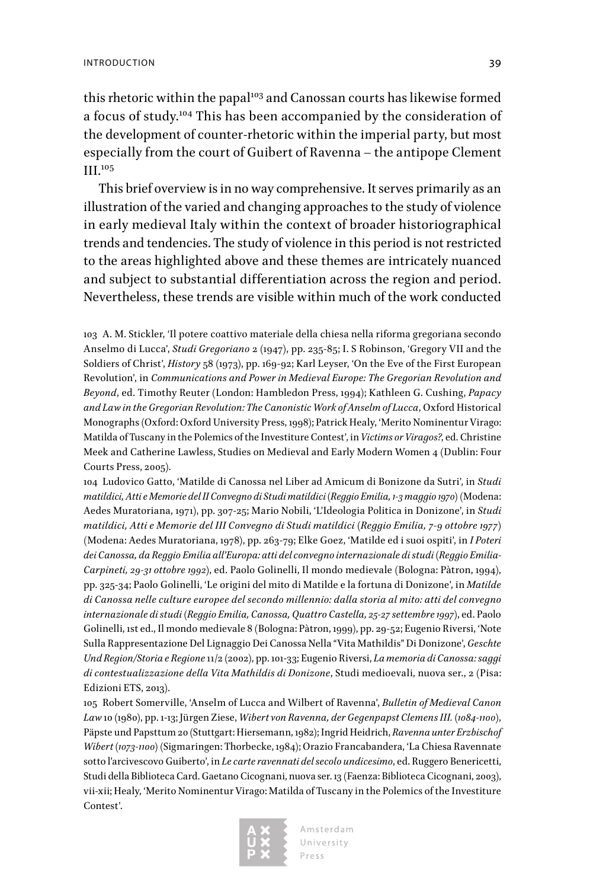this rhetoric within the papal<sup>103</sup> and Canossan courts has likewise formed a focus of study.104 This has been accompanied by the consideration of the development of counter-rhetoric within the imperial party, but most especially from the court of Guibert of Ravenna – the antipope Clement III.<sup>105</sup>

This brief overview is in no way comprehensive. It serves primarily as an illustration of the varied and changing approaches to the study of violence in early medieval Italy within the context of broader historiographical trends and tendencies. The study of violence in this period is not restricted to the areas highlighted above and these themes are intricately nuanced and subject to substantial differentiation across the region and period. Nevertheless, these trends are visible within much of the work conducted

103 A. M. Stickler, 'Il potere coattivo materiale della chiesa nella riforma gregoriana secondo Anselmo di Lucca', *Studi Gregoriano* 2 (1947), pp. 235-85; I. S Robinson, 'Gregory VII and the Soldiers of Christ', *History* 58 (1973), pp. 169-92; Karl Leyser, 'On the Eve of the First European Revolution', in *Communications and Power in Medieval Europe: The Gregorian Revolution and Beyond*, ed. Timothy Reuter (London: Hambledon Press, 1994); Kathleen G. Cushing, *Papacy and Law in the Gregorian Revolution: The Canonistic Work of Anselm of Lucca*, Oxford Historical Monographs (Oxford: Oxford University Press, 1998); Patrick Healy, 'Merito Nominentur Virago: Matilda of Tuscany in the Polemics of the Investiture Contest', in *Victims or Viragos?*, ed. Christine Meek and Catherine Lawless, Studies on Medieval and Early Modern Women 4 (Dublin: Four Courts Press, 2005).

104 Ludovico Gatto, 'Matilde di Canossa nel Liber ad Amicum di Bonizone da Sutri', in *Studi matildici, Atti e Memorie del II Convegno di Studi matildici (Reggio Emilia, 1-3 maggio 1970)* (Modena: Aedes Muratoriana, 1971), pp. 307-25; Mario Nobili, 'L'Ideologia Politica in Donizone', in *Studi matildici, Atti e Memorie del III Convegno di Studi matildici (Reggio Emilia, 7-9 ottobre 1977)* (Modena: Aedes Muratoriana, 1978), pp. 263-79; Elke Goez, 'Matilde ed i suoi ospiti', in *I Poteri dei Canossa, da Reggio Emilia all'Europa: atti del convegno internazionale di studi (Reggio Emilia-Carpineti, 29-31 ottobre 1992)*, ed. Paolo Golinelli, Il mondo medievale (Bologna: Pàtron, 1994), pp. 325-34; Paolo Golinelli, 'Le origini del mito di Matilde e la fortuna di Donizone', in *Matilde di Canossa nelle culture europee del secondo millennio: dalla storia al mito: atti del convegno internazionale di studi (Reggio Emilia, Canossa, Quattro Castella, 25-27 settembre 1997)*, ed. Paolo Golinelli, 1st ed., Il mondo medievale 8 (Bologna: Pàtron, 1999), pp. 29-52; Eugenio Riversi, 'Note Sulla Rappresentazione Del Lignaggio Dei Canossa Nella "Vita Mathildis" Di Donizone', *Geschte Und Region/Storia e Regione* 11/2 (2002), pp. 101-33; Eugenio Riversi, *La memoria di Canossa: saggi di contestualizzazione della Vita Mathildis di Donizone*, Studi medioevali, nuova ser., 2 (Pisa: Edizioni ETS, 2013).

105 Robert Somerville, 'Anselm of Lucca and Wilbert of Ravenna', *Bulletin of Medieval Canon Law* 10 (1980), pp. 1-13; Jürgen Ziese, *Wibert von Ravenna, der Gegenpapst Clemens III. (1084-1100)*, Päpste und Papsttum 20 (Stuttgart: Hiersemann, 1982); Ingrid Heidrich, *Ravenna unter Erzbischof Wibert (1073-1100)* (Sigmaringen: Thorbecke, 1984); Orazio Francabandera, 'La Chiesa Ravennate sotto l'arcivescovo Guiberto', in *Le carte ravennati del secolo undicesimo*, ed. Ruggero Benericetti, Studi della Biblioteca Card. Gaetano Cicognani, nuova ser. 13 (Faenza: Biblioteca Cicognani, 2003), vii-xii; Healy, 'Merito Nominentur Virago: Matilda of Tuscany in the Polemics of the Investiture Contest'.

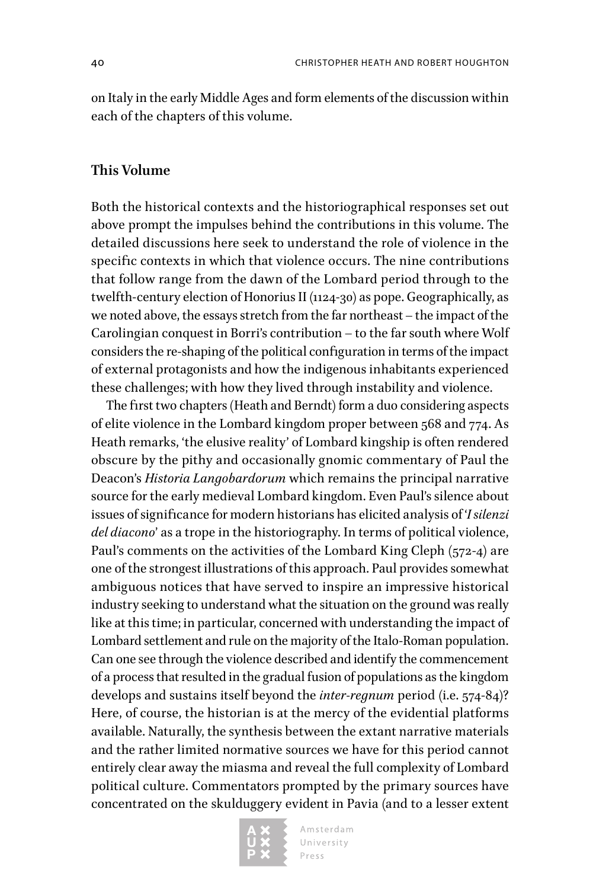on Italy in the early Middle Ages and form elements of the discussion within each of the chapters of this volume.

### **This Volume**

Both the historical contexts and the historiographical responses set out above prompt the impulses behind the contributions in this volume. The detailed discussions here seek to understand the role of violence in the specific contexts in which that violence occurs. The nine contributions that follow range from the dawn of the Lombard period through to the twelfth-century election of Honorius II (1124-30) as pope. Geographically, as we noted above, the essays stretch from the far northeast – the impact of the Carolingian conquest in Borri's contribution – to the far south where Wolf considers the re-shaping of the political configuration in terms of the impact of external protagonists and how the indigenous inhabitants experienced these challenges; with how they lived through instability and violence.

The first two chapters (Heath and Berndt) form a duo considering aspects of elite violence in the Lombard kingdom proper between 568 and 774. As Heath remarks, 'the elusive reality' of Lombard kingship is often rendered obscure by the pithy and occasionally gnomic commentary of Paul the Deacon's *Historia Langobardorum* which remains the principal narrative source for the early medieval Lombard kingdom. Even Paul's silence about issues of significance for modern historians has elicited analysis of '*I silenzi del diacono*' as a trope in the historiography. In terms of political violence, Paul's comments on the activities of the Lombard King Cleph (572-4) are one of the strongest illustrations of this approach. Paul provides somewhat ambiguous notices that have served to inspire an impressive historical industry seeking to understand what the situation on the ground was really like at this time; in particular, concerned with understanding the impact of Lombard settlement and rule on the majority of the Italo-Roman population. Can one see through the violence described and identify the commencement of a process that resulted in the gradual fusion of populations as the kingdom develops and sustains itself beyond the *inter-regnum* period (i.e. 574-84)? Here, of course, the historian is at the mercy of the evidential platforms available. Naturally, the synthesis between the extant narrative materials and the rather limited normative sources we have for this period cannot entirely clear away the miasma and reveal the full complexity of Lombard political culture. Commentators prompted by the primary sources have concentrated on the skulduggery evident in Pavia (and to a lesser extent

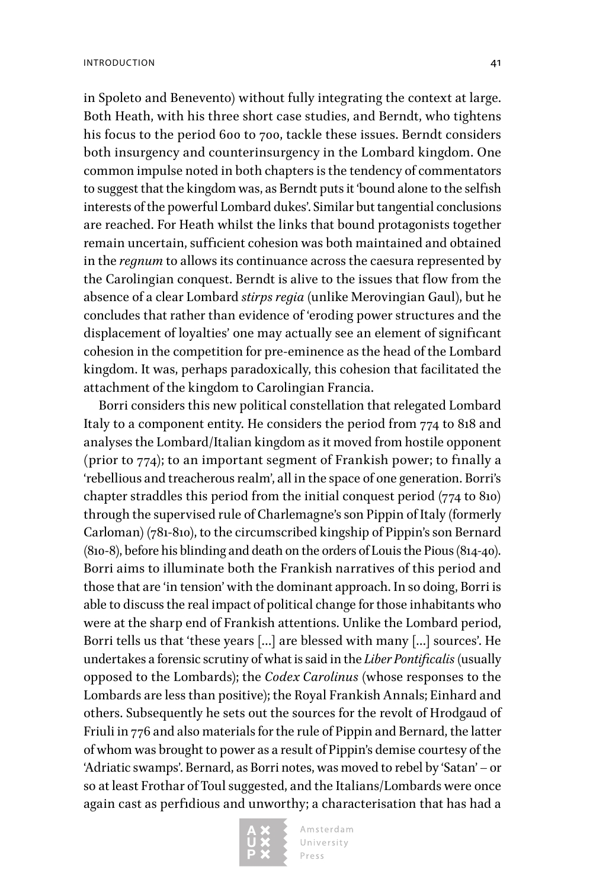in Spoleto and Benevento) without fully integrating the context at large. Both Heath, with his three short case studies, and Berndt, who tightens his focus to the period 600 to 700, tackle these issues. Berndt considers both insurgency and counterinsurgency in the Lombard kingdom. One common impulse noted in both chapters is the tendency of commentators to suggest that the kingdom was, as Berndt puts it 'bound alone to the selfish interests of the powerful Lombard dukes'. Similar but tangential conclusions are reached. For Heath whilst the links that bound protagonists together remain uncertain, sufficient cohesion was both maintained and obtained in the *regnum* to allows its continuance across the caesura represented by the Carolingian conquest. Berndt is alive to the issues that flow from the absence of a clear Lombard *stirps regia* (unlike Merovingian Gaul), but he concludes that rather than evidence of 'eroding power structures and the displacement of loyalties' one may actually see an element of significant cohesion in the competition for pre-eminence as the head of the Lombard kingdom. It was, perhaps paradoxically, this cohesion that facilitated the attachment of the kingdom to Carolingian Francia.

Borri considers this new political constellation that relegated Lombard Italy to a component entity. He considers the period from 774 to 818 and analyses the Lombard/Italian kingdom as it moved from hostile opponent (prior to 774); to an important segment of Frankish power; to finally a 'rebellious and treacherous realm', all in the space of one generation. Borri's chapter straddles this period from the initial conquest period (774 to 810) through the supervised rule of Charlemagne's son Pippin of Italy (formerly Carloman) (781-810), to the circumscribed kingship of Pippin's son Bernard (810-8), before his blinding and death on the orders of Louis the Pious (814-40). Borri aims to illuminate both the Frankish narratives of this period and those that are 'in tension' with the dominant approach. In so doing, Borri is able to discuss the real impact of political change for those inhabitants who were at the sharp end of Frankish attentions. Unlike the Lombard period, Borri tells us that 'these years […] are blessed with many […] sources'. He undertakes a forensic scrutiny of what is said in the *Liber Pontificalis* (usually opposed to the Lombards); the *Codex Carolinus* (whose responses to the Lombards are less than positive); the Royal Frankish Annals; Einhard and others. Subsequently he sets out the sources for the revolt of Hrodgaud of Friuli in 776 and also materials for the rule of Pippin and Bernard, the latter of whom was brought to power as a result of Pippin's demise courtesy of the 'Adriatic swamps'. Bernard, as Borri notes, was moved to rebel by 'Satan' – or so at least Frothar of Toul suggested, and the Italians/Lombards were once again cast as perfidious and unworthy; a characterisation that has had a

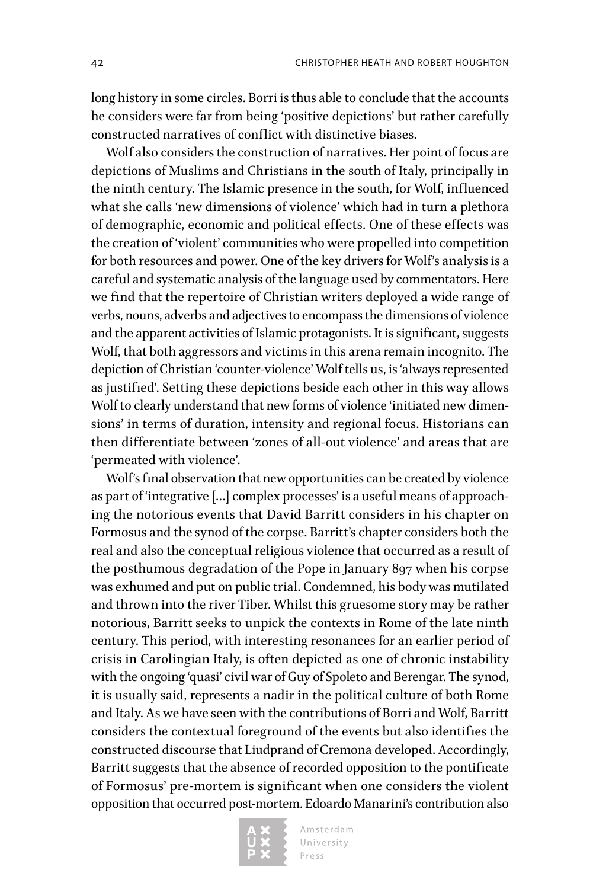long history in some circles. Borri is thus able to conclude that the accounts he considers were far from being 'positive depictions' but rather carefully constructed narratives of conflict with distinctive biases.

Wolf also considers the construction of narratives. Her point of focus are depictions of Muslims and Christians in the south of Italy, principally in the ninth century. The Islamic presence in the south, for Wolf, influenced what she calls 'new dimensions of violence' which had in turn a plethora of demographic, economic and political effects. One of these effects was the creation of 'violent' communities who were propelled into competition for both resources and power. One of the key drivers for Wolf's analysis is a careful and systematic analysis of the language used by commentators. Here we find that the repertoire of Christian writers deployed a wide range of verbs, nouns, adverbs and adjectives to encompass the dimensions of violence and the apparent activities of Islamic protagonists. It is significant, suggests Wolf, that both aggressors and victims in this arena remain incognito. The depiction of Christian 'counter-violence' Wolf tells us, is 'always represented as justified'. Setting these depictions beside each other in this way allows Wolf to clearly understand that new forms of violence 'initiated new dimensions' in terms of duration, intensity and regional focus. Historians can then differentiate between 'zones of all-out violence' and areas that are 'permeated with violence'.

Wolf's final observation that new opportunities can be created by violence as part of 'integrative […] complex processes' is a useful means of approaching the notorious events that David Barritt considers in his chapter on Formosus and the synod of the corpse. Barritt's chapter considers both the real and also the conceptual religious violence that occurred as a result of the posthumous degradation of the Pope in January 897 when his corpse was exhumed and put on public trial. Condemned, his body was mutilated and thrown into the river Tiber. Whilst this gruesome story may be rather notorious, Barritt seeks to unpick the contexts in Rome of the late ninth century. This period, with interesting resonances for an earlier period of crisis in Carolingian Italy, is often depicted as one of chronic instability with the ongoing 'quasi' civil war of Guy of Spoleto and Berengar. The synod, it is usually said, represents a nadir in the political culture of both Rome and Italy. As we have seen with the contributions of Borri and Wolf, Barritt considers the contextual foreground of the events but also identifies the constructed discourse that Liudprand of Cremona developed. Accordingly, Barritt suggests that the absence of recorded opposition to the pontificate of Formosus' pre-mortem is significant when one considers the violent opposition that occurred post-mortem. Edoardo Manarini's contribution also

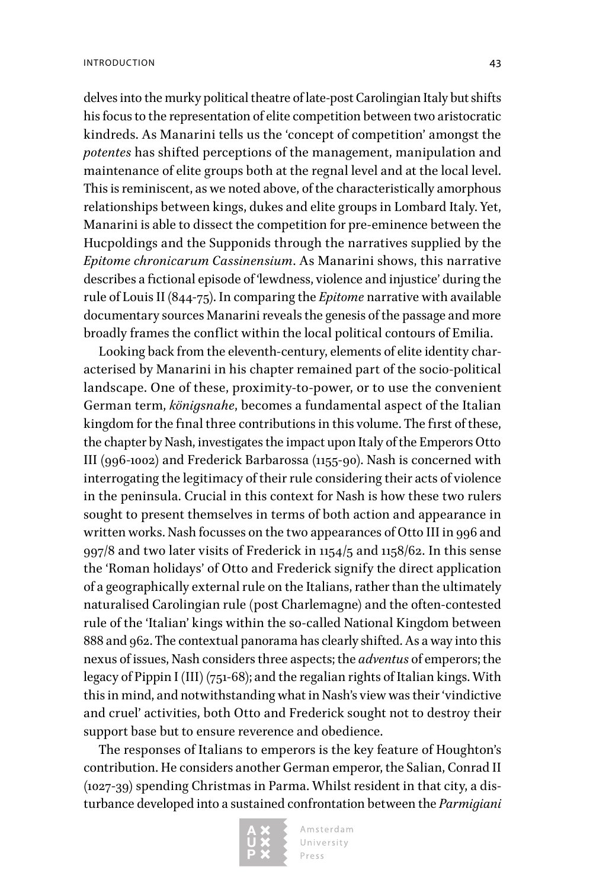delves into the murky political theatre of late-post Carolingian Italy but shifts his focus to the representation of elite competition between two aristocratic kindreds. As Manarini tells us the 'concept of competition' amongst the *potentes* has shifted perceptions of the management, manipulation and maintenance of elite groups both at the regnal level and at the local level. This is reminiscent, as we noted above, of the characteristically amorphous relationships between kings, dukes and elite groups in Lombard Italy. Yet, Manarini is able to dissect the competition for pre-eminence between the Hucpoldings and the Supponids through the narratives supplied by the *Epitome chronicarum Cassinensium*. As Manarini shows, this narrative describes a fictional episode of 'lewdness, violence and injustice' during the rule of Louis II (844-75). In comparing the *Epitome* narrative with available documentary sources Manarini reveals the genesis of the passage and more broadly frames the conflict within the local political contours of Emilia.

Looking back from the eleventh-century, elements of elite identity characterised by Manarini in his chapter remained part of the socio-political landscape. One of these, proximity-to-power, or to use the convenient German term, *königsnahe*, becomes a fundamental aspect of the Italian kingdom for the final three contributions in this volume. The first of these, the chapter by Nash, investigates the impact upon Italy of the Emperors Otto III (996-1002) and Frederick Barbarossa (1155-90). Nash is concerned with interrogating the legitimacy of their rule considering their acts of violence in the peninsula. Crucial in this context for Nash is how these two rulers sought to present themselves in terms of both action and appearance in written works. Nash focusses on the two appearances of Otto III in 996 and 997/8 and two later visits of Frederick in 1154/5 and 1158/62. In this sense the 'Roman holidays' of Otto and Frederick signify the direct application of a geographically external rule on the Italians, rather than the ultimately naturalised Carolingian rule (post Charlemagne) and the often-contested rule of the 'Italian' kings within the so-called National Kingdom between 888 and 962. The contextual panorama has clearly shifted. As a way into this nexus of issues, Nash considers three aspects; the *adventus* of emperors; the legacy of Pippin I (III) (751-68); and the regalian rights of Italian kings. With this in mind, and notwithstanding what in Nash's view was their 'vindictive and cruel' activities, both Otto and Frederick sought not to destroy their support base but to ensure reverence and obedience.

The responses of Italians to emperors is the key feature of Houghton's contribution. He considers another German emperor, the Salian, Conrad II (1027-39) spending Christmas in Parma. Whilst resident in that city, a disturbance developed into a sustained confrontation between the *Parmigiani* 

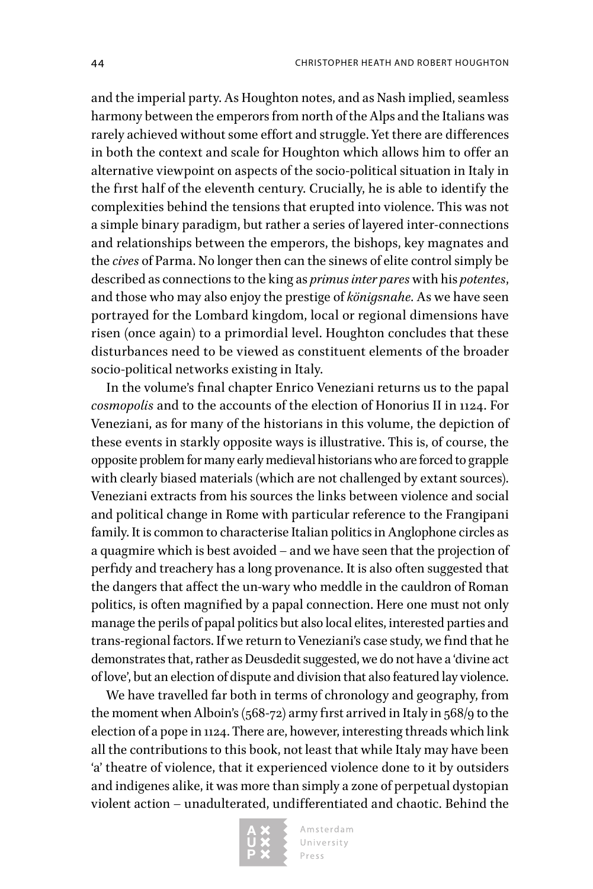and the imperial party. As Houghton notes, and as Nash implied, seamless harmony between the emperors from north of the Alps and the Italians was rarely achieved without some effort and struggle. Yet there are differences in both the context and scale for Houghton which allows him to offer an alternative viewpoint on aspects of the socio-political situation in Italy in the first half of the eleventh century. Crucially, he is able to identify the complexities behind the tensions that erupted into violence. This was not a simple binary paradigm, but rather a series of layered inter-connections and relationships between the emperors, the bishops, key magnates and the *cives* of Parma. No longer then can the sinews of elite control simply be described as connections to the king as *primus inter pares* with his *potentes*, and those who may also enjoy the prestige of *königsnahe.* As we have seen portrayed for the Lombard kingdom, local or regional dimensions have risen (once again) to a primordial level. Houghton concludes that these disturbances need to be viewed as constituent elements of the broader socio-political networks existing in Italy.

In the volume's final chapter Enrico Veneziani returns us to the papal *cosmopolis* and to the accounts of the election of Honorius II in 1124. For Veneziani, as for many of the historians in this volume, the depiction of these events in starkly opposite ways is illustrative. This is, of course, the opposite problem for many early medieval historians who are forced to grapple with clearly biased materials (which are not challenged by extant sources). Veneziani extracts from his sources the links between violence and social and political change in Rome with particular reference to the Frangipani family. It is common to characterise Italian politics in Anglophone circles as a quagmire which is best avoided – and we have seen that the projection of perfidy and treachery has a long provenance. It is also often suggested that the dangers that affect the un-wary who meddle in the cauldron of Roman politics, is often magnified by a papal connection. Here one must not only manage the perils of papal politics but also local elites, interested parties and trans-regional factors. If we return to Veneziani's case study, we find that he demonstrates that, rather as Deusdedit suggested, we do not have a 'divine act of love', but an election of dispute and division that also featured lay violence.

We have travelled far both in terms of chronology and geography, from the moment when Alboin's (568-72) army first arrived in Italy in 568/9 to the election of a pope in 1124. There are, however, interesting threads which link all the contributions to this book, not least that while Italy may have been 'a' theatre of violence, that it experienced violence done to it by outsiders and indigenes alike, it was more than simply a zone of perpetual dystopian violent action – unadulterated, undifferentiated and chaotic. Behind the

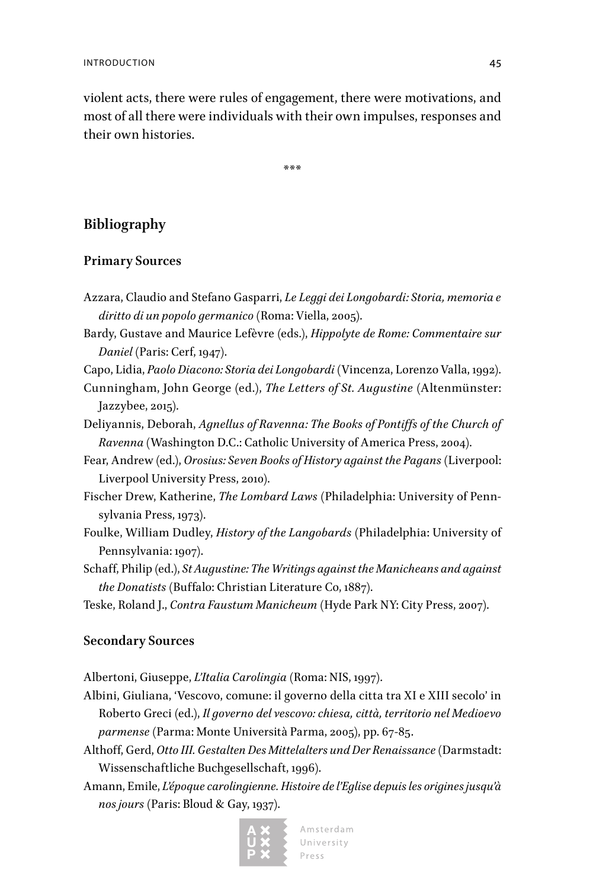violent acts, there were rules of engagement, there were motivations, and most of all there were individuals with their own impulses, responses and their own histories.

\*\*\*

### **Bibliography**

### **Primary Sources**

- Azzara, Claudio and Stefano Gasparri, *Le Leggi dei Longobardi: Storia, memoria e diritto di un popolo germanico* (Roma: Viella, 2005).
- Bardy, Gustave and Maurice Lefèvre (eds.), *Hippolyte de Rome: Commentaire sur Daniel* (Paris: Cerf, 1947).
- Capo, Lidia, *Paolo Diacono: Storia dei Longobardi* (Vincenza, Lorenzo Valla, 1992).
- Cunningham, John George (ed.), *The Letters of St. Augustine* (Altenmünster: Jazzybee, 2015).
- Deliyannis, Deborah, *Agnellus of Ravenna: The Books of Pontiffs of the Church of Ravenna* (Washington D.C.: Catholic University of America Press, 2004).
- Fear, Andrew (ed.), *Orosius: Seven Books of History against the Pagans* (Liverpool: Liverpool University Press, 2010).
- Fischer Drew, Katherine, *The Lombard Laws* (Philadelphia: University of Pennsylvania Press, 1973).
- Foulke, William Dudley, *History of the Langobards* (Philadelphia: University of Pennsylvania: 1907).
- Schaff, Philip (ed.), *St Augustine: The Writings against the Manicheans and against the Donatists* (Buffalo: Christian Literature Co, 1887).
- Teske, Roland J., *Contra Faustum Manicheum* (Hyde Park NY: City Press, 2007).

### **Secondary Sources**

Albertoni, Giuseppe, *L'Italia Carolingia* (Roma: NIS, 1997).

- Albini, Giuliana, 'Vescovo, comune: il governo della citta tra XI e XIII secolo' in Roberto Greci (ed.), *Il governo del vescovo: chiesa, città, territorio nel Medioevo parmense* (Parma: Monte Università Parma, 2005), pp. 67-85.
- Althoff, Gerd, *Otto III. Gestalten Des Mittelalters und Der Renaissance* (Darmstadt: Wissenschaftliche Buchgesellschaft, 1996).
- Amann, Emile, *L'époque carolingienne. Histoire de l'Eglise depuis les origines jusqu'à nos jours* (Paris: Bloud & Gay, 1937).



Amsterdam University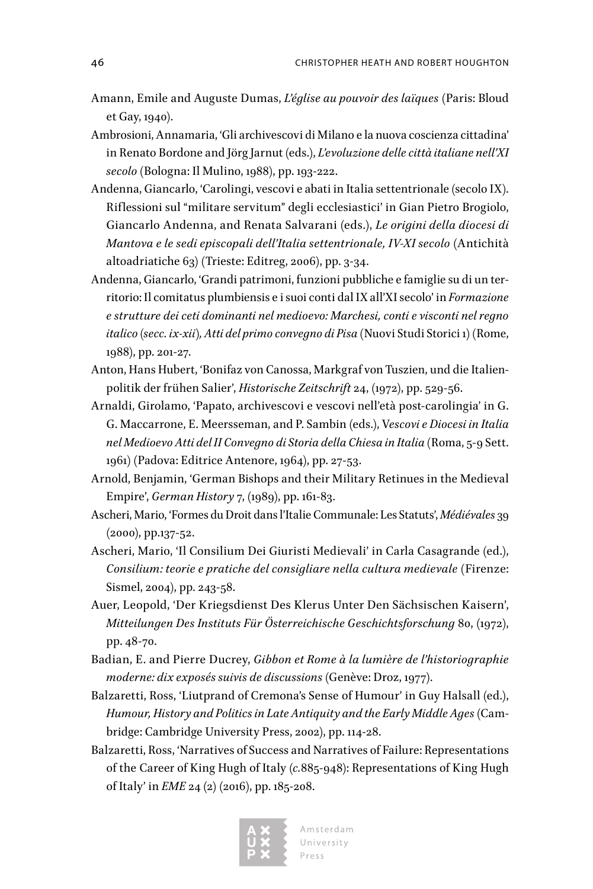- Amann, Emile and Auguste Dumas, *L'église au pouvoir des laïques* (Paris: Bloud et Gay, 1940).
- Ambrosioni, Annamaria, 'Gli archivescovi di Milano e la nuova coscienza cittadina' in Renato Bordone and Jörg Jarnut (eds.), *L'evoluzione delle città italiane nell'XI secolo* (Bologna: Il Mulino, 1988), pp. 193-222.
- Andenna, Giancarlo, 'Carolingi, vescovi e abati in Italia settentrionale (secolo IX). Riflessioni sul "militare servitum" degli ecclesiastici' in Gian Pietro Brogiolo, Giancarlo Andenna, and Renata Salvarani (eds.), *Le origini della diocesi di Mantova e le sedi episcopali dell'Italia settentrionale, IV-XI secolo* (Antichità altoadriatiche 63) (Trieste: Editreg, 2006), pp. 3-34.
- Andenna, Giancarlo, 'Grandi patrimoni, funzioni pubbliche e famiglie su di un territorio: Il comitatus plumbiensis e i suoi conti dal IX all'XI secolo' in *Formazione e strutture dei ceti dominanti nel medioevo: Marchesi, conti e visconti nel regno italico (secc. ix-xii), Atti del primo convegno di Pisa* (Nuovi Studi Storici 1) (Rome, 1988), pp. 201-27.
- Anton, Hans Hubert, 'Bonifaz von Canossa, Markgraf von Tuszien, und die Italienpolitik der frühen Salier', *Historische Zeitschrift* 24, (1972), pp. 529-56.
- Arnaldi, Girolamo, 'Papato, archivescovi e vescovi nell'età post-carolingia' in G. G. Maccarrone, E. Meersseman, and P. Sambin (eds.), V*escovi e Diocesi in Italia nel Medioevo Atti del II Convegno di Storia della Chiesa in Italia* (Roma, 5-9 Sett. 1961) (Padova: Editrice Antenore, 1964), pp. 27-53.
- Arnold, Benjamin, 'German Bishops and their Military Retinues in the Medieval Empire', *German History* 7, (1989), pp. 161-83.
- Ascheri, Mario, 'Formes du Droit dans l'Italie Communale: Les Statuts', *Médiévales* 39 (2000), pp.137-52.
- Ascheri, Mario, 'Il Consilium Dei Giuristi Medievali' in Carla Casagrande (ed.), *Consilium: teorie e pratiche del consigliare nella cultura medievale* (Firenze: Sismel, 2004), pp. 243-58.
- Auer, Leopold, 'Der Kriegsdienst Des Klerus Unter Den Sächsischen Kaisern', *Mitteilungen Des Instituts Für Österreichische Geschichtsforschung* 80, (1972), pp. 48-70.
- Badian, E. and Pierre Ducrey, *Gibbon et Rome à la lumière de l'historiographie moderne: dix exposés suivis de discussions* (Genève: Droz, 1977).
- Balzaretti, Ross, 'Liutprand of Cremona's Sense of Humour' in Guy Halsall (ed.), *Humour, History and Politics in Late Antiquity and the Early Middle Ages* (Cambridge: Cambridge University Press, 2002), pp. 114-28.
- Balzaretti, Ross, 'Narratives of Success and Narratives of Failure: Representations of the Career of King Hugh of Italy (*c.*885-948): Representations of King Hugh of Italy' in *EME* 24 (2) (2016), pp. 185-208.



Amsterdam University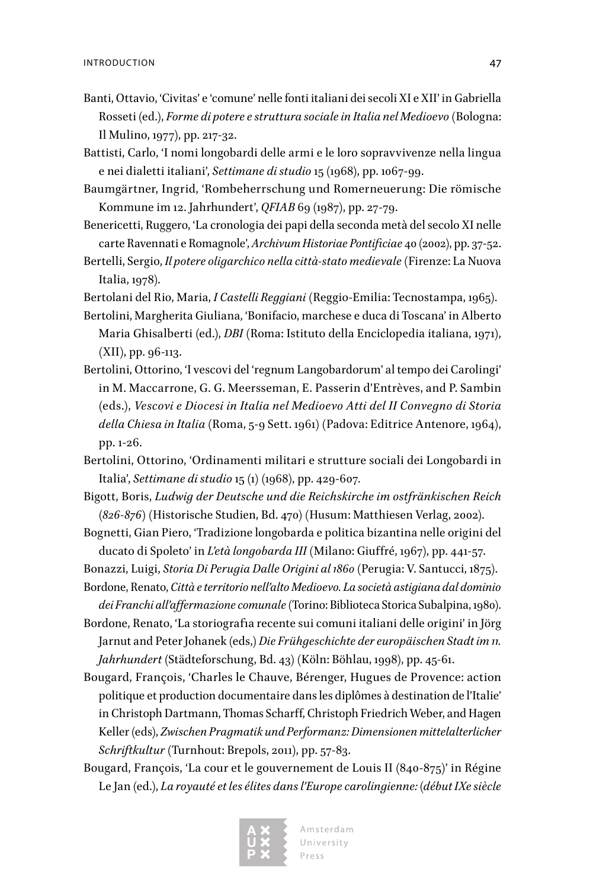- Banti, Ottavio, 'Civitas' e 'comune' nelle fonti italiani dei secoli XI e XII' in Gabriella Rosseti (ed.), *Forme di potere e struttura sociale in Italia nel Medioevo* (Bologna: Il Mulino, 1977), pp. 217-32.
- Battisti, Carlo, 'I nomi longobardi delle armi e le loro sopravvivenze nella lingua e nei dialetti italiani', *Settimane di studio* 15 (1968), pp. 1067-99.
- Baumgärtner, Ingrid, 'Rombeherrschung und Romerneuerung: Die römische Kommune im 12. Jahrhundert', *QFIAB* 69 (1987), pp. 27-79.
- Benericetti, Ruggero, 'La cronologia dei papi della seconda metà del secolo XI nelle carte Ravennati e Romagnole', *Archivum Historiae Pontificiae* 40 (2002), pp. 37-52.
- Bertelli, Sergio, *Il potere oligarchico nella città-stato medievale* (Firenze: La Nuova Italia, 1978).

Bertolani del Rio, Maria, *I Castelli Reggiani* (Reggio-Emilia: Tecnostampa, 1965).

- Bertolini, Margherita Giuliana, 'Bonifacio, marchese e duca di Toscana' in Alberto Maria Ghisalberti (ed.), *DBI* (Roma: Istituto della Enciclopedia italiana, 1971), (XII), pp. 96-113.
- Bertolini, Ottorino, 'I vescovi del 'regnum Langobardorum' al tempo dei Carolingi' in M. Maccarrone, G. G. Meersseman, E. Passerin d'Entrèves, and P. Sambin (eds.), *Vescovi e Diocesi in Italia nel Medioevo Atti del II Convegno di Storia della Chiesa in Italia* (Roma, 5-9 Sett. 1961) (Padova: Editrice Antenore, 1964), pp. 1-26.
- Bertolini, Ottorino, 'Ordinamenti militari e strutture sociali dei Longobardi in Italia', *Settimane di studio* 15 (1) (1968), pp. 429-607.
- Bigott, Boris, *Ludwig der Deutsche und die Reichskirche im ostfränkischen Reich (826-876)* (Historische Studien, Bd. 470) (Husum: Matthiesen Verlag, 2002).
- Bognetti, Gian Piero, 'Tradizione longobarda e politica bizantina nelle origini del ducato di Spoleto' in *L'età longobarda III* (Milano: Giuffré, 1967), pp. 441-57.
- Bonazzi, Luigi, *Storia Di Perugia Dalle Origini al 1860* (Perugia: V. Santucci, 1875). Bordone, Renato, *Città e territorio nell'alto Medioevo. La società astigiana dal dominio*
- *dei Franchi all'affermazione comunale* (Torino: Biblioteca Storica Subalpina, 1980).
- Bordone, Renato, 'La storiografia recente sui comuni italiani delle origini' in Jörg Jarnut and Peter Johanek (eds,) *Die Frühgeschichte der europäischen Stadt im 11. Jahrhundert* (Städteforschung, Bd. 43) (Köln: Böhlau, 1998), pp. 45-61.
- Bougard, François, 'Charles le Chauve, Bérenger, Hugues de Provence: action politique et production documentaire dans les diplômes à destination de l'Italie' in Christoph Dartmann, Thomas Scharff, Christoph Friedrich Weber, and Hagen Keller (eds), *Zwischen Pragmatik und Performanz: Dimensionen mittelalterlicher Schriftkultur* (Turnhout: Brepols, 2011), pp. 57-83.
- Bougard, François, 'La cour et le gouvernement de Louis II (840-875)' in Régine Le Jan (ed.), *La royauté et les élites dans l'Europe carolingienne: (début IXe siècle*

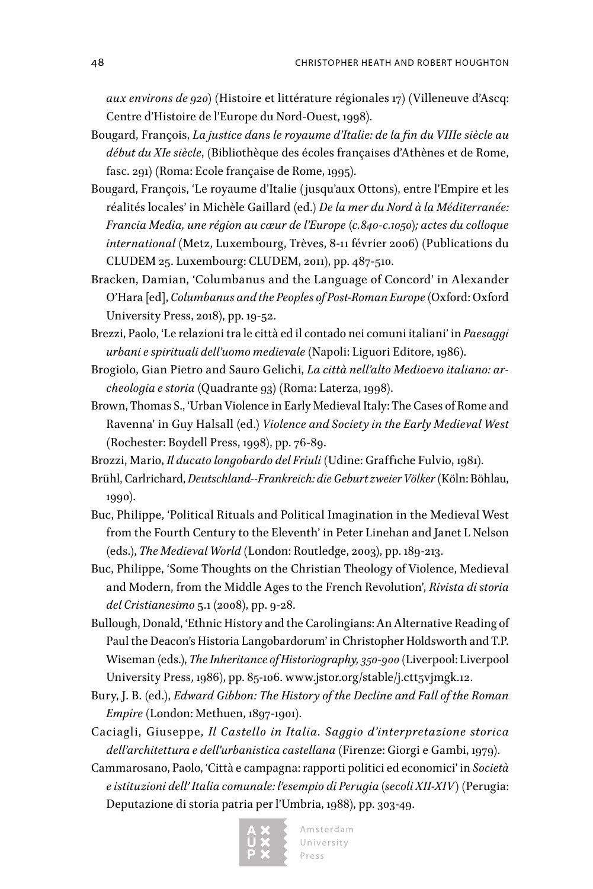*aux environs de 920)* (Histoire et littérature régionales 17) (Villeneuve d'Ascq: Centre d'Histoire de l'Europe du Nord-Ouest, 1998).

- Bougard, François, *La justice dans le royaume d'Italie: de la fin du VIIIe siècle au début du XIe siècle*, (Bibliothèque des écoles françaises d'Athènes et de Rome, fasc. 291) (Roma: Ecole française de Rome, 1995).
- Bougard, François, 'Le royaume d'Italie (jusqu'aux Ottons), entre l'Empire et les réalités locales' in Michèle Gaillard (ed.) *De la mer du Nord à la Méditerranée: Francia Media, une région au cœur de l'Europe (c.840-c.1050); actes du colloque international* (Metz, Luxembourg, Trèves, 8-11 février 2006) (Publications du CLUDEM 25. Luxembourg: CLUDEM, 2011), pp. 487-510.
- Bracken, Damian, 'Columbanus and the Language of Concord' in Alexander O'Hara [ed], *Columbanus and the Peoples of Post-Roman Europe* (Oxford: Oxford University Press, 2018), pp. 19-52.
- Brezzi, Paolo, 'Le relazioni tra le città ed il contado nei comuni italiani' in *Paesaggi urbani e spirituali dell'uomo medievale* (Napoli: Liguori Editore, 1986).
- Brogiolo, Gian Pietro and Sauro Gelichi, *La città nell'alto Medioevo italiano: archeologia e storia* (Quadrante 93) (Roma: Laterza, 1998).
- Brown, Thomas S., 'Urban Violence in Early Medieval Italy: The Cases of Rome and Ravenna' in Guy Halsall (ed.) *Violence and Society in the Early Medieval West* (Rochester: Boydell Press, 1998), pp. 76-89.
- Brozzi, Mario, *Il ducato longobardo del Friuli* (Udine: Graffiche Fulvio, 1981).
- Brühl, Carlrichard, *Deutschland--Frankreich: die Geburt zweier Völker* (Köln: Böhlau, 1990).
- Buc, Philippe, 'Political Rituals and Political Imagination in the Medieval West from the Fourth Century to the Eleventh' in Peter Linehan and Janet L Nelson (eds.), *The Medieval World* (London: Routledge, 2003), pp. 189-213.
- Buc, Philippe, 'Some Thoughts on the Christian Theology of Violence, Medieval and Modern, from the Middle Ages to the French Revolution', *Rivista di storia del Cristianesimo* 5.1 (2008), pp. 9-28.
- Bullough, Donald, 'Ethnic History and the Carolingians: An Alternative Reading of Paul the Deacon's Historia Langobardorum' in Christopher Holdsworth and T.P. Wiseman (eds.), *The Inheritance of Historiography, 350-900* (Liverpool: Liverpool University Press, 1986), pp. 85-106. [www.jstor.org/stable/j.ctt5vjmgk.12](http://www.jstor.org/stable/j.ctt5vjmgk.12).
- Bury, J. B. (ed.), *Edward Gibbon: The History of the Decline and Fall of the Roman Empire* (London: Methuen, 1897-1901).
- Caciagli, Giuseppe, *Il Castello in Italia. Saggio d'interpretazione storica dell'architettura e dell'urbanistica castellana* (Firenze: Giorgi e Gambi, 1979).
- Cammarosano, Paolo, 'Città e campagna: rapporti politici ed economici' in *Società e istituzioni dell' Italia comunale: l'esempio di Perugia (secoli XII-XIV)* (Perugia: Deputazione di storia patria per l'Umbria, 1988), pp. 303-49.

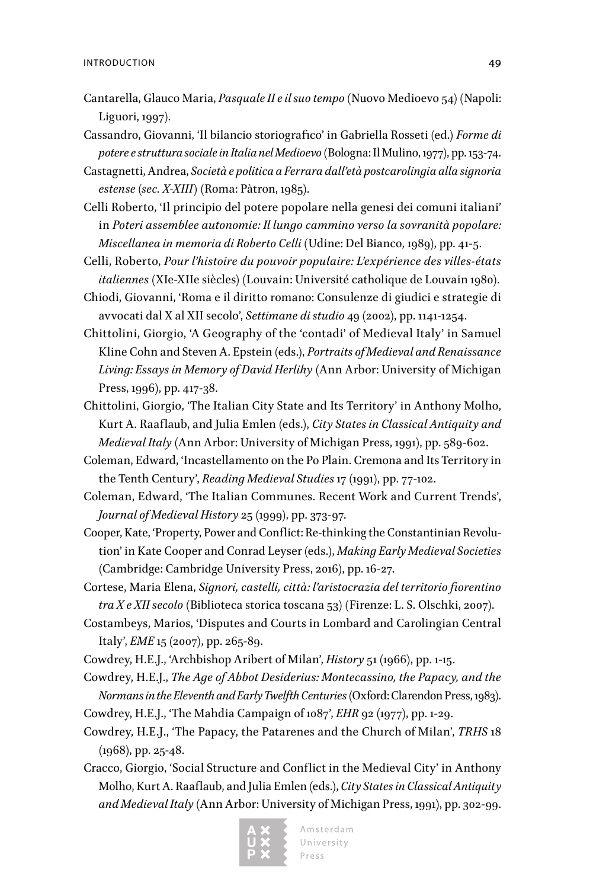- Cantarella, Glauco Maria, *Pasquale II e il suo tempo* (Nuovo Medioevo 54) (Napoli: Liguori, 1997).
- Cassandro, Giovanni, 'Il bilancio storiografico' in Gabriella Rosseti (ed.) *Forme di potere e struttura sociale in Italia nel Medioevo* (Bologna: Il Mulino, 1977), pp. 153-74.
- Castagnetti, Andrea, *Società e politica a Ferrara dall'età postcarolingia alla signoria estense (sec. X-XIII)* (Roma: Pàtron, 1985).
- Celli Roberto, 'Il principio del potere popolare nella genesi dei comuni italiani' in *Poteri assemblee autonomie: Il lungo cammino verso la sovranità popolare: Miscellanea in memoria di Roberto Celli* (Udine: Del Bianco, 1989), pp. 41-5.
- Celli, Roberto, *Pour l'histoire du pouvoir populaire: L'expérience des villes-états italiennes* (XIe-XIIe siècles) (Louvain: Université catholique de Louvain 1980).
- Chiodi, Giovanni, 'Roma e il diritto romano: Consulenze di giudici e strategie di avvocati dal X al XII secolo', *Settimane di studio* 49 (2002), pp. 1141-1254.
- Chittolini, Giorgio, 'A Geography of the 'contadi' of Medieval Italy' in Samuel Kline Cohn and Steven A. Epstein (eds.), *Portraits of Medieval and Renaissance Living: Essays in Memory of David Herlihy* (Ann Arbor: University of Michigan Press, 1996), pp. 417-38.
- Chittolini, Giorgio, 'The Italian City State and Its Territory' in Anthony Molho, Kurt A. Raaflaub, and Julia Emlen (eds.), *City States in Classical Antiquity and Medieval Italy* (Ann Arbor: University of Michigan Press, 1991), pp. 589-602.
- Coleman, Edward, 'Incastellamento on the Po Plain. Cremona and Its Territory in the Tenth Century', *Reading Medieval Studies* 17 (1991), pp. 77-102.
- Coleman, Edward, 'The Italian Communes. Recent Work and Current Trends', *Journal of Medieval History* 25 (1999), pp. 373-97.
- Cooper, Kate, 'Property, Power and Conflict: Re-thinking the Constantinian Revolution' in Kate Cooper and Conrad Leyser (eds.), *Making Early Medieval Societies* (Cambridge: Cambridge University Press, 2016), pp. 16-27.
- Cortese, Maria Elena, *Signori, castelli, città: l'aristocrazia del territorio fiorentino tra X e XII secolo* (Biblioteca storica toscana 53) (Firenze: L. S. Olschki, 2007).
- Costambeys, Marios, 'Disputes and Courts in Lombard and Carolingian Central Italy', *EME* 15 (2007), pp. 265-89.
- Cowdrey, H.E.J., 'Archbishop Aribert of Milan', *History* 51 (1966), pp. 1-15.
- Cowdrey, H.E.J., *The Age of Abbot Desiderius: Montecassino, the Papacy, and the Normans in the Eleventh and Early Twelfth Centuries* (Oxford: Clarendon Press, 1983).
- Cowdrey, H.E.J., 'The Mahdia Campaign of 1087', *EHR* 92 (1977), pp. 1-29.
- Cowdrey, H.E.J., 'The Papacy, the Patarenes and the Church of Milan', *TRHS* 18 (1968), pp. 25-48.
- Cracco, Giorgio, 'Social Structure and Conflict in the Medieval City' in Anthony Molho, Kurt A. Raaflaub, and Julia Emlen (eds.), *City States in Classical Antiquity and Medieval Italy* (Ann Arbor: University of Michigan Press, 1991), pp. 302-99.

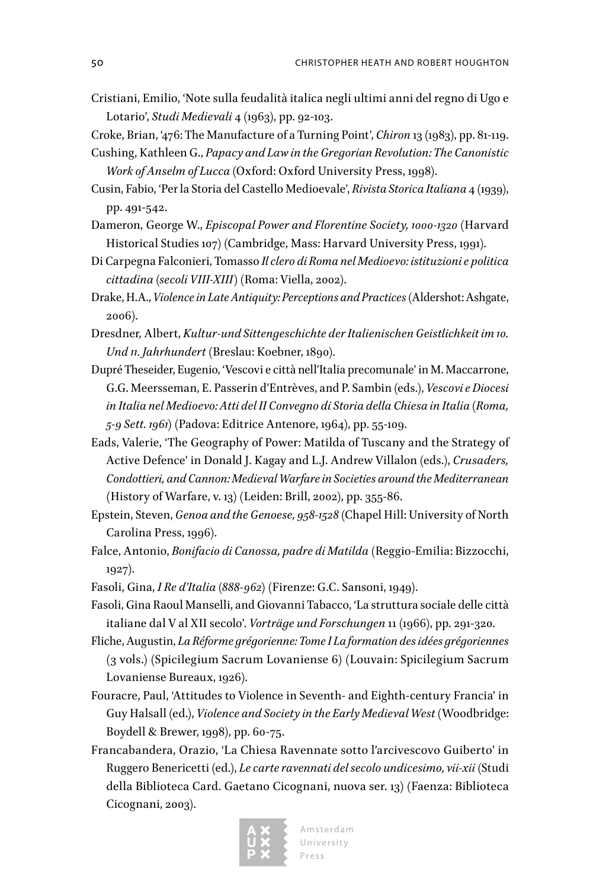- Cristiani, Emilio, 'Note sulla feudalità italica negli ultimi anni del regno di Ugo e Lotario', *Studi Medievali* 4 (1963), pp. 92-103.
- Croke, Brian, '476: The Manufacture of a Turning Point', *Chiron* 13 (1983), pp. 81-119.
- Cushing, Kathleen G., *Papacy and Law in the Gregorian Revolution: The Canonistic Work of Anselm of Lucca* (Oxford: Oxford University Press, 1998).
- Cusin, Fabio, 'Per la Storia del Castello Medioevale', *Rivista Storica Italiana* 4 (1939), pp. 491-542.
- Dameron, George W., *Episcopal Power and Florentine Society, 1000-1320* (Harvard Historical Studies 107) (Cambridge, Mass: Harvard University Press, 1991).
- Di Carpegna Falconieri, Tomasso *Il clero di Roma nel Medioevo: istituzioni e politica cittadina (secoli VIII-XIII)* (Roma: Viella, 2002).
- Drake, H.A., *Violence in Late Antiquity: Perceptions and Practices* (Aldershot: Ashgate, 2006).
- Dresdner*,* Albert, *Kultur-und Sittengeschichte der Italienischen Geistlichkeit im 10. Und 11. Jahrhundert* (Breslau: Koebner, 1890).
- Dupré Theseider, Eugenio, 'Vescovi e città nell'Italia precomunale' in M. Maccarrone, G.G. Meersseman, E. Passerin d'Entrèves, and P. Sambin (eds.), *Vescovi e Diocesi in Italia nel Medioevo: Atti del II Convegno di Storia della Chiesa in Italia (Roma, 5-9 Sett. 1961)* (Padova: Editrice Antenore, 1964), pp. 55-109.
- Eads, Valerie, 'The Geography of Power: Matilda of Tuscany and the Strategy of Active Defence' in Donald J. Kagay and L.J. Andrew Villalon (eds.), *Crusaders, Condottieri, and Cannon: Medieval Warfare in Societies around the Mediterranean*  (History of Warfare, v. 13) (Leiden: Brill, 2002), pp. 355-86.
- Epstein, Steven, *Genoa and the Genoese, 958-1528* (Chapel Hill: University of North Carolina Press, 1996).
- Falce, Antonio, *Bonifacio di Canossa, padre di Matilda* (Reggio-Emilia: Bizzocchi, 1927).
- Fasoli, Gina, *I Re d'Italia (888-962)* (Firenze: G.C. Sansoni, 1949).
- Fasoli, Gina Raoul Manselli, and Giovanni Tabacco, 'La struttura sociale delle città italiane dal V al XII secolo'. *Vorträge und Forschungen* 11 (1966), pp. 291-320.
- Fliche, Augustin, *La Réforme grégorienne: Tome I La formation des idées grégoriennes* (3 vols.) (Spicilegium Sacrum Lovaniense 6) (Louvain: Spicilegium Sacrum Lovaniense Bureaux, 1926).
- Fouracre, Paul, 'Attitudes to Violence in Seventh- and Eighth-century Francia' in Guy Halsall (ed.), *Violence and Society in the Early Medieval West* (Woodbridge: Boydell & Brewer, 1998), pp. 60-75.
- Francabandera, Orazio, 'La Chiesa Ravennate sotto l'arcivescovo Guiberto' in Ruggero Benericetti (ed.), *Le carte ravennati del secolo undicesimo, vii-xii* (Studi della Biblioteca Card. Gaetano Cicognani, nuova ser. 13) (Faenza: Biblioteca Cicognani, 2003).

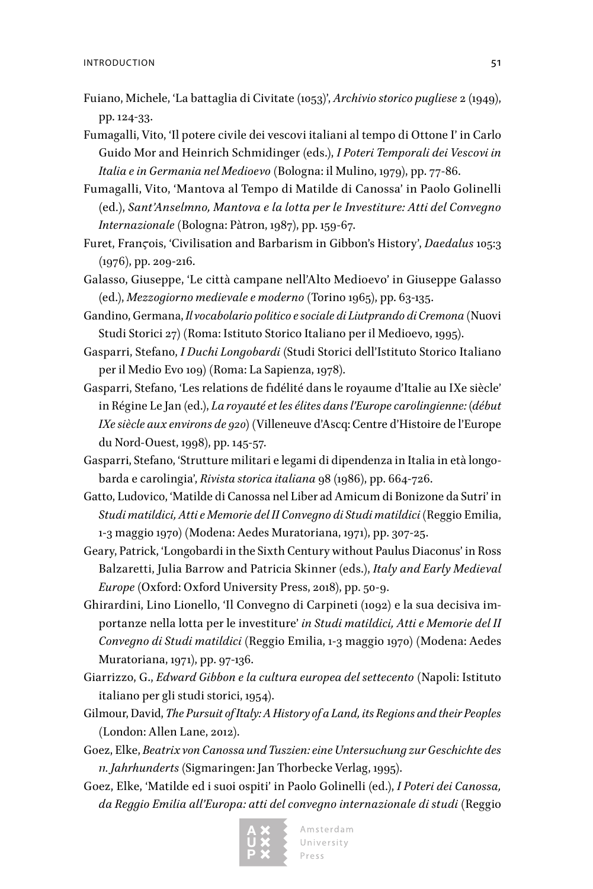- Fuiano, Michele, 'La battaglia di Civitate (1053)', *Archivio storico pugliese* 2 (1949), pp. 124-33.
- Fumagalli, Vito, 'Il potere civile dei vescovi italiani al tempo di Ottone I' in Carlo Guido Mor and Heinrich Schmidinger (eds.), *I Poteri Temporali dei Vescovi in Italia e in Germania nel Medioevo* (Bologna: il Mulino, 1979), pp. 77-86.
- Fumagalli, Vito, 'Mantova al Tempo di Matilde di Canossa' in Paolo Golinelli (ed*.*), *Sant'Anselmno, Mantova e la lotta per le Investiture: Atti del Convegno Internazionale* (Bologna: Pàtron, 1987), pp. 159-67.
- Furet, Franϛois, 'Civilisation and Barbarism in Gibbon's History', *Daedalus* 105:3 (1976), pp. 209-216.
- Galasso, Giuseppe, 'Le città campane nell'Alto Medioevo' in Giuseppe Galasso (ed.), *Mezzogiorno medievale e moderno* (Torino 1965), pp. 63-135.
- Gandino, Germana, *Il vocabolario politico e sociale di Liutprando di Cremona* (Nuovi Studi Storici 27) (Roma: Istituto Storico Italiano per il Medioevo, 1995).
- Gasparri, Stefano, *I Duchi Longobardi* (Studi Storici dell'Istituto Storico Italiano per il Medio Evo 109) (Roma: La Sapienza, 1978).
- Gasparri, Stefano, 'Les relations de fidélité dans le royaume d'Italie au IXe siècle' in Régine Le Jan (ed.), *La royauté et les élites dans l'Europe carolingienne: (début IXe siècle aux environs de 920)* (Villeneuve d'Ascq: Centre d'Histoire de l'Europe du Nord-Ouest, 1998), pp. 145-57.
- Gasparri, Stefano, 'Strutture militari e legami di dipendenza in Italia in età longobarda e carolingia', *Rivista storica italiana* 98 (1986), pp. 664-726.
- Gatto, Ludovico, 'Matilde di Canossa nel Liber ad Amicum di Bonizone da Sutri' in *Studi matildici, Atti e Memorie del II Convegno di Studi matildici* (Reggio Emilia, 1-3 maggio 1970) (Modena: Aedes Muratoriana, 1971), pp. 307-25.
- Geary, Patrick, 'Longobardi in the Sixth Century without Paulus Diaconus' in Ross Balzaretti, Julia Barrow and Patricia Skinner (eds.), *Italy and Early Medieval Europe* (Oxford: Oxford University Press, 2018), pp. 50-9.
- Ghirardini, Lino Lionello, 'Il Convegno di Carpineti (1092) e la sua decisiva importanze nella lotta per le investiture' *in Studi matildici, Atti e Memorie del II Convegno di Studi matildici* (Reggio Emilia, 1-3 maggio 1970) (Modena: Aedes Muratoriana, 1971), pp. 97-136.
- Giarrizzo, G., *Edward Gibbon e la cultura europea del settecento* (Napoli: Istituto italiano per gli studi storici, 1954).
- Gilmour, David, *The Pursuit of Italy: A History of a Land, its Regions and their Peoples* (London: Allen Lane, 2012).
- Goez, Elke, *Beatrix von Canossa und Tuszien: eine Untersuchung zur Geschichte des 11. Jahrhunderts* (Sigmaringen: Jan Thorbecke Verlag, 1995).
- Goez, Elke, 'Matilde ed i suoi ospiti' in Paolo Golinelli (ed.), *I Poteri dei Canossa, da Reggio Emilia all'Europa: atti del convegno internazionale di studi* (Reggio



Amsterdam University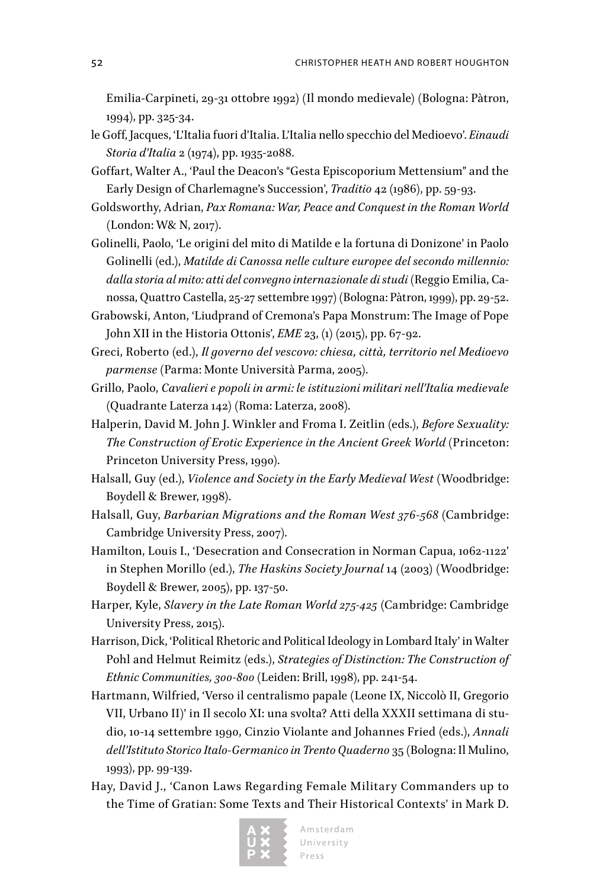Emilia-Carpineti, 29-31 ottobre 1992) (Il mondo medievale) (Bologna: Pàtron, 1994), pp. 325-34.

- le Goff, Jacques, 'L'Italia fuori d'Italia. L'Italia nello specchio del Medioevo'. *Einaudi Storia d'Italia* 2 (1974), pp. 1935-2088.
- Goffart, Walter A., 'Paul the Deacon's "Gesta Episcoporium Mettensium" and the Early Design of Charlemagne's Succession', *Traditio* 42 (1986), pp. 59-93.
- Goldsworthy, Adrian, *Pax Romana: War, Peace and Conquest in the Roman World*  (London: W& N, 2017).
- Golinelli, Paolo, 'Le origini del mito di Matilde e la fortuna di Donizone' in Paolo Golinelli (ed.), *Matilde di Canossa nelle culture europee del secondo millennio: dalla storia al mito: atti del convegno internazionale di studi* (Reggio Emilia, Canossa, Quattro Castella, 25-27 settembre 1997) (Bologna: Pàtron, 1999), pp. 29-52.
- Grabowski, Anton, 'Liudprand of Cremona's Papa Monstrum: The Image of Pope John XII in the Historia Ottonis', *EME* 23, (1) (2015), pp. 67-92.
- Greci, Roberto (ed.), *Il governo del vescovo: chiesa, città, territorio nel Medioevo parmense* (Parma: Monte Università Parma, 2005).
- Grillo, Paolo, *Cavalieri e popoli in armi: le istituzioni militari nell'Italia medievale* (Quadrante Laterza 142) (Roma: Laterza, 2008).
- Halperin, David M. John J. Winkler and Froma I. Zeitlin (eds.), *Before Sexuality: The Construction of Erotic Experience in the Ancient Greek World* (Princeton: Princeton University Press, 1990).
- Halsall, Guy (ed.), *Violence and Society in the Early Medieval West* (Woodbridge: Boydell & Brewer, 1998).
- Halsall, Guy, *Barbarian Migrations and the Roman West 376-568* (Cambridge: Cambridge University Press, 2007).
- Hamilton, Louis I., 'Desecration and Consecration in Norman Capua, 1062-1122' in Stephen Morillo (ed.), *The Haskins Society Journal* 14 (2003) (Woodbridge: Boydell & Brewer, 2005), pp. 137-50.
- Harper, Kyle, *Slavery in the Late Roman World 275-425* (Cambridge: Cambridge University Press, 2015).
- Harrison, Dick, 'Political Rhetoric and Political Ideology in Lombard Italy' in Walter Pohl and Helmut Reimitz (eds.), *Strategies of Distinction: The Construction of Ethnic Communities, 300-800* (Leiden: Brill, 1998), pp. 241-54.
- Hartmann, Wilfried, 'Verso il centralismo papale (Leone IX, Niccolò II, Gregorio VII, Urbano II)' in Il secolo XI: una svolta? Atti della XXXII settimana di studio, 10-14 settembre 1990, Cinzio Violante and Johannes Fried (eds.), *Annali dell'Istituto Storico Italo-Germanico in Trento Quaderno* 35 (Bologna: Il Mulino, 1993), pp. 99-139.
- Hay, David J., 'Canon Laws Regarding Female Military Commanders up to the Time of Gratian: Some Texts and Their Historical Contexts' in Mark D.

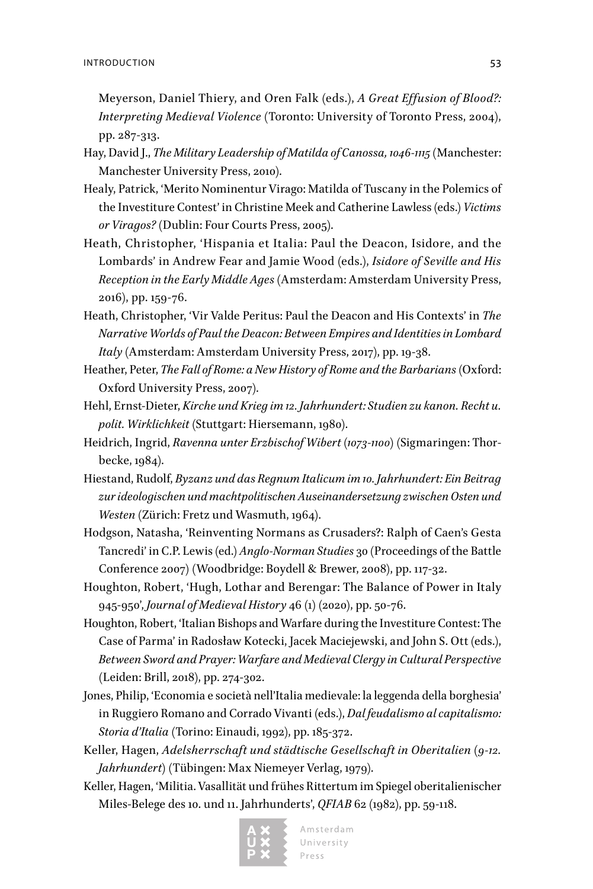Meyerson, Daniel Thiery, and Oren Falk (eds.), *A Great Effusion of Blood?: Interpreting Medieval Violence* (Toronto: University of Toronto Press, 2004), pp. 287-313.

- Hay, David J., *The Military Leadership of Matilda of Canossa, 1046-1115* (Manchester: Manchester University Press, 2010).
- Healy, Patrick, 'Merito Nominentur Virago: Matilda of Tuscany in the Polemics of the Investiture Contest' in Christine Meek and Catherine Lawless (eds.) *Victims or Viragos?* (Dublin: Four Courts Press, 2005).
- Heath, Christopher, 'Hispania et Italia: Paul the Deacon, Isidore, and the Lombards' in Andrew Fear and Jamie Wood (eds.), *Isidore of Seville and His Reception in the Early Middle Ages* (Amsterdam: Amsterdam University Press, 2016), pp. 159-76.
- Heath, Christopher, 'Vir Valde Peritus: Paul the Deacon and His Contexts' in *The Narrative Worlds of Paul the Deacon: Between Empires and Identities in Lombard Italy* (Amsterdam: Amsterdam University Press, 2017), pp. 19-38.
- Heather, Peter, *The Fall of Rome: a New History of Rome and the Barbarians* (Oxford: Oxford University Press, 2007).
- Hehl, Ernst-Dieter, *Kirche und Krieg im 12. Jahrhundert: Studien zu kanon. Recht u. polit. Wirklichkeit* (Stuttgart: Hiersemann, 1980).
- Heidrich, Ingrid, *Ravenna unter Erzbischof Wibert (1073-1100)* (Sigmaringen: Thorbecke, 1984).
- Hiestand, Rudolf, *Byzanz und das Regnum Italicum im 10. Jahrhundert: Ein Beitrag zur ideologischen und machtpolitischen Auseinandersetzung zwischen Osten und Westen* (Zürich: Fretz und Wasmuth, 1964).
- Hodgson, Natasha, 'Reinventing Normans as Crusaders?: Ralph of Caen's Gesta Tancredi' in C.P. Lewis (ed.) *Anglo-Norman Studies* 30 (Proceedings of the Battle Conference 2007) (Woodbridge: Boydell & Brewer, 2008), pp. 117-32.
- Houghton, Robert, 'Hugh, Lothar and Berengar: The Balance of Power in Italy 945-950', *Journal of Medieval History* 46 (1) (2020), pp. 50-76.
- Houghton, Robert, 'Italian Bishops and Warfare during the Investiture Contest: The Case of Parma' in Radosław Kotecki, Jacek Maciejewski, and John S. Ott (eds.), *Between Sword and Prayer: Warfare and Medieval Clergy in Cultural Perspective* (Leiden: Brill, 2018), pp. 274-302.
- Jones, Philip, 'Economia e società nell'Italia medievale: la leggenda della borghesia' in Ruggiero Romano and Corrado Vivanti (eds.), *Dal feudalismo al capitalismo: Storia d'Italia* (Torino: Einaudi, 1992), pp. 185-372.
- Keller, Hagen, *Adelsherrschaft und städtische Gesellschaft in Oberitalien (9-12. Jahrhundert)* (Tübingen: Max Niemeyer Verlag, 1979).
- Keller, Hagen, 'Militia. Vasallität und frühes Rittertum im Spiegel oberitalienischer Miles-Belege des 10. und 11. Jahrhunderts', *QFIAB* 62 (1982), pp. 59-118.

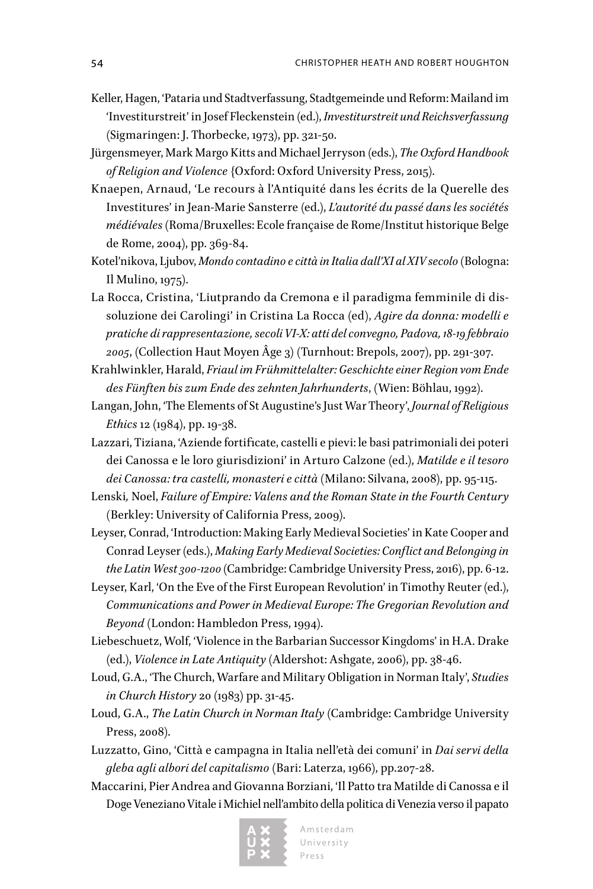- Keller, Hagen, 'Pataria und Stadtverfassung, Stadtgemeinde und Reform: Mailand im 'Investiturstreit' in Josef Fleckenstein (ed.), *Investiturstreit und Reichsverfassung* (Sigmaringen: J. Thorbecke, 1973), pp. 321-50.
- Jürgensmeyer, Mark Margo Kitts and Michael Jerryson (eds.), *The Oxford Handbook of Religion and Violence* {Oxford: Oxford University Press, 2015).
- Knaepen, Arnaud, 'Le recours à l'Antiquité dans les écrits de la Querelle des Investitures' in Jean-Marie Sansterre (ed.), *L'autorité du passé dans les sociétés médiévales* (Roma/Bruxelles: Ecole française de Rome/Institut historique Belge de Rome, 2004), pp. 369-84.
- Kotel'nikova, Ljubov, *Mondo contadino e città in Italia dall'XI al XIV secolo* (Bologna: Il Mulino, 1975).
- La Rocca, Cristina, 'Liutprando da Cremona e il paradigma femminile di dissoluzione dei Carolingi' in Cristina La Rocca (ed), *Agire da donna: modelli e pratiche di rappresentazione, secoli VI-X: atti del convegno, Padova, 18-19 febbraio 2005*, (Collection Haut Moyen Âge 3) (Turnhout: Brepols, 2007), pp. 291-307.
- Krahlwinkler, Harald, *Friaul im Frühmittelalter: Geschichte einer Region vom Ende des Fünften bis zum Ende des zehnten Jahrhunderts*, (Wien: Böhlau, 1992).
- Langan, John, 'The Elements of St Augustine's Just War Theory', *Journal of Religious Ethics* 12 (1984), pp. 19-38.
- Lazzari, Tiziana, 'Aziende fortificate, castelli e pievi: le basi patrimoniali dei poteri dei Canossa e le loro giurisdizioni' in Arturo Calzone (ed.), *Matilde e il tesoro dei Canossa: tra castelli, monasteri e città* (Milano: Silvana, 2008), pp. 95-115.
- Lenski*,* Noel, *Failure of Empire: Valens and the Roman State in the Fourth Century* (Berkley: University of California Press, 2009).
- Leyser, Conrad, 'Introduction: Making Early Medieval Societies' in Kate Cooper and Conrad Leyser (eds.), *Making Early Medieval Societies: Conflict and Belonging in the Latin West 300-1200* (Cambridge: Cambridge University Press, 2016), pp. 6-12.
- Leyser, Karl, 'On the Eve of the First European Revolution' in Timothy Reuter (ed.), *Communications and Power in Medieval Europe: The Gregorian Revolution and Beyond* (London: Hambledon Press, 1994).
- Liebeschuetz, Wolf, 'Violence in the Barbarian Successor Kingdoms' in H.A. Drake (ed.), *Violence in Late Antiquity* (Aldershot: Ashgate, 2006), pp. 38-46.
- Loud, G.A., 'The Church, Warfare and Military Obligation in Norman Italy', *Studies in Church History* 20 (1983) pp. 31-45.
- Loud, G.A., *The Latin Church in Norman Italy* (Cambridge: Cambridge University Press, 2008).
- Luzzatto, Gino, 'Città e campagna in Italia nell'età dei comuni' in *Dai servi della gleba agli albori del capitalismo* (Bari: Laterza, 1966), pp.207-28.
- Maccarini, Pier Andrea and Giovanna Borziani, 'Il Patto tra Matilde di Canossa e il Doge Veneziano Vitale i Michiel nell'ambito della politica di Venezia verso il papato

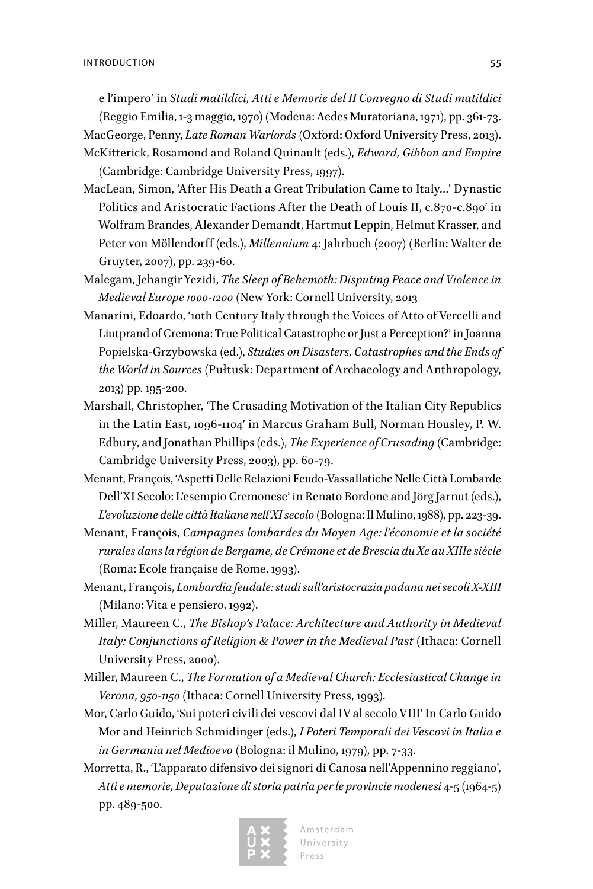e l'impero' in *Studi matildici, Atti e Memorie del II Convegno di Studi matildici* 

(Reggio Emilia, 1-3 maggio, 1970) (Modena: Aedes Muratoriana, 1971), pp. 361-73.

- MacGeorge, Penny, *Late Roman Warlords* (Oxford: Oxford University Press, 2013). McKitterick, Rosamond and Roland Quinault (eds.), *Edward, Gibbon and Empire* (Cambridge: Cambridge University Press, 1997).
- MacLean, Simon, 'After His Death a Great Tribulation Came to Italy…' Dynastic Politics and Aristocratic Factions After the Death of Louis II, c.870-c.890' in Wolfram Brandes, Alexander Demandt, Hartmut Leppin, Helmut Krasser, and Peter von Möllendorff (eds.), *Millennium* 4: Jahrbuch (2007) (Berlin: Walter de Gruyter, 2007), pp. 239-60.
- Malegam, Jehangir Yezidi, *The Sleep of Behemoth: Disputing Peace and Violence in Medieval Europe 1000-1200* (New York: Cornell University, 2013
- Manarini, Edoardo, '10th Century Italy through the Voices of Atto of Vercelli and Liutprand of Cremona: True Political Catastrophe or Just a Perception?' in Joanna Popielska-Grzybowska (ed.), *Studies on Disasters, Catastrophes and the Ends of the World in Sources* (Pułtusk: Department of Archaeology and Anthropology, 2013) pp. 195-200.
- Marshall, Christopher, 'The Crusading Motivation of the Italian City Republics in the Latin East, 1096-1104' in Marcus Graham Bull, Norman Housley, P. W. Edbury, and Jonathan Phillips (eds.), *The Experience of Crusading* (Cambridge: Cambridge University Press, 2003), pp. 60-79.
- Menant, François, 'Aspetti Delle Relazioni Feudo-Vassallatiche Nelle Città Lombarde Dell'XI Secolo: L'esempio Cremonese' in Renato Bordone and Jörg Jarnut (eds.), *L'evoluzione delle città Italiane nell'XI secolo* (Bologna: Il Mulino, 1988), pp. 223-39.
- Menant, François, *Campagnes lombardes du Moyen Age: l'économie et la société rurales dans la région de Bergame, de Crémone et de Brescia du Xe au XIIIe siècle* (Roma: Ecole française de Rome, 1993).
- Menant, François, *Lombardia feudale: studi sull'aristocrazia padana nei secoli X-XIII* (Milano: Vita e pensiero, 1992).
- Miller, Maureen C., *The Bishop's Palace: Architecture and Authority in Medieval Italy: Conjunctions of Religion & Power in the Medieval Past* (Ithaca: Cornell University Press, 2000).
- Miller, Maureen C., *The Formation of a Medieval Church: Ecclesiastical Change in Verona, 950-1150* (Ithaca: Cornell University Press, 1993).
- Mor, Carlo Guido, 'Sui poteri civili dei vescovi dal IV al secolo VIII' In Carlo Guido Mor and Heinrich Schmidinger (eds.), *I Poteri Temporali dei Vescovi in Italia e in Germania nel Medioevo* (Bologna: il Mulino, 1979), pp. 7-33.
- Morretta, R., 'L'apparato difensivo dei signori di Canosa nell'Appennino reggiano', *Atti e memorie, Deputazione di storia patria per le provincie modenesi* 4-5 (1964-5) pp. 489-500.

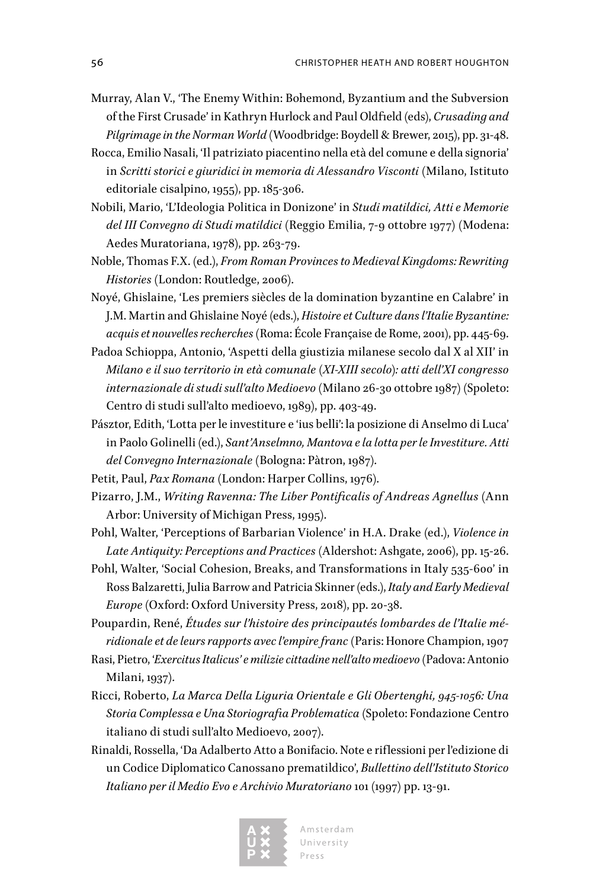- Murray, Alan V., 'The Enemy Within: Bohemond, Byzantium and the Subversion of the First Crusade' in Kathryn Hurlock and Paul Oldfield (eds), *Crusading and Pilgrimage in the Norman World* (Woodbridge: Boydell & Brewer, 2015), pp. 31-48.
- Rocca, Emilio Nasali, 'Il patriziato piacentino nella età del comune e della signoria' in *Scritti storici e giuridici in memoria di Alessandro Visconti* (Milano, Istituto editoriale cisalpino, 1955), pp. 185-306.
- Nobili, Mario, 'L'Ideologia Politica in Donizone' in *Studi matildici, Atti e Memorie del III Convegno di Studi matildici* (Reggio Emilia, 7-9 ottobre 1977) (Modena: Aedes Muratoriana, 1978), pp. 263-79.
- Noble, Thomas F.X. (ed.), *From Roman Provinces to Medieval Kingdoms: Rewriting Histories* (London: Routledge, 2006).
- Noyé, Ghislaine, 'Les premiers siècles de la domination byzantine en Calabre' in J.M. Martin and Ghislaine Noyé (eds.), *Histoire et Culture dans l'Italie Byzantine: acquis et nouvelles recherches* (Roma: École Franςaise de Rome, 2001), pp. 445-69.
- Padoa Schioppa, Antonio, 'Aspetti della giustizia milanese secolo dal X al XII' in *Milano e il suo territorio in età comunale (XI-XIII secolo): atti dell'XI congresso internazionale di studi sull'alto Medioevo* (Milano 26-30 ottobre 1987) (Spoleto: Centro di studi sull'alto medioevo, 1989), pp. 403-49.
- Pásztor, Edith, 'Lotta per le investiture e 'ius belli': la posizione di Anselmo di Luca' in Paolo Golinelli (ed.), *Sant'Anselmno, Mantova e la lotta per le Investiture. Atti del Convegno Internazionale* (Bologna: Pàtron, 1987).
- Petit, Paul, *Pax Romana* (London: Harper Collins, 1976).
- Pizarro, J.M., *Writing Ravenna: The Liber Pontificalis of Andreas Agnellus* (Ann Arbor: University of Michigan Press, 1995).
- Pohl, Walter, 'Perceptions of Barbarian Violence' in H.A. Drake (ed.), *Violence in Late Antiquity: Perceptions and Practices* (Aldershot: Ashgate, 2006), pp. 15-26.
- Pohl, Walter, 'Social Cohesion, Breaks, and Transformations in Italy 535-600' in Ross Balzaretti, Julia Barrow and Patricia Skinner (eds.), *Italy and Early Medieval Europe* (Oxford: Oxford University Press, 2018), pp. 20-38.
- Poupardin, René, *Études sur l'histoire des principautés lombardes de l'Italie méridionale et de leurs rapports avec l'empire franc* (Paris: Honore Champion, 1907
- Rasi, Pietro, '*Exercitus Italicus' e milizie cittadine nell'alto medioevo* (Padova: Antonio Milani, 1937).
- Ricci, Roberto, *La Marca Della Liguria Orientale e Gli Obertenghi, 945-1056: Una Storia Complessa e Una Storiografia Problematica* (Spoleto: Fondazione Centro italiano di studi sull'alto Medioevo, 2007).
- Rinaldi, Rossella, 'Da Adalberto Atto a Bonifacio. Note e riflessioni per l'edizione di un Codice Diplomatico Canossano prematildico', *Bullettino dell'Istituto Storico Italiano per il Medio Evo e Archivio Muratoriano* 101 (1997) pp. 13-91.

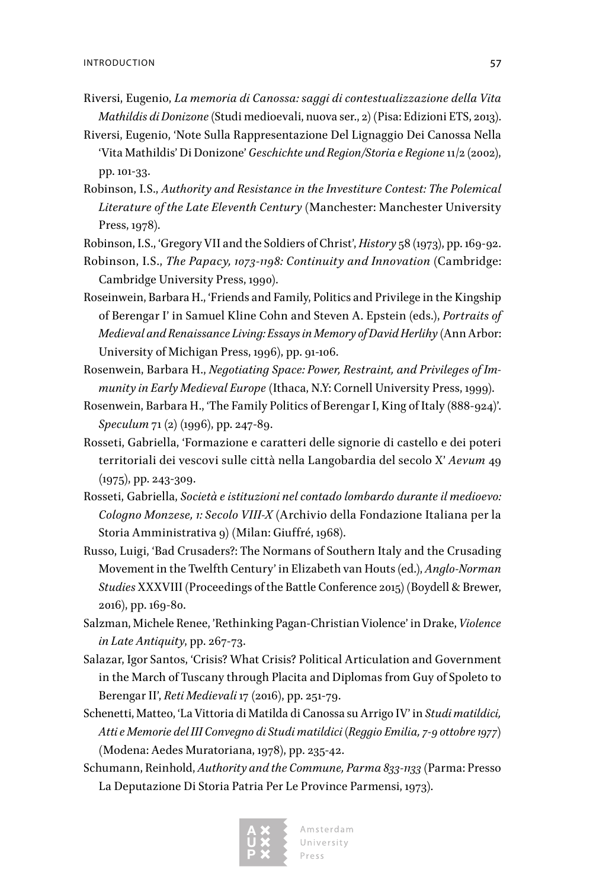- Riversi, Eugenio, *La memoria di Canossa: saggi di contestualizzazione della Vita Mathildis di Donizone* (Studi medioevali, nuova ser., 2) (Pisa: Edizioni ETS, 2013).
- Riversi, Eugenio, 'Note Sulla Rappresentazione Del Lignaggio Dei Canossa Nella 'Vita Mathildis' Di Donizone' *Geschichte und Region/Storia e Regione* 11/2 (2002), pp. 101-33.
- Robinson, I.S., *Authority and Resistance in the Investiture Contest: The Polemical Literature of the Late Eleventh Century* (Manchester: Manchester University Press, 1978).

Robinson, I.S., 'Gregory VII and the Soldiers of Christ', *History* 58 (1973), pp. 169-92.

- Robinson, I.S., *The Papacy, 1073-1198: Continuity and Innovation* (Cambridge: Cambridge University Press, 1990).
- Roseinwein, Barbara H., 'Friends and Family, Politics and Privilege in the Kingship of Berengar I' in Samuel Kline Cohn and Steven A. Epstein (eds.), *Portraits of Medieval and Renaissance Living: Essays in Memory of David Herlihy* (Ann Arbor: University of Michigan Press, 1996), pp. 91-106.
- Rosenwein, Barbara H., *Negotiating Space: Power, Restraint, and Privileges of Immunity in Early Medieval Europe* (Ithaca, N.Y: Cornell University Press, 1999).
- Rosenwein, Barbara H., 'The Family Politics of Berengar I, King of Italy (888-924)'. *Speculum* 71 (2) (1996), pp. 247-89.
- Rosseti, Gabriella, 'Formazione e caratteri delle signorie di castello e dei poteri territoriali dei vescovi sulle città nella Langobardia del secolo X' *Aevum* 49 (1975), pp. 243-309.
- Rosseti, Gabriella, *Società e istituzioni nel contado lombardo durante il medioevo: Cologno Monzese, 1: Secolo VIII-X* (Archivio della Fondazione Italiana per la Storia Amministrativa 9) (Milan: Giuffré, 1968).
- Russo, Luigi, 'Bad Crusaders?: The Normans of Southern Italy and the Crusading Movement in the Twelfth Century' in Elizabeth van Houts (ed.), *Anglo-Norman Studies* XXXVIII (Proceedings of the Battle Conference 2015) (Boydell & Brewer, 2016), pp. 169-80.
- Salzman, Michele Renee, 'Rethinking Pagan-Christian Violence' in Drake, *Violence in Late Antiquity*, pp. 267-73.
- Salazar, Igor Santos, 'Crisis? What Crisis? Political Articulation and Government in the March of Tuscany through Placita and Diplomas from Guy of Spoleto to Berengar II', *Reti Medievali* 17 (2016), pp. 251-79.
- Schenetti, Matteo, 'La Vittoria di Matilda di Canossa su Arrigo IV' in *Studi matildici, Atti e Memorie del III Convegno di Studi matildici (Reggio Emilia, 7-9 ottobre 1977)* (Modena: Aedes Muratoriana, 1978), pp. 235-42.
- Schumann, Reinhold, *Authority and the Commune, Parma 833-1133* (Parma: Presso La Deputazione Di Storia Patria Per Le Province Parmensi, 1973).

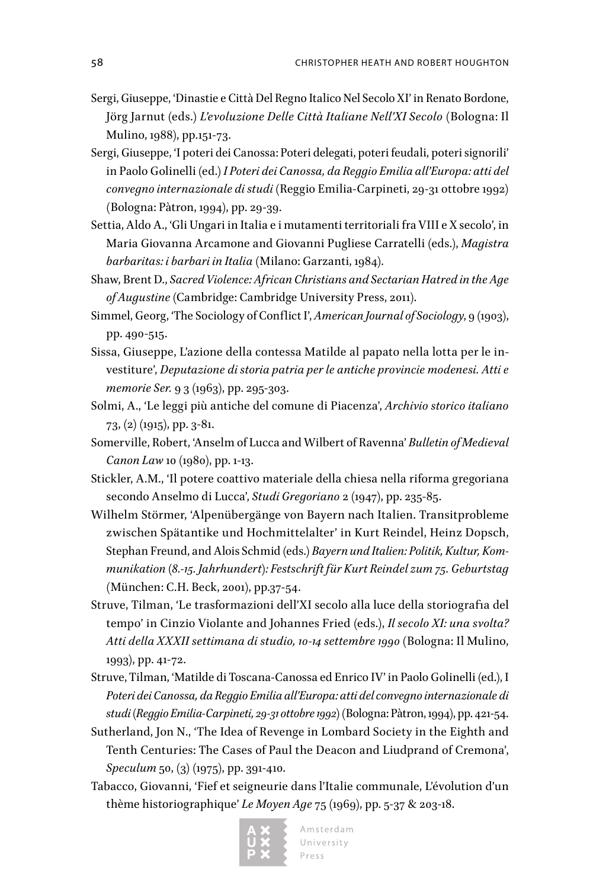- Sergi, Giuseppe, 'Dinastie e Città Del Regno Italico Nel Secolo XI' in Renato Bordone, Jörg Jarnut (eds.) *L'evoluzione Delle Città Italiane Nell'XI Secolo* (Bologna: Il Mulino, 1988), pp.151-73.
- Sergi, Giuseppe, 'I poteri dei Canossa: Poteri delegati, poteri feudali, poteri signorili' in Paolo Golinelli (ed.) *I Poteri dei Canossa, da Reggio Emilia all'Europa: atti del convegno internazionale di studi* (Reggio Emilia-Carpineti, 29-31 ottobre 1992) (Bologna: Pàtron, 1994), pp. 29-39.
- Settia, Aldo A., 'Gli Ungari in Italia e i mutamenti territoriali fra VIII e X secolo', in Maria Giovanna Arcamone and Giovanni Pugliese Carratelli (eds.), *Magistra barbaritas: i barbari in Italia* (Milano: Garzanti, 1984).
- Shaw, Brent D., *Sacred Violence: African Christians and Sectarian Hatred in the Age of Augustine* (Cambridge: Cambridge University Press, 2011).
- Simmel, Georg, 'The Sociology of Conflict I', *American Journal of Sociology*, 9 (1903), pp. 490-515.
- Sissa, Giuseppe, L'azione della contessa Matilde al papato nella lotta per le investiture', *Deputazione di storia patria per le antiche provincie modenesi. Atti e memorie Ser.* 9 3 (1963), pp. 295-303.
- Solmi, A., 'Le leggi più antiche del comune di Piacenza', *Archivio storico italiano* 73, (2) (1915), pp. 3-81.
- Somerville, Robert, 'Anselm of Lucca and Wilbert of Ravenna' *Bulletin of Medieval Canon Law* 10 (1980), pp. 1-13.
- Stickler, A.M., 'Il potere coattivo materiale della chiesa nella riforma gregoriana secondo Anselmo di Lucca', *Studi Gregoriano* 2 (1947), pp. 235-85.
- Wilhelm Störmer, 'Alpenübergänge von Bayern nach Italien. Transitprobleme zwischen Spätantike und Hochmittelalter' in Kurt Reindel, Heinz Dopsch, Stephan Freund, and Alois Schmid (eds.) *Bayern und Italien: Politik, Kultur, Kommunikation (8.-15. Jahrhundert): Festschrift für Kurt Reindel zum 75. Geburtstag* (München: C.H. Beck, 2001), pp.37-54.
- Struve, Tilman, 'Le trasformazioni dell'XI secolo alla luce della storiografia del tempo' in Cinzio Violante and Johannes Fried (eds.), *Il secolo XI: una svolta? Atti della XXXII settimana di studio, 10-14 settembre 1990* (Bologna: Il Mulino, 1993), pp. 41-72.
- Struve, Tilman, 'Matilde di Toscana-Canossa ed Enrico IV' in Paolo Golinelli (ed.), I *Poteri dei Canossa, da Reggio Emilia all'Europa: atti del convegno internazionale di studi (Reggio Emilia-Carpineti, 29-31 ottobre 1992)* (Bologna: Pàtron, 1994), pp. 421-54.
- Sutherland, Jon N., 'The Idea of Revenge in Lombard Society in the Eighth and Tenth Centuries: The Cases of Paul the Deacon and Liudprand of Cremona', *Speculum* 50, (3) (1975), pp. 391-410.
- Tabacco, Giovanni, 'Fief et seigneurie dans l'Italie communale, L'évolution d'un thème historiographique' *Le Moyen Age* 75 (1969), pp. 5-37 & 203-18.

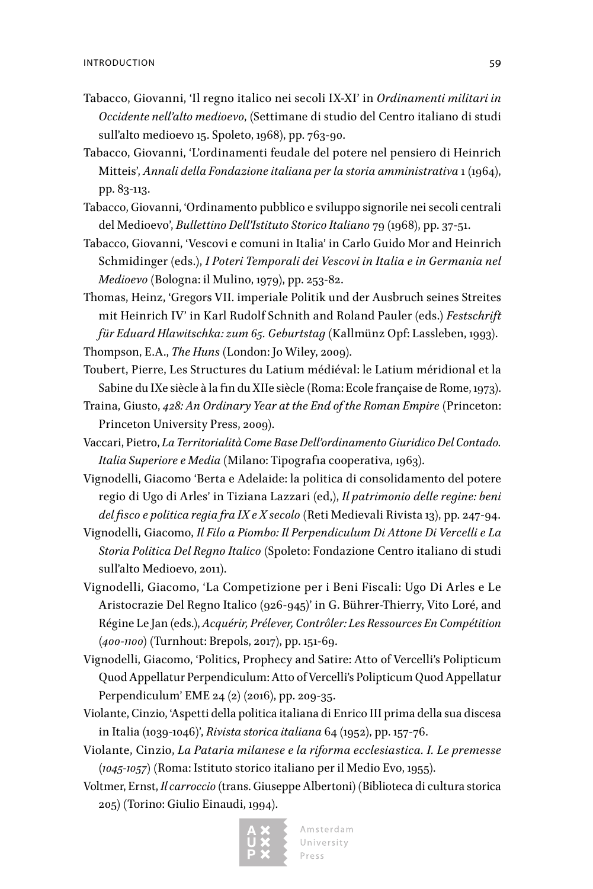- Tabacco, Giovanni, 'Il regno italico nei secoli IX-XI' in *Ordinamenti militari in Occidente nell'alto medioevo*, (Settimane di studio del Centro italiano di studi sull'alto medioevo 15. Spoleto, 1968), pp. 763-90.
- Tabacco, Giovanni, 'L'ordinamenti feudale del potere nel pensiero di Heinrich Mitteis', *Annali della Fondazione italiana per la storia amministrativa* 1 (1964), pp. 83-113.
- Tabacco, Giovanni, 'Ordinamento pubblico e sviluppo signorile nei secoli centrali del Medioevo', *Bullettino Dell'Istituto Storico Italiano* 79 (1968), pp. 37-51.
- Tabacco, Giovanni, 'Vescovi e comuni in Italia' in Carlo Guido Mor and Heinrich Schmidinger (eds.), *I Poteri Temporali dei Vescovi in Italia e in Germania nel Medioevo* (Bologna: il Mulino, 1979), pp. 253-82.

Thomas, Heinz, 'Gregors VII. imperiale Politik und der Ausbruch seines Streites mit Heinrich IV' in Karl Rudolf Schnith and Roland Pauler (eds.) *Festschrift für Eduard Hlawitschka: zum 65. Geburtstag* (Kallmünz Opf: Lassleben, 1993). Thompson, E.A., *The Huns* (London: Jo Wiley, 2009).

- Toubert, Pierre, Les Structures du Latium médiéval: le Latium méridional et la Sabine du IXe siècle à la fin du XIIe siècle (Roma: Ecole française de Rome, 1973).
- Traina, Giusto, *428: An Ordinary Year at the End of the Roman Empire* (Princeton: Princeton University Press, 2009).
- Vaccari, Pietro, *La Territorialità Come Base Dell'ordinamento Giuridico Del Contado. Italia Superiore e Media* (Milano: Tipografia cooperativa, 1963).
- Vignodelli, Giacomo 'Berta e Adelaide: la politica di consolidamento del potere regio di Ugo di Arles' in Tiziana Lazzari (ed,), *Il patrimonio delle regine: beni del fisco e politica regia fra IX e X secolo* (Reti Medievali Rivista 13), pp. 247-94.
- Vignodelli, Giacomo, *Il Filo a Piombo: Il Perpendiculum Di Attone Di Vercelli e La Storia Politica Del Regno Italico* (Spoleto: Fondazione Centro italiano di studi sull'alto Medioevo, 2011).
- Vignodelli, Giacomo, 'La Competizione per i Beni Fiscali: Ugo Di Arles e Le Aristocrazie Del Regno Italico (926-945)' in G. Bührer-Thierry, Vito Loré, and Régine Le Jan (eds.), *Acquérir, Prélever, Contrôler: Les Ressources En Compétition (400-1100)* (Turnhout: Brepols, 2017), pp. 151-69.
- Vignodelli, Giacomo, 'Politics, Prophecy and Satire: Atto of Vercelli's Polipticum Quod Appellatur Perpendiculum: Atto of Vercelli's Polipticum Quod Appellatur Perpendiculum' EME 24 (2) (2016), pp. 209-35.
- Violante, Cinzio, 'Aspetti della politica italiana di Enrico III prima della sua discesa in Italia (1039-1046)', *Rivista storica italiana* 64 (1952), pp. 157-76.
- Violante, Cinzio, *La Pataria milanese e la riforma ecclesiastica. I. Le premesse (1045-1057)* (Roma: Istituto storico italiano per il Medio Evo, 1955).
- Voltmer, Ernst, *Il carroccio* (trans. Giuseppe Albertoni) (Biblioteca di cultura storica 205) (Torino: Giulio Einaudi, 1994).

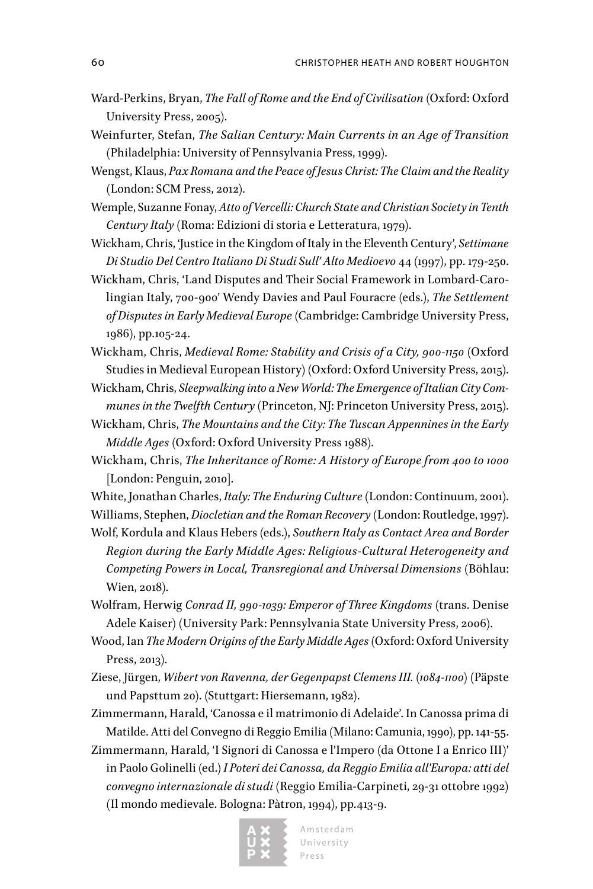- Ward-Perkins, Bryan, *The Fall of Rome and the End of Civilisation* (Oxford: Oxford University Press, 2005).
- Weinfurter, Stefan, *The Salian Century: Main Currents in an Age of Transition* (Philadelphia: University of Pennsylvania Press, 1999).
- Wengst, Klaus, *Pax Romana and the Peace of Jesus Christ: The Claim and the Reality* (London: SCM Press, 2012).
- Wemple, Suzanne Fonay, *Atto of Vercelli: Church State and Christian Society in Tenth Century Italy* (Roma: Edizioni di storia e Letteratura, 1979).
- Wickham, Chris, 'Justice in the Kingdom of Italy in the Eleventh Century', *Settimane Di Studio Del Centro Italiano Di Studi Sull' Alto Medioevo* 44 (1997), pp. 179-250.

Wickham, Chris, 'Land Disputes and Their Social Framework in Lombard-Carolingian Italy, 700-900' Wendy Davies and Paul Fouracre (eds.), *The Settlement of Disputes in Early Medieval Europe* (Cambridge: Cambridge University Press, 1986), pp.105-24.

- Wickham, Chris, *Medieval Rome: Stability and Crisis of a City, 900-1150* (Oxford Studies in Medieval European History) (Oxford: Oxford University Press, 2015).
- Wickham, Chris, *Sleepwalking into a New World: The Emergence of Italian City Communes in the Twelfth Century* (Princeton, NJ: Princeton University Press, 2015).
- Wickham, Chris, *The Mountains and the City: The Tuscan Appennines in the Early Middle Ages* (Oxford: Oxford University Press 1988).
- Wickham, Chris, *The Inheritance of Rome: A History of Europe from 400 to 1000* [London: Penguin, 2010].
- White, Jonathan Charles, *Italy: The Enduring Culture* (London: Continuum, 2001). Williams, Stephen, *Diocletian and the Roman Recovery* (London: Routledge, 1997).

Wolf, Kordula and Klaus Hebers (eds.), *Southern Italy as Contact Area and Border Region during the Early Middle Ages: Religious-Cultural Heterogeneity and Competing Powers in Local, Transregional and Universal Dimensions* (Böhlau: Wien, 2018).

Wolfram, Herwig *Conrad II, 990-1039: Emperor of Three Kingdoms* (trans. Denise Adele Kaiser) (University Park: Pennsylvania State University Press, 2006).

- Wood, Ian *The Modern Origins of the Early Middle Ages* (Oxford: Oxford University Press, 2013).
- Ziese, Jürgen, *Wibert von Ravenna, der Gegenpapst Clemens III. (1084-1100*) (Päpste und Papsttum 20). (Stuttgart: Hiersemann, 1982).
- Zimmermann, Harald, 'Canossa e il matrimonio di Adelaide'. In Canossa prima di Matilde. Atti del Convegno di Reggio Emilia (Milano: Camunia, 1990), pp. 141-55.
- Zimmermann, Harald, 'I Signori di Canossa e l'Impero (da Ottone I a Enrico III)' in Paolo Golinelli (ed.) *I Poteri dei Canossa, da Reggio Emilia all'Europa: atti del convegno internazionale di studi* (Reggio Emilia-Carpineti, 29-31 ottobre 1992) (Il mondo medievale. Bologna: Pàtron, 1994), pp.413-9.

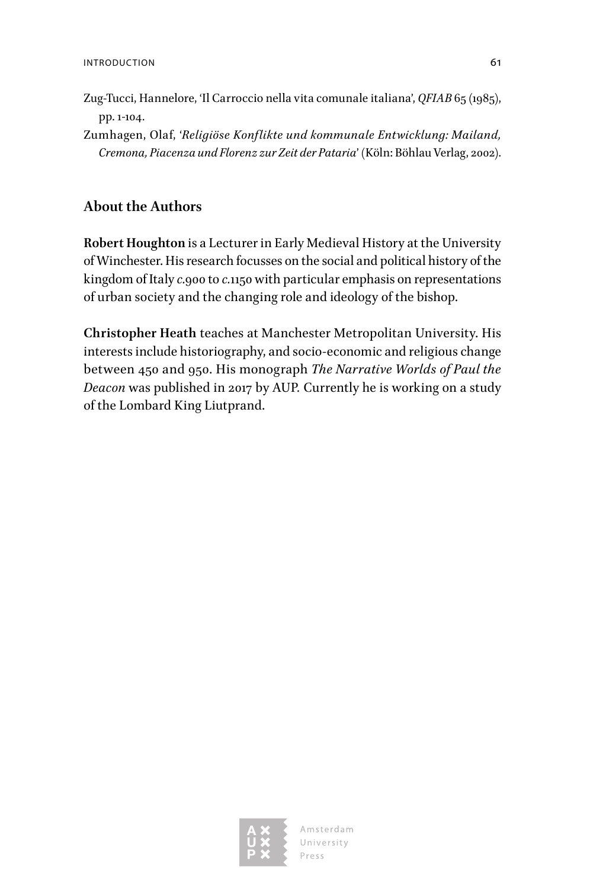- Zug-Tucci, Hannelore, 'Il Carroccio nella vita comunale italiana', *QFIAB* 65 (1985), pp. 1-104.
- Zumhagen, Olaf, '*Religiöse Konflikte und kommunale Entwicklung: Mailand, Cremona, Piacenza und Florenz zur Zeit der Pataria*' (Köln: Böhlau Verlag, 2002).

### **About the Authors**

**Robert Houghton** is a Lecturer in Early Medieval History at the University of Winchester. His research focusses on the social and political history of the kingdom of Italy *c.*900 to *c.*1150 with particular emphasis on representations of urban society and the changing role and ideology of the bishop.

**Christopher Heath** teaches at Manchester Metropolitan University. His interests include historiography, and socio-economic and religious change between 450 and 950. His monograph *The Narrative Worlds of Paul the Deacon* was published in 2017 by AUP*.* Currently he is working on a study of the Lombard King Liutprand.